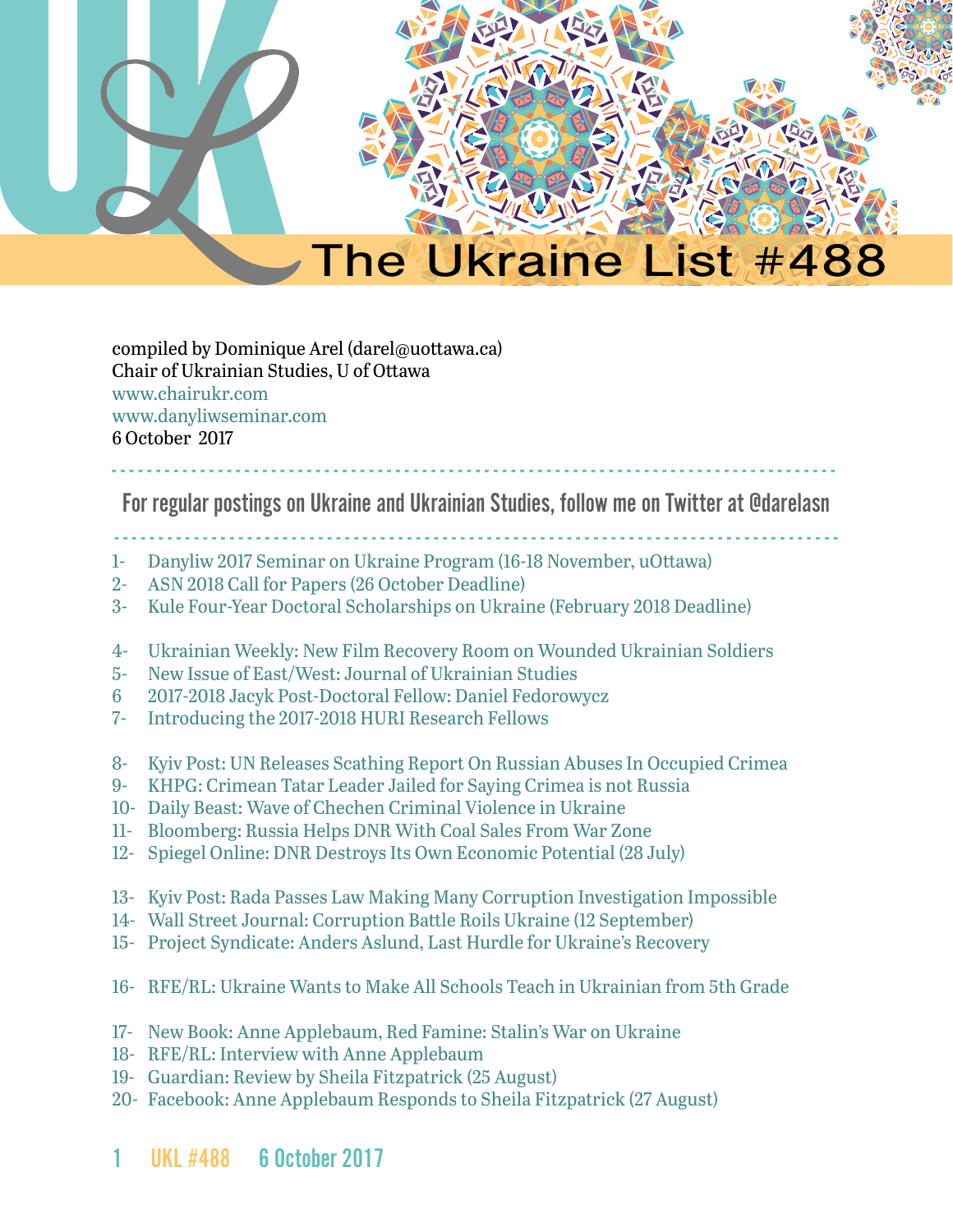

compiled by Dominique Arel (darel@uottawa.ca) Chair of Ukrainian Studies, U of Ottawa www.chairukr.com www.danyliwseminar.com 6 October 2017

For regular postings on Ukraine and Ukrainian Studies, follow me on Twitter at @darelasn

<span id="page-0-0"></span>- - - - - - - - - - - - - - - - - - - - - - - - - - - - - - - - - - - - - - - - - - - - - - - - - - - - - - - - - - - - - - - - - - - - - - - - - - - - - - - - - -

- - - - - - - - - - - - - - - - - - - - - - - - - - - - - - - - - - - - - - - - - -
- 1- [Danyliw 2017 Seminar on Ukraine Program \(16-18 November, uOttawa\)](#page-1-0)
- 2- [ASN 2018 Call for Papers \(26 October Deadline\)](#page-8-0)
- 3- [Kule Four-Year Doctoral Scholarships on Ukraine \(February 2018 Deadline\)](#page-13-0)
- 4- Ukrainian Weekly: New Film Recovery Room on Wounded Ukrainian Soldiers
- 5- [New Issue of East/West: Journal of Ukrainian Studies](#page-16-0)
- 6 [2017-2018 Jacyk Post-Doctoral Fellow: Daniel Fedorowycz](#page-17-0)
- 7- [Introducing the 2017-2018 HURI Research Fellows](#page-17-1)
- 8- [Kyiv Post: UN Releases Scathing Report On Russian Abuses In Occupied Crimea](#page-21-0)
- 9- [KHPG: Crimean Tatar Leader Jailed for Saying Crimea is not Russia](#page-23-0)
- 10- [Daily Beast: Wave of Chechen Criminal Violence in Ukraine](#page-26-0)
- 11- [Bloomberg: Russia Helps DNR With Coal Sales From War Zone](#page-29-0)
- 12- [Spiegel Online: DNR Destroys Its Own Economic Potential \(28 July\)](#page-31-0)
- 13- [Kyiv Post: Rada Passes Law Making Many Corruption Investigation Impossible](#page-35-0)
- 14- [Wall Street Journal: Corruption Battle Roils Ukraine \(12 September\)](#page-38-0)
- 15- Project Syndicate: Anders Aslund, Last Hurdle for Ukraine's Recovery
- 16- [RFE/RL: Ukraine Wants to Make All Schools Teach in Ukrainian from 5th Grade](#page-43-0)
- 17- [New Book: Anne Applebaum, Red Famine: Stalin's War on Ukraine](#page-45-0)
- 18- RFE/RL: Interview with Anne Applebaum
- 19- [Guardian: Review by Sheila Fitzpatrick \(25 August\)](#page-50-0)
- 20- [Facebook: Anne Applebaum Responds to Sheila Fitzpatrick \(27 August\)](#page-53-0)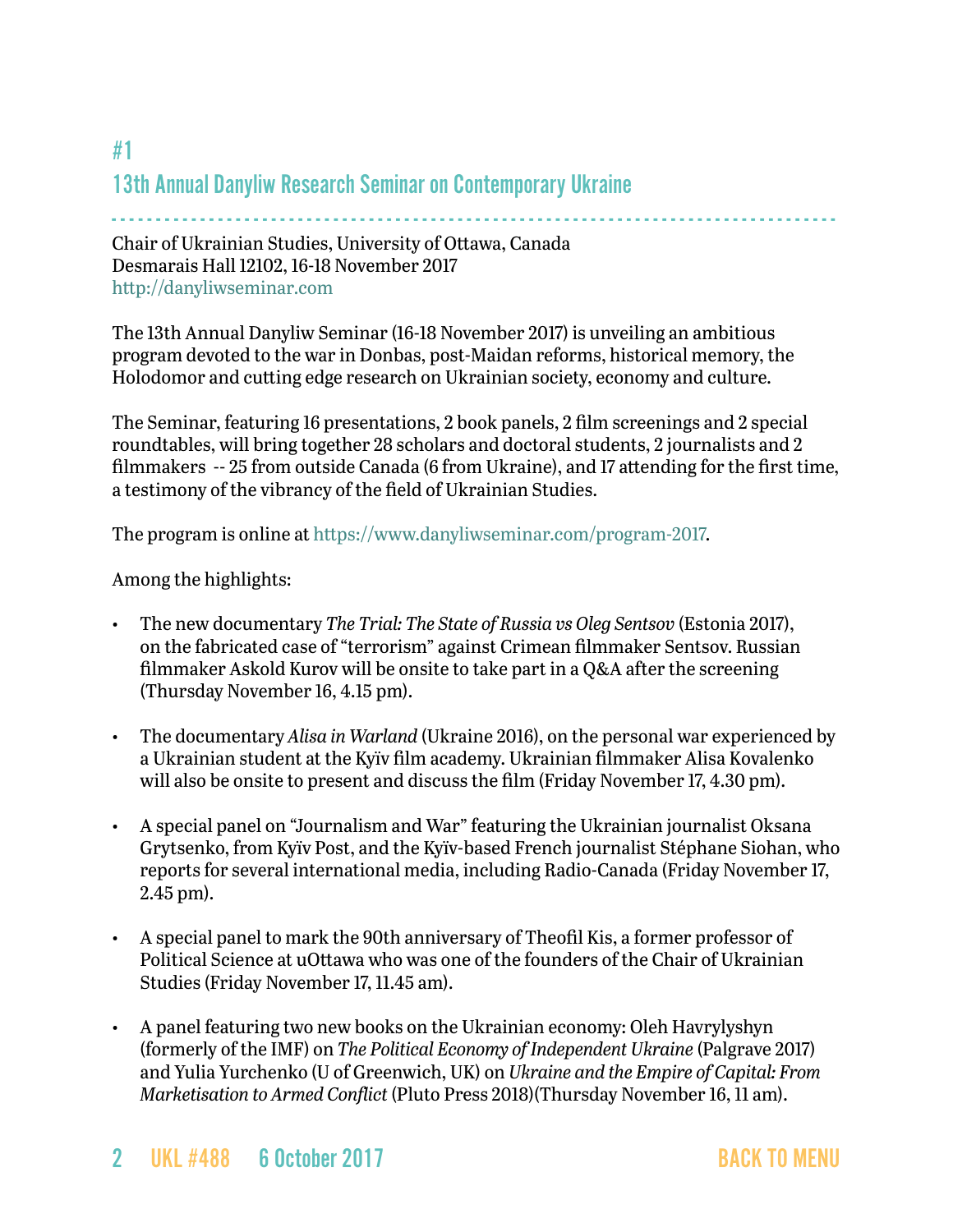# <span id="page-1-0"></span>#1 13th Annual Danyliw Research Seminar on Contemporary Ukraine

# - - - - - - - - - - - - - - - - - - - - - - - - - - - - - - - - - - - - - - - - - - - - - - - - - - - - - - - - - - - - - - - - - - - - - - - - - - - - - - - - - -

Chair of Ukrainian Studies, University of Ottawa, Canada Desmarais Hall 12102, 16-18 November 2017 <http://danyliwseminar.com>

The 13th Annual Danyliw Seminar (16-18 November 2017) is unveiling an ambitious program devoted to the war in Donbas, post-Maidan reforms, historical memory, the Holodomor and cutting edge research on Ukrainian society, economy and culture.

The Seminar, featuring 16 presentations, 2 book panels, 2 film screenings and 2 special roundtables, will bring together 28 scholars and doctoral students, 2 journalists and 2 filmmakers -- 25 from outside Canada (6 from Ukraine), and 17 attending for the first time, a testimony of the vibrancy of the field of Ukrainian Studies.

The program is online at<https://www.danyliwseminar.com/program-2017>.

#### Among the highlights:

- The new documentary *The Trial: The State of Russia vs Oleg Sentsov* (Estonia 2017), on the fabricated case of "terrorism" against Crimean filmmaker Sentsov. Russian filmmaker Askold Kurov will be onsite to take part in a Q&A after the screening (Thursday November 16, 4.15 pm).
- The documentary *Alisa in Warland* (Ukraine 2016), on the personal war experienced by a Ukrainian student at the Kyïv film academy. Ukrainian filmmaker Alisa Kovalenko will also be onsite to present and discuss the film (Friday November 17, 4.30 pm).
- A special panel on "Journalism and War" featuring the Ukrainian journalist Oksana Grytsenko, from Kyïv Post, and the Kyïv-based French journalist Stéphane Siohan, who reports for several international media, including Radio-Canada (Friday November 17, 2.45 pm).
- A special panel to mark the 90th anniversary of Theofil Kis, a former professor of Political Science at uOttawa who was one of the founders of the Chair of Ukrainian Studies (Friday November 17, 11.45 am).
- A panel featuring two new books on the Ukrainian economy: Oleh Havrylyshyn (formerly of the IMF) on *The Political Economy of Independent Ukraine* (Palgrave 2017) and Yulia Yurchenko (U of Greenwich, UK) on *Ukraine and the Empire of Capital: From Marketisation to Armed Conflict* (Pluto Press 2018)(Thursday November 16, 11 am).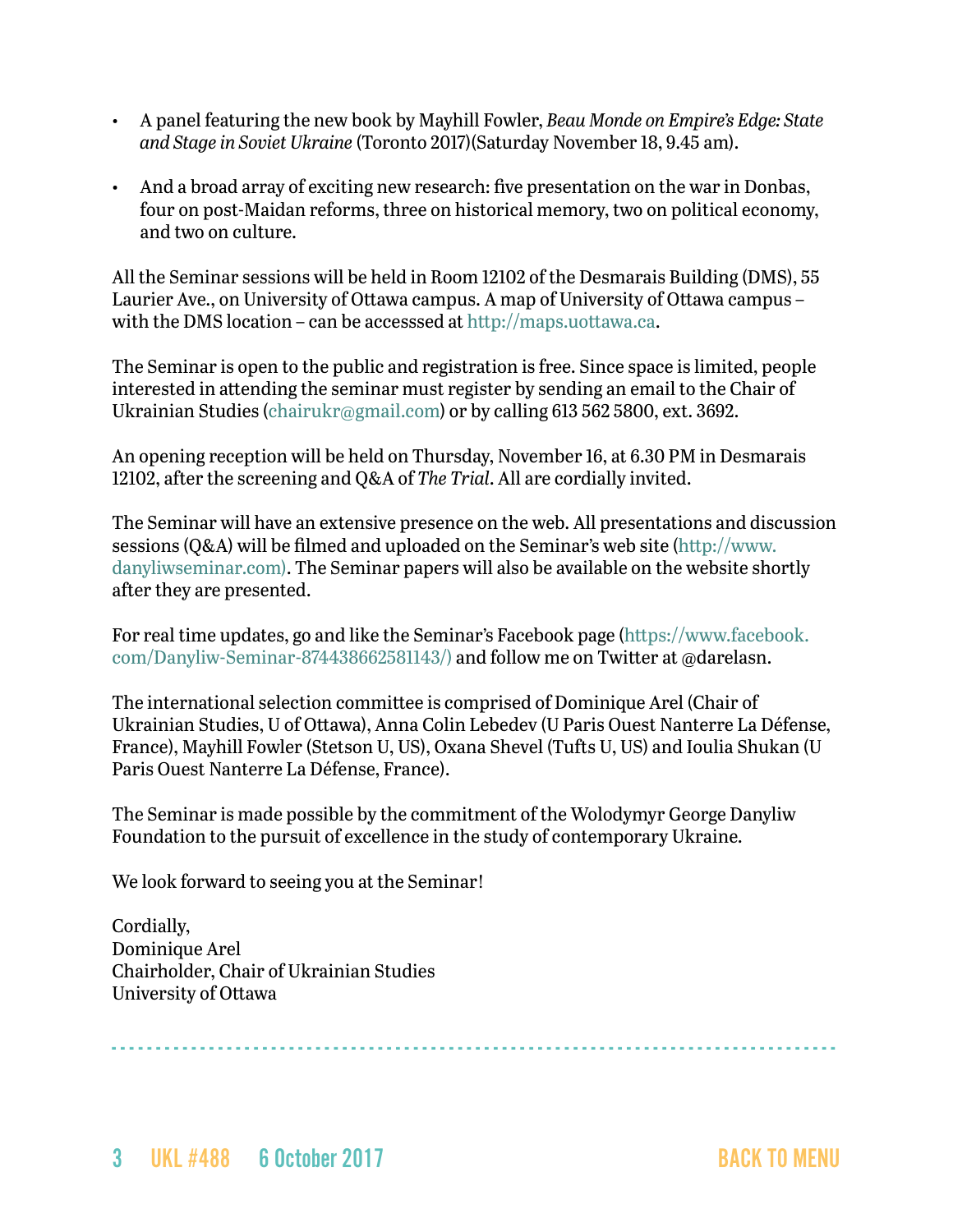- A panel featuring the new book by Mayhill Fowler, *Beau Monde on Empire's Edge: State and Stage in Soviet Ukraine* (Toronto 2017)(Saturday November 18, 9.45 am).
- And a broad array of exciting new research: five presentation on the war in Donbas, four on post-Maidan reforms, three on historical memory, two on political economy, and two on culture.

All the Seminar sessions will be held in Room 12102 of the Desmarais Building (DMS), 55 Laurier Ave., on University of Ottawa campus. A map of University of Ottawa campus – with the DMS location – can be accesssed at<http://maps.uottawa.ca>.

The Seminar is open to the public and registration is free. Since space is limited, people interested in attending the seminar must register by sending an email to the Chair of Ukrainian Studies [\(chairukr@gmail.com\)](mailto:chairukr@gmail.com) or by calling 613 562 5800, ext. 3692.

An opening reception will be held on Thursday, November 16, at 6.30 PM in Desmarais 12102, after the screening and Q&A of *The Trial*. All are cordially invited.

The Seminar will have an extensive presence on the web. All presentations and discussion sessions (Q&A) will be filmed and uploaded on the Seminar's web site ([http://www.](http://www.danyliwseminar.com)) [danyliwseminar.com\)](http://www.danyliwseminar.com)). The Seminar papers will also be available on the website shortly after they are presented.

For real time updates, go and like the Seminar's Facebook page [\(https://www.facebook.](https://www.facebook.com/Danyliw-Seminar-874438662581143/)) [com/Danyliw-Seminar-874438662581143/\)](https://www.facebook.com/Danyliw-Seminar-874438662581143/)) and follow me on Twitter at @darelasn.

The international selection committee is comprised of Dominique Arel (Chair of Ukrainian Studies, U of Ottawa), Anna Colin Lebedev (U Paris Ouest Nanterre La Défense, France), Mayhill Fowler (Stetson U, US), Oxana Shevel (Tufts U, US) and Ioulia Shukan (U Paris Ouest Nanterre La Défense, France).

The Seminar is made possible by the commitment of the Wolodymyr George Danyliw Foundation to the pursuit of excellence in the study of contemporary Ukraine.

We look forward to seeing you at the Seminar!

Cordially, Dominique Arel Chairholder, Chair of Ukrainian Studies University of Ottawa

- - - - - - - - - - - - - - - - - - - - - - - - - - - - - - - - - - - - - - - - - - - - - - - - - - - - - - - - - - - - - - - - - - - - - - - - - - - - - - - - - -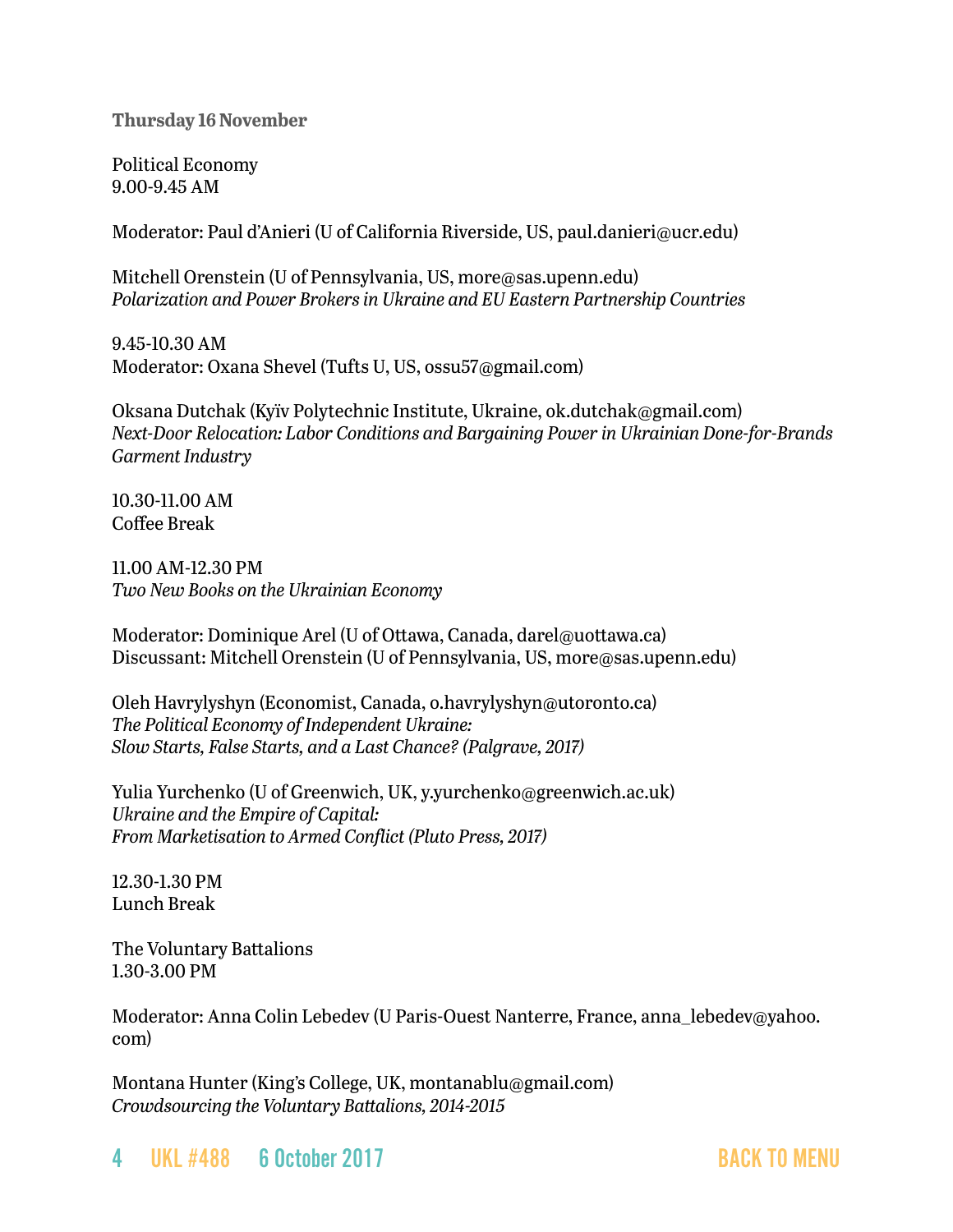**Thursday 16 November**

Political Economy 9.00-9.45 AM

Moderator: Paul d'Anieri (U of California Riverside, US, paul.danieri@ucr.edu)

Mitchell Orenstein (U of Pennsylvania, US, more@sas.upenn.edu) *Polarization and Power Brokers in Ukraine and EU Eastern Partnership Countries*

9.45-10.30 AM Moderator: Oxana Shevel (Tufts U, US, ossu57@gmail.com)

Oksana Dutchak (Kyïv Polytechnic Institute, Ukraine, ok.dutchak@gmail.com) *Next-Door Relocation: Labor Conditions and Bargaining Power in Ukrainian Done-for-Brands Garment Industry*

10.30-11.00 AM Coffee Break

11.00 AM-12.30 PM *Two New Books on the Ukrainian Economy*

Moderator: Dominique Arel (U of Ottawa, Canada, darel@uottawa.ca) Discussant: Mitchell Orenstein (U of Pennsylvania, US, more@sas.upenn.edu)

Oleh Havrylyshyn (Economist, Canada, o.havrylyshyn@utoronto.ca) *The Political Economy of Independent Ukraine: Slow Starts, False Starts, and a Last Chance? (Palgrave, 2017)*

Yulia Yurchenko (U of Greenwich, UK, y.yurchenko@greenwich.ac.uk) *Ukraine and the Empire of Capital: From Marketisation to Armed Conflict (Pluto Press, 2017)*

12.30-1.30 PM Lunch Break

The Voluntary Battalions 1.30-3.00 PM

Moderator: Anna Colin Lebedev (U Paris-Ouest Nanterre, France, anna\_lebedev@yahoo. com)

Montana Hunter (King's College, UK, montanablu@gmail.com) *Crowdsourcing the Voluntary Battalions, 2014-2015*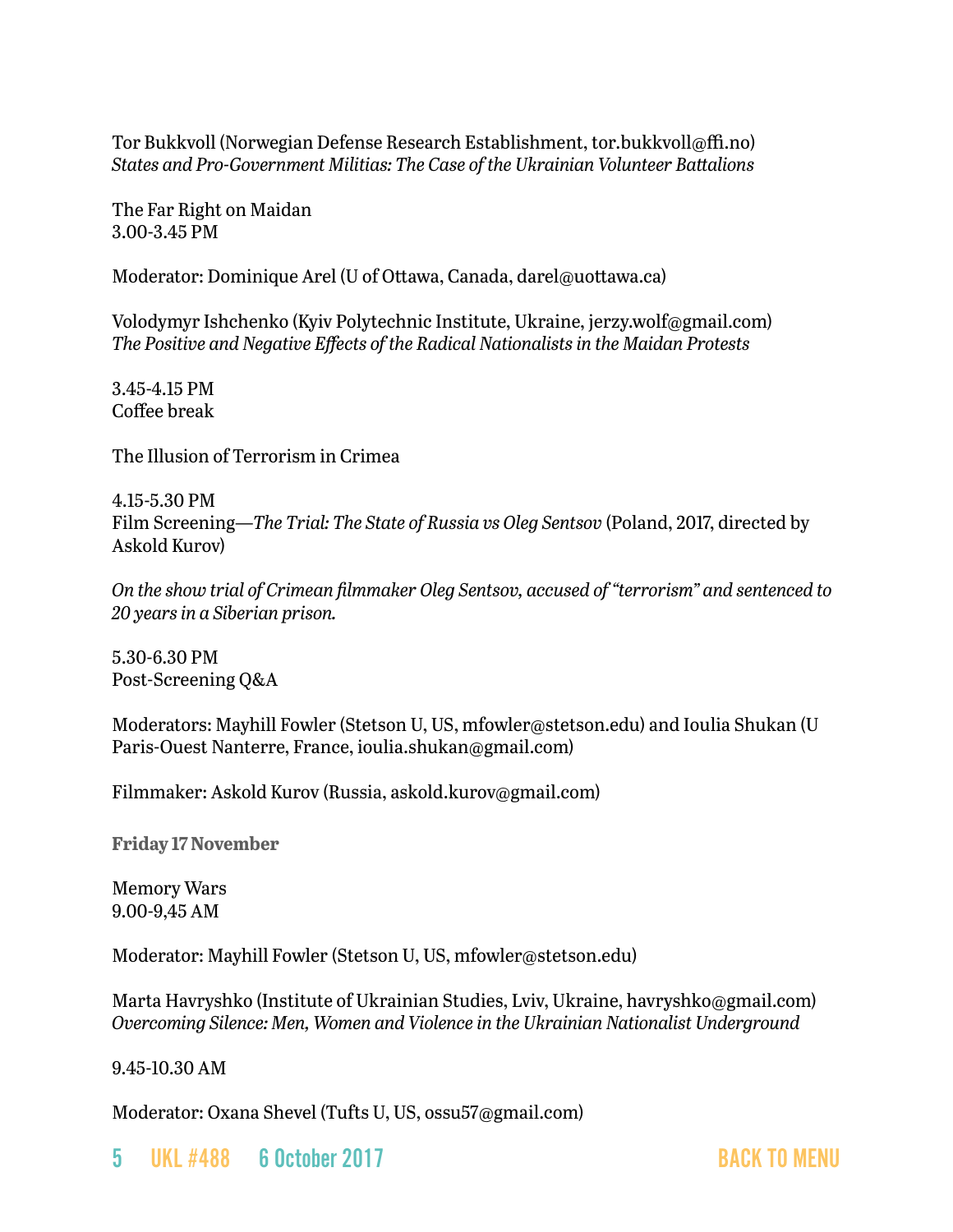Tor Bukkvoll (Norwegian Defense Research Establishment, tor.bukkvoll@ffi.no) *States and Pro-Government Militias: The Case of the Ukrainian Volunteer Battalions*

The Far Right on Maidan 3.00-3.45 PM

Moderator: Dominique Arel (U of Ottawa, Canada, darel@uottawa.ca)

Volodymyr Ishchenko (Kyiv Polytechnic Institute, Ukraine, jerzy.wolf@gmail.com) *The Positive and Negative Effects of the Radical Nationalists in the Maidan Protests*

3.45-4.15 PM Coffee break

The Illusion of Terrorism in Crimea

4.15-5.30 PM Film Screening—*The Trial: The State of Russia vs Oleg Sentsov* (Poland, 2017, directed by Askold Kurov)

*On the show trial of Crimean filmmaker Oleg Sentsov, accused of "terrorism" and sentenced to 20 years in a Siberian prison.*

5.30-6.30 PM Post-Screening Q&A

Moderators: Mayhill Fowler (Stetson U, US, mfowler@stetson.edu) and Ioulia Shukan (U Paris-Ouest Nanterre, France, ioulia.shukan@gmail.com)

Filmmaker: Askold Kurov (Russia, askold.kurov@gmail.com)

**Friday 17 November**

Memory Wars 9.00-9,45 AM

Moderator: Mayhill Fowler (Stetson U, US, mfowler@stetson.edu)

Marta Havryshko (Institute of Ukrainian Studies, Lviv, Ukraine, havryshko@gmail.com) *Overcoming Silence: Men, Women and Violence in the Ukrainian Nationalist Underground*

9.45-10.30 AM

Moderator: Oxana Shevel (Tufts U, US, ossu57@gmail.com)

5 UKL #488 6 October 2017 [BACK TO MENU](#page-0-0)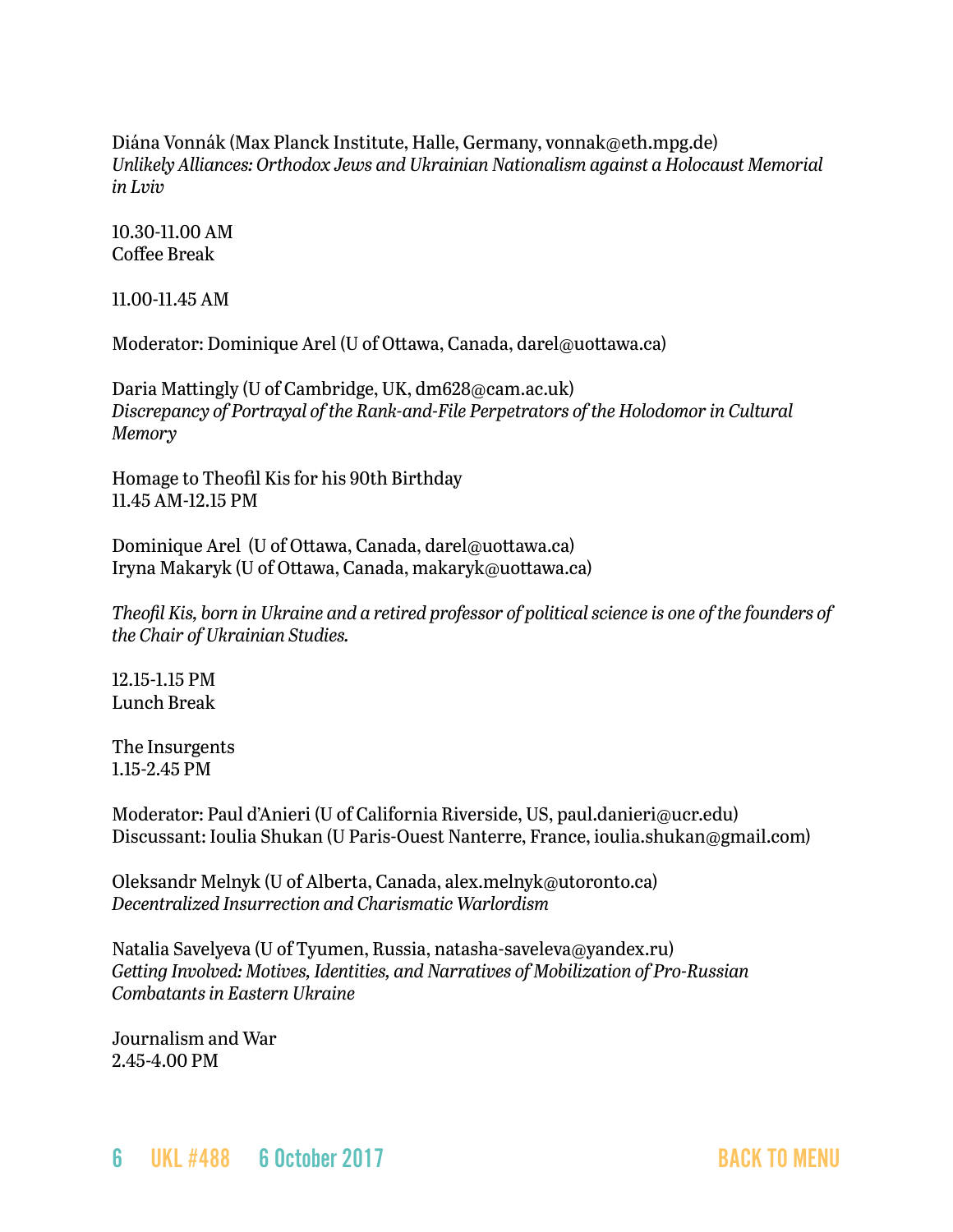Diána Vonnák (Max Planck Institute, Halle, Germany, vonnak@eth.mpg.de) *Unlikely Alliances: Orthodox Jews and Ukrainian Nationalism against a Holocaust Memorial in Lviv*

10.30-11.00 AM Coffee Break

11.00-11.45 AM

Moderator: Dominique Arel (U of Ottawa, Canada, darel@uottawa.ca)

Daria Mattingly (U of Cambridge, UK, dm628@cam.ac.uk) *Discrepancy of Portrayal of the Rank-and-File Perpetrators of the Holodomor in Cultural Memory*

Homage to Theofil Kis for his 90th Birthday 11.45 AM-12.15 PM

Dominique Arel (U of Ottawa, Canada, darel@uottawa.ca) Iryna Makaryk (U of Ottawa, Canada, makaryk@uottawa.ca)

*Theofil Kis, born in Ukraine and a retired professor of political science is one of the founders of the Chair of Ukrainian Studies.*

12.15-1.15 PM Lunch Break

The Insurgents 1.15-2.45 PM

Moderator: Paul d'Anieri (U of California Riverside, US, paul.danieri@ucr.edu) Discussant: Ioulia Shukan (U Paris-Ouest Nanterre, France, ioulia.shukan@gmail.com)

Oleksandr Melnyk (U of Alberta, Canada, alex.melnyk@utoronto.ca) *Decentralized Insurrection and Charismatic Warlordism*

Natalia Savelyeva (U of Tyumen, Russia, natasha-saveleva@yandex.ru) *Getting Involved: Motives, Identities, and Narratives of Mobilization of Pro-Russian Combatants in Eastern Ukraine*

Journalism and War 2.45-4.00 PM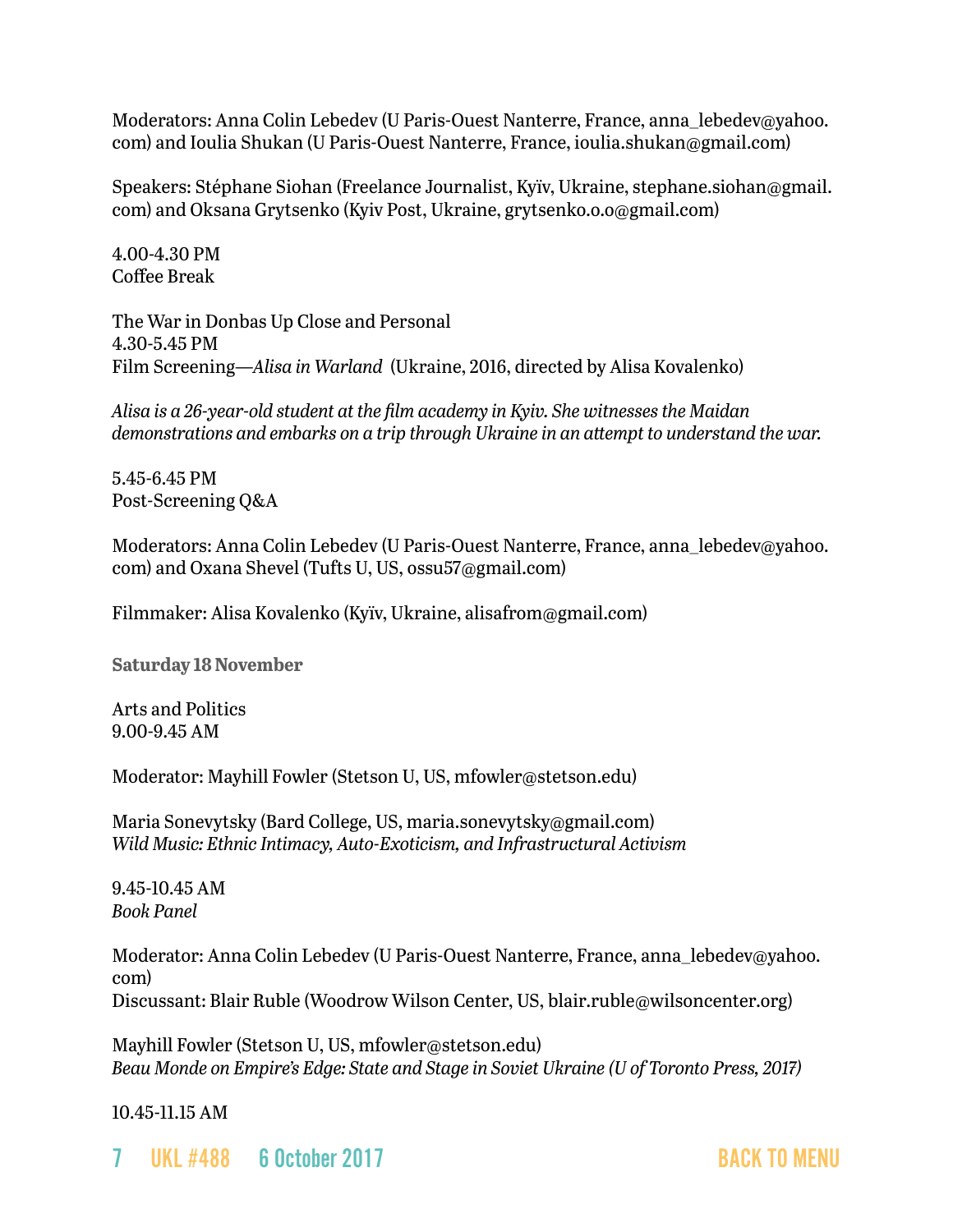Moderators: Anna Colin Lebedev (U Paris-Ouest Nanterre, France, anna\_lebedev@yahoo. com) and Ioulia Shukan (U Paris-Ouest Nanterre, France, ioulia.shukan@gmail.com)

Speakers: Stéphane Siohan (Freelance Journalist, Kyïv, Ukraine, stephane.siohan@gmail. com) and Oksana Grytsenko (Kyiv Post, Ukraine, grytsenko.o.o@gmail.com)

4.00-4.30 PM Coffee Break

The War in Donbas Up Close and Personal 4.30-5.45 PM Film Screening—*Alisa in Warland* (Ukraine, 2016, directed by Alisa Kovalenko)

*Alisa is a 26-year-old student at the film academy in Kyiv. She witnesses the Maidan demonstrations and embarks on a trip through Ukraine in an attempt to understand the war.*

5.45-6.45 PM Post-Screening Q&A

Moderators: Anna Colin Lebedev (U Paris-Ouest Nanterre, France, anna\_lebedev@yahoo. com) and Oxana Shevel (Tufts U, US, ossu57@gmail.com)

Filmmaker: Alisa Kovalenko (Kyïv, Ukraine, alisafrom@gmail.com)

**Saturday 18 November**

Arts and Politics 9.00-9.45 AM

Moderator: Mayhill Fowler (Stetson U, US, mfowler@stetson.edu)

Maria Sonevytsky (Bard College, US, maria.sonevytsky@gmail.com) *Wild Music: Ethnic Intimacy, Auto-Exoticism, and Infrastructural Activism*

9.45-10.45 AM *Book Panel*

Moderator: Anna Colin Lebedev (U Paris-Ouest Nanterre, France, anna\_lebedev@yahoo. com) Discussant: Blair Ruble (Woodrow Wilson Center, US, blair.ruble@wilsoncenter.org)

Mayhill Fowler (Stetson U, US, mfowler@stetson.edu) *Beau Monde on Empire's Edge: State and Stage in Soviet Ukraine (U of Toronto Press, 2017)*

10.45-11.15 AM

7 UKL #488 6 October 2017 [BACK TO MENU](#page-0-0)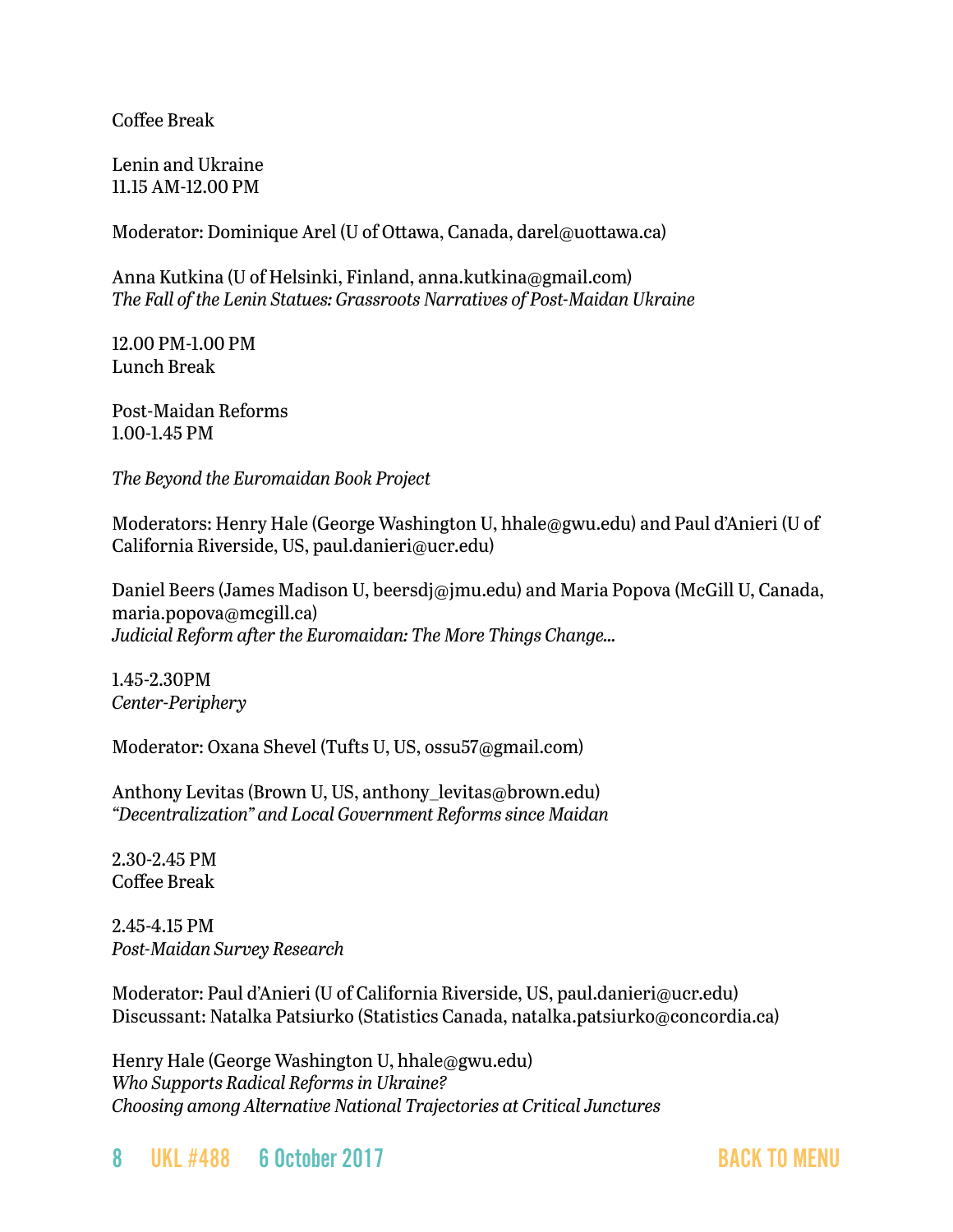Coffee Break

Lenin and Ukraine 11.15 AM-12.00 PM

Moderator: Dominique Arel (U of Ottawa, Canada, darel@uottawa.ca)

Anna Kutkina (U of Helsinki, Finland, anna.kutkina@gmail.com) *The Fall of the Lenin Statues: Grassroots Narratives of Post-Maidan Ukraine*

12.00 PM-1.00 PM Lunch Break

Post-Maidan Reforms 1.00-1.45 PM

*The Beyond the Euromaidan Book Project*

Moderators: Henry Hale (George Washington U, hhale@gwu.edu) and Paul d'Anieri (U of California Riverside, US, paul.danieri@ucr.edu)

Daniel Beers (James Madison U, beersdj@jmu.edu) and Maria Popova (McGill U, Canada, maria.popova@mcgill.ca) *Judicial Reform after the Euromaidan: The More Things Change…*

1.45-2.30PM *Center-Periphery*

Moderator: Oxana Shevel (Tufts U, US, ossu57@gmail.com)

Anthony Levitas (Brown U, US, anthony\_levitas@brown.edu) *"Decentralization" and Local Government Reforms since Maidan*

2.30-2.45 PM Coffee Break

2.45-4.15 PM *Post-Maidan Survey Research*

Moderator: Paul d'Anieri (U of California Riverside, US, paul.danieri@ucr.edu) Discussant: Natalka Patsiurko (Statistics Canada, natalka.patsiurko@concordia.ca)

Henry Hale (George Washington U, hhale@gwu.edu) *Who Supports Radical Reforms in Ukraine? Choosing among Alternative National Trajectories at Critical Junctures*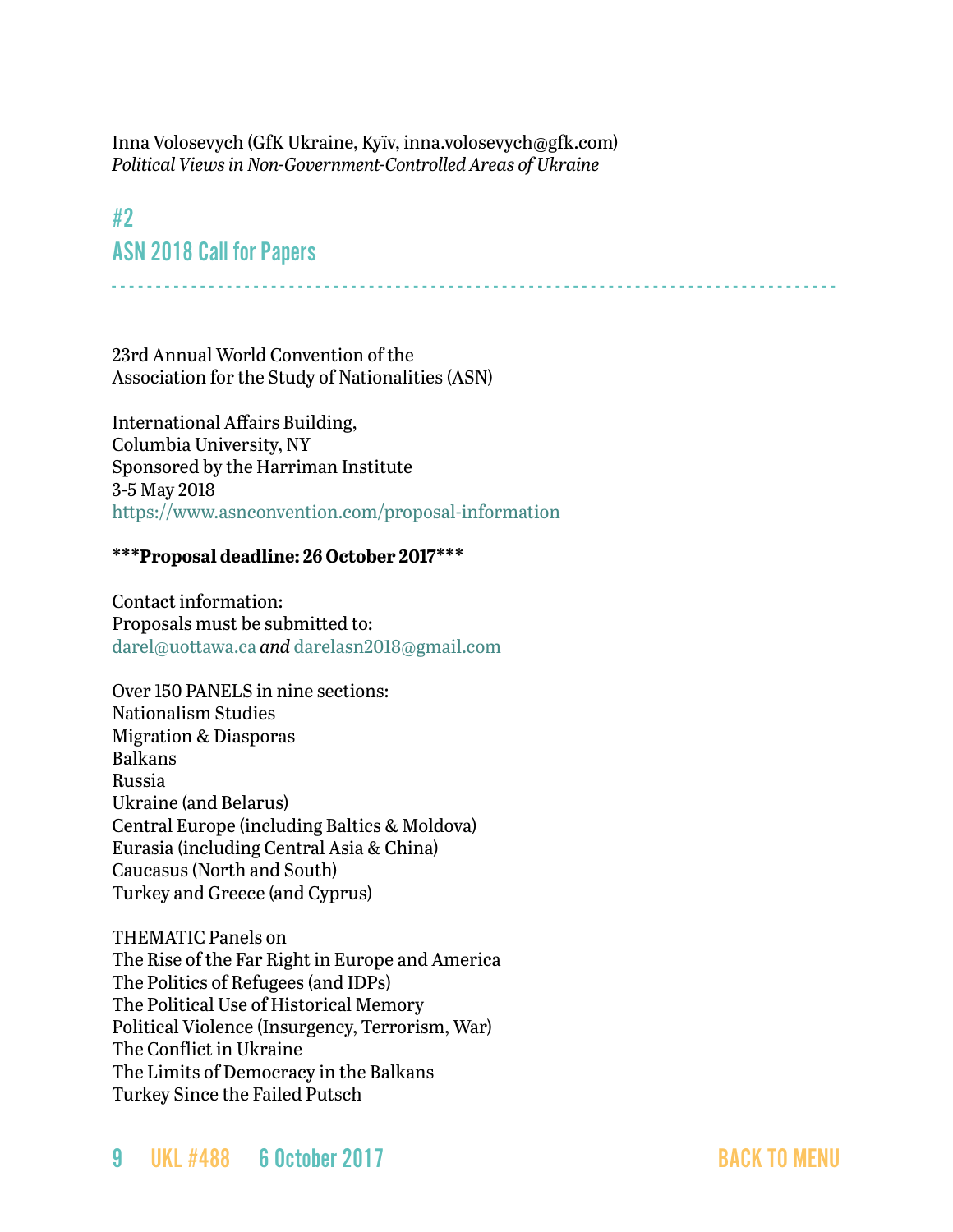Inna Volosevych (GfK Ukraine, Kyïv, inna.volosevych@gfk.com) *Political Views in Non-Government-Controlled Areas of Ukraine*

# <span id="page-8-0"></span>#2 ASN 2018 Call for Papers

- - - - - - - - - - - - - - - - - - - - - - - - - - - - - - - - - - - - - - - - - - - - - - - - - - - - - - - - - - - - - - - - - - - - - - - - - - - - - - - - - -

23rd Annual World Convention of the Association for the Study of Nationalities (ASN)

International Affairs Building, Columbia University, NY Sponsored by the Harriman Institute 3-5 May 2018 <https://www.asnconvention.com/proposal-information>

#### **\*\*\*Proposal deadline: 26 October 2017\*\*\***

Contact information: Proposals must be submitted to: [darel@uottawa.ca](mailto:darel@uottawa.ca) *and* [darelasn2018@gmail.com](file:///CHAIRE%20UKR/UKL/darelasn2018@gmail.com)

Over 150 PANELS in nine sections: Nationalism Studies Migration & Diasporas Balkans Russia Ukraine (and Belarus) Central Europe (including Baltics & Moldova) Eurasia (including Central Asia & China) Caucasus (North and South) Turkey and Greece (and Cyprus)

THEMATIC Panels on The Rise of the Far Right in Europe and America The Politics of Refugees (and IDPs) The Political Use of Historical Memory Political Violence (Insurgency, Terrorism, War) The Conflict in Ukraine The Limits of Democracy in the Balkans Turkey Since the Failed Putsch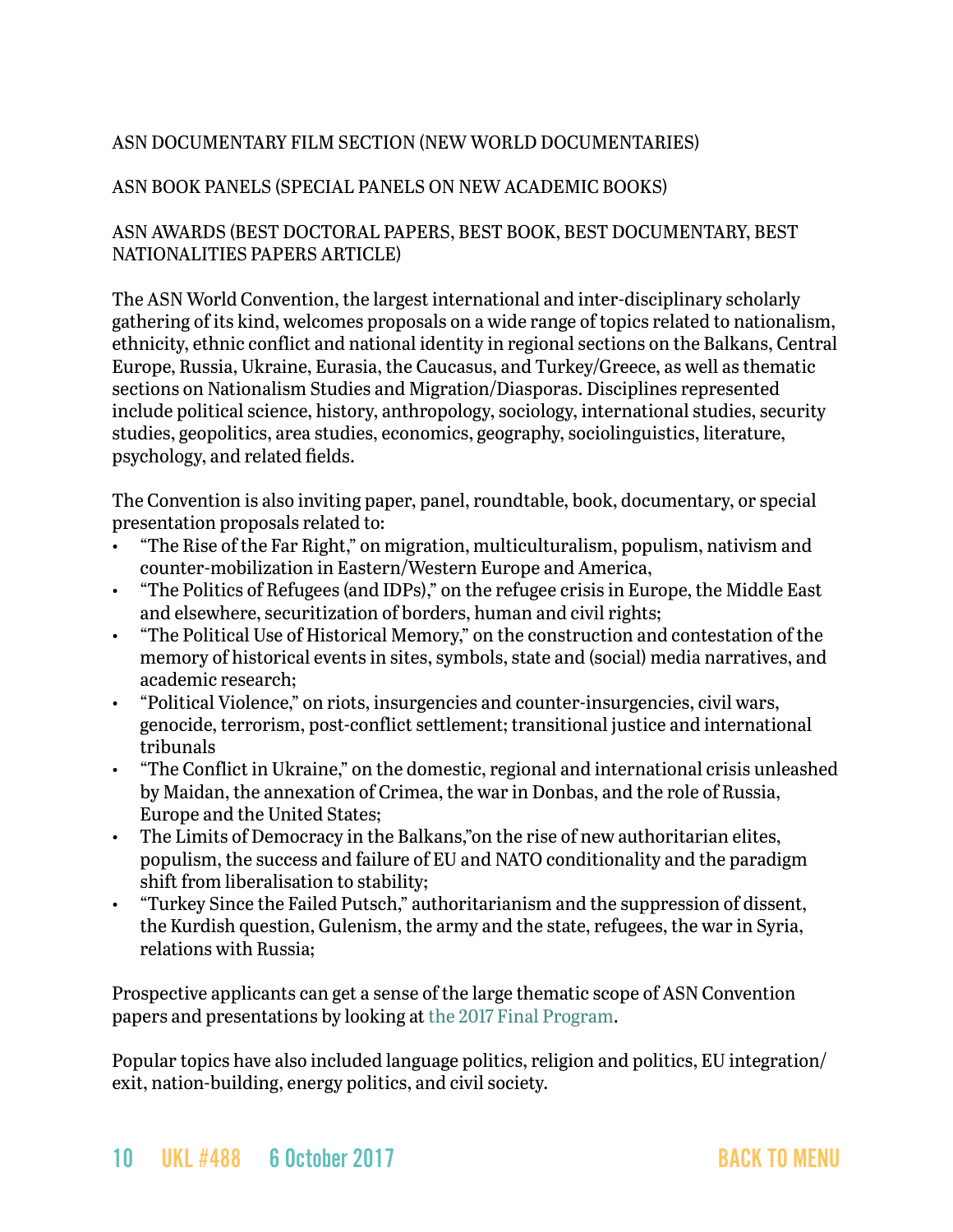### ASN DOCUMENTARY FILM SECTION (NEW WORLD DOCUMENTARIES)

#### ASN BOOK PANELS (SPECIAL PANELS ON NEW ACADEMIC BOOKS)

## ASN AWARDS (BEST DOCTORAL PAPERS, BEST BOOK, BEST DOCUMENTARY, BEST NATIONALITIES PAPERS ARTICLE)

The ASN World Convention, the largest international and inter-disciplinary scholarly gathering of its kind, welcomes proposals on a wide range of topics related to nationalism, ethnicity, ethnic conflict and national identity in regional sections on the Balkans, Central Europe, Russia, Ukraine, Eurasia, the Caucasus, and Turkey/Greece, as well as thematic sections on Nationalism Studies and Migration/Diasporas. Disciplines represented include political science, history, anthropology, sociology, international studies, security studies, geopolitics, area studies, economics, geography, sociolinguistics, literature, psychology, and related fields.

The Convention is also inviting paper, panel, roundtable, book, documentary, or special presentation proposals related to:

- "The Rise of the Far Right," on migration, multiculturalism, populism, nativism and counter-mobilization in Eastern/Western Europe and America,
- "The Politics of Refugees (and IDPs)," on the refugee crisis in Europe, the Middle East and elsewhere, securitization of borders, human and civil rights;
- "The Political Use of Historical Memory," on the construction and contestation of the memory of historical events in sites, symbols, state and (social) media narratives, and academic research;
- "Political Violence," on riots, insurgencies and counter-insurgencies, civil wars, genocide, terrorism, post-conflict settlement; transitional justice and international tribunals
- "The Conflict in Ukraine," on the domestic, regional and international crisis unleashed by Maidan, the annexation of Crimea, the war in Donbas, and the role of Russia, Europe and the United States;
- The Limits of Democracy in the Balkans,"on the rise of new authoritarian elites, populism, the success and failure of EU and NATO conditionality and the paradigm shift from liberalisation to stability;
- "Turkey Since the Failed Putsch," authoritarianism and the suppression of dissent, the Kurdish question, Gulenism, the army and the state, refugees, the war in Syria, relations with Russia;

Prospective applicants can get a sense of the large thematic scope of ASN Convention papers and presentations by looking at [the 2017 Final Program](http://bit.ly/2wUyg7x).

Popular topics have also included language politics, religion and politics, EU integration/ exit, nation-building, energy politics, and civil society.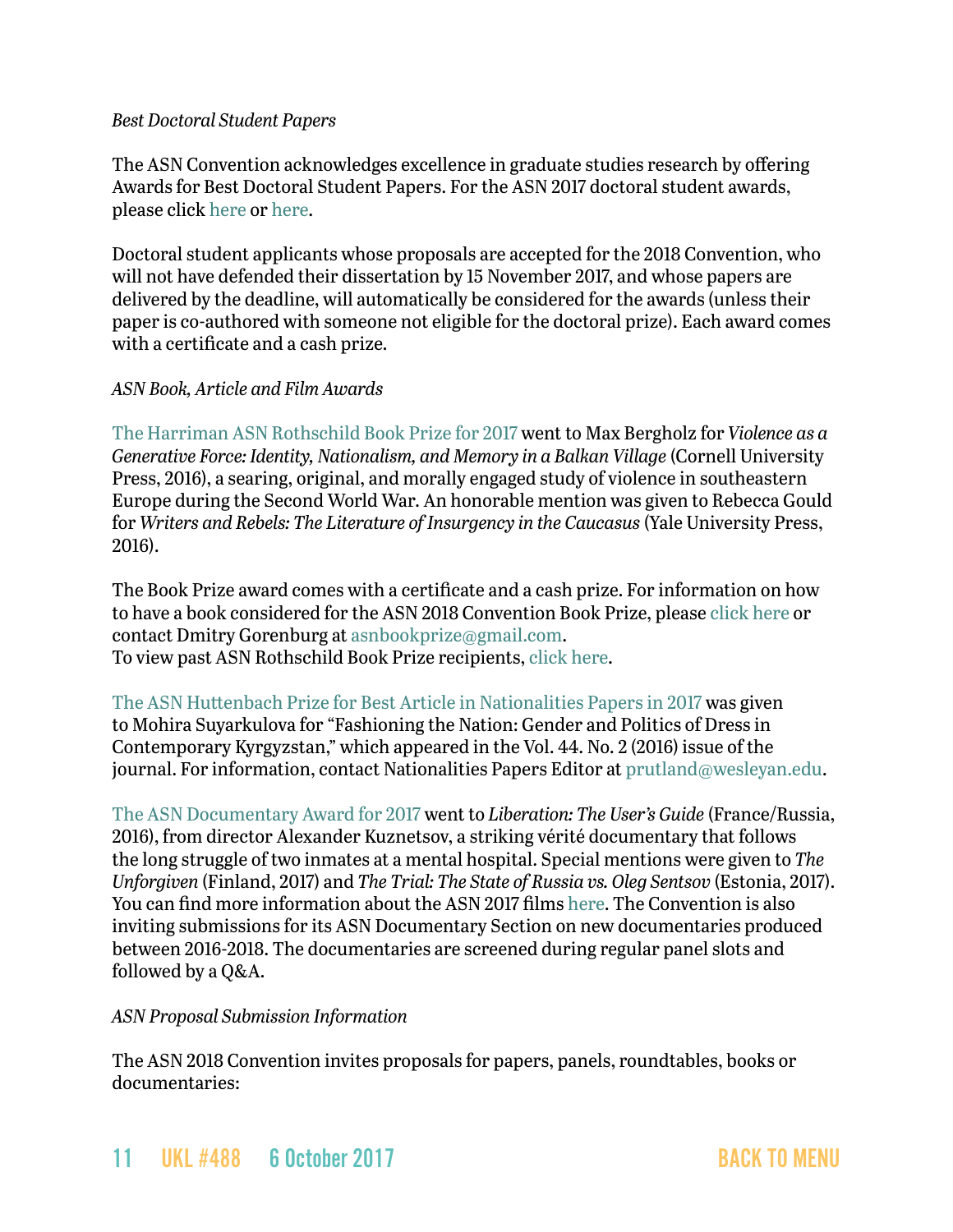#### *Best Doctoral Student Papers*

The ASN Convention acknowledges excellence in graduate studies research by offering Awards for Best Doctoral Student Papers. For the ASN 2017 doctoral student awards, please click [here](http://bit.ly/2r3MH3r) or [here](http://bit.ly/2vPHvmx).

Doctoral student applicants whose proposals are accepted for the 2018 Convention, who will not have defended their dissertation by 15 November 2017, and whose papers are delivered by the deadline, will automatically be considered for the awards (unless their paper is co-authored with someone not eligible for the doctoral prize). Each award comes with a certificate and a cash prize.

#### *ASN Book, Article and Film Awards*

[The Harriman ASN Rothschild Book Prize for 2017](http://bit.ly/2pn10SS) went to Max Bergholz for *Violence as a Generative Force: Identity, Nationalism, and Memory in a Balkan Village* (Cornell University Press, 2016), a searing, original, and morally engaged study of violence in southeastern Europe during the Second World War. An honorable mention was given to Rebecca Gould for *Writers and Rebels: The Literature of Insurgency in the Caucasus* (Yale University Press, 2016).

The Book Prize award comes with a certificate and a cash prize. For information on how to have a book considered for the ASN 2018 Convention Book Prize, please [click here](http://nationalities.org/prizes/joseph-rothschild/application-info) or contact Dmitry Gorenburg at [asnbookprize@gmail.com](mailto:asnbookprize@gmail.com). To view past ASN Rothschild Book Prize recipients, [click here.](http://nationalities.org/prizes/joseph-rothschild/)

[The ASN Huttenbach Prize for Best Article in Nationalities Papers in 2017](http://bit.ly/2pxuhIR) was given to Mohira Suyarkulova for "Fashioning the Nation: Gender and Politics of Dress in Contemporary Kyrgyzstan," which appeared in the Vol. 44. No. 2 (2016) issue of the journal. For information, contact Nationalities Papers Editor at [prutland@wesleyan.edu](mailto:prutland@wesleyan.edu).

[The ASN Documentary Award for 2017](http://bit.ly/2pgtlru) went to *Liberation: The User's Guide* (France/Russia, 2016), from director Alexander Kuznetsov, a striking vérité documentary that follows the long struggle of two inmates at a mental hospital. Special mentions were given to *The Unforgiven* (Finland, 2017) and *The Trial: The State of Russia vs. Oleg Sentsov* (Estonia, 2017). You can find more information about the ASN 2017 films [here.](http://bit.ly/2eWxNYF) The Convention is also inviting submissions for its ASN Documentary Section on new documentaries produced between 2016-2018. The documentaries are screened during regular panel slots and followed by a Q&A.

#### *ASN Proposal Submission Information*

The ASN 2018 Convention invites proposals for papers, panels, roundtables, books or documentaries: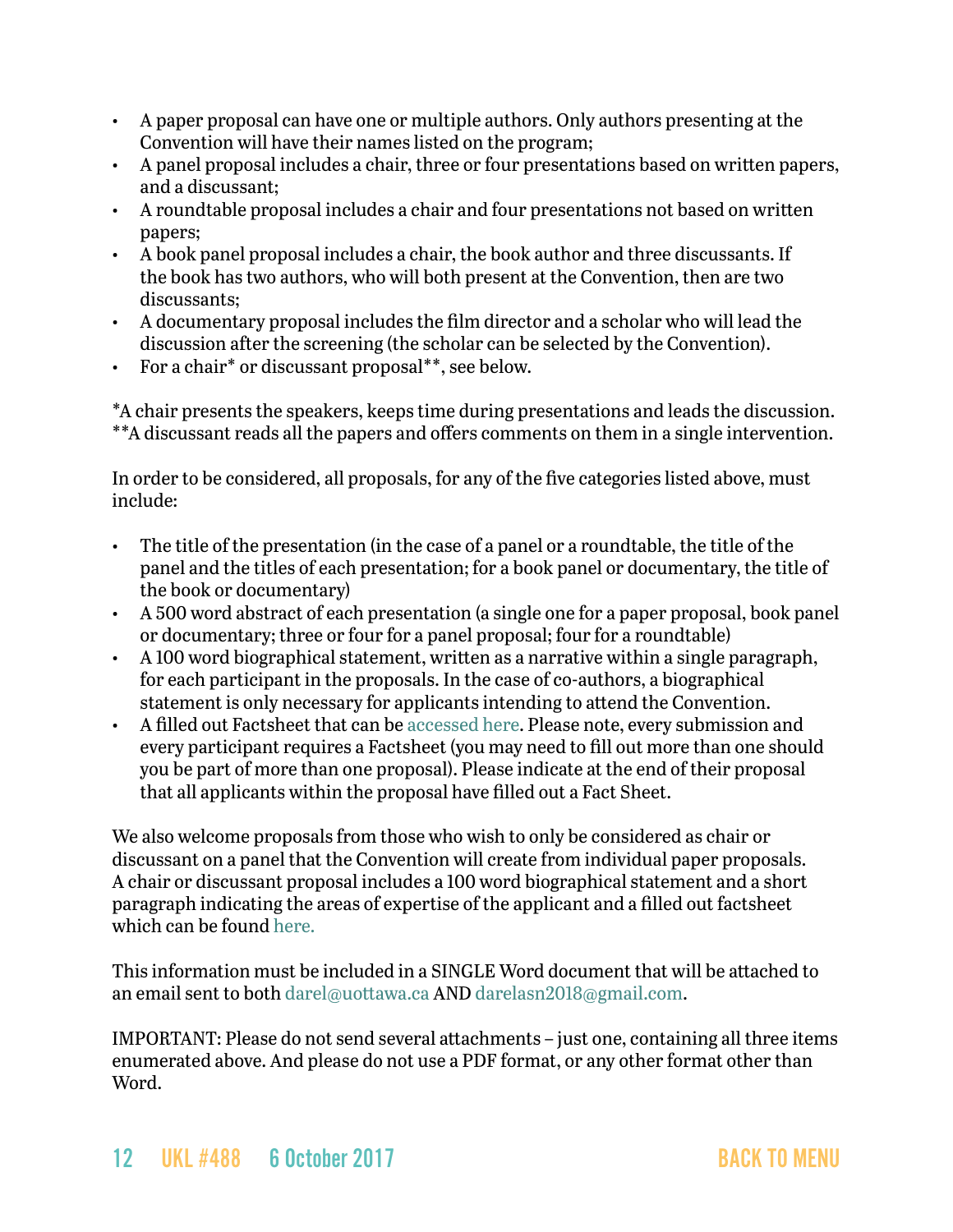- A paper proposal can have one or multiple authors. Only authors presenting at the Convention will have their names listed on the program;
- A panel proposal includes a chair, three or four presentations based on written papers, and a discussant;
- A roundtable proposal includes a chair and four presentations not based on written papers;
- A book panel proposal includes a chair, the book author and three discussants. If the book has two authors, who will both present at the Convention, then are two discussants;
- A documentary proposal includes the film director and a scholar who will lead the discussion after the screening (the scholar can be selected by the Convention).
- For a chair\* or discussant proposal\*\*, see below.

\*A chair presents the speakers, keeps time during presentations and leads the discussion. \*\*A discussant reads all the papers and offers comments on them in a single intervention.

In order to be considered, all proposals, for any of the five categories listed above, must include:

- The title of the presentation (in the case of a panel or a roundtable, the title of the panel and the titles of each presentation; for a book panel or documentary, the title of the book or documentary)
- A 500 word abstract of each presentation (a single one for a paper proposal, book panel or documentary; three or four for a panel proposal; four for a roundtable)
- A 100 word biographical statement, written as a narrative within a single paragraph, for each participant in the proposals. In the case of co-authors, a biographical statement is only necessary for applicants intending to attend the Convention.
- A filled out Factsheet that can be [accessed here.](https://www.surveymonkey.com/r/ASN2018FS) Please note, every submission and every participant requires a Factsheet (you may need to fill out more than one should you be part of more than one proposal). Please indicate at the end of their proposal that all applicants within the proposal have filled out a Fact Sheet.

We also welcome proposals from those who wish to only be considered as chair or discussant on a panel that the Convention will create from individual paper proposals. A chair or discussant proposal includes a 100 word biographical statement and a short paragraph indicating the areas of expertise of the applicant and a filled out factsheet which can be foun[d here](https://www.surveymonkey.com/r/ASN2018FS).

This information must be included in a SINGLE Word document that will be attached to an email sent to both [darel@uottawa.ca](mailto:darel@uottawa.ca) AND [darelasn2018@gmail.com.](mailto:darelasn2018@gmail.com)

IMPORTANT: Please do not send several attachments – just one, containing all three items enumerated above. And please do not use a PDF format, or any other format other than Word.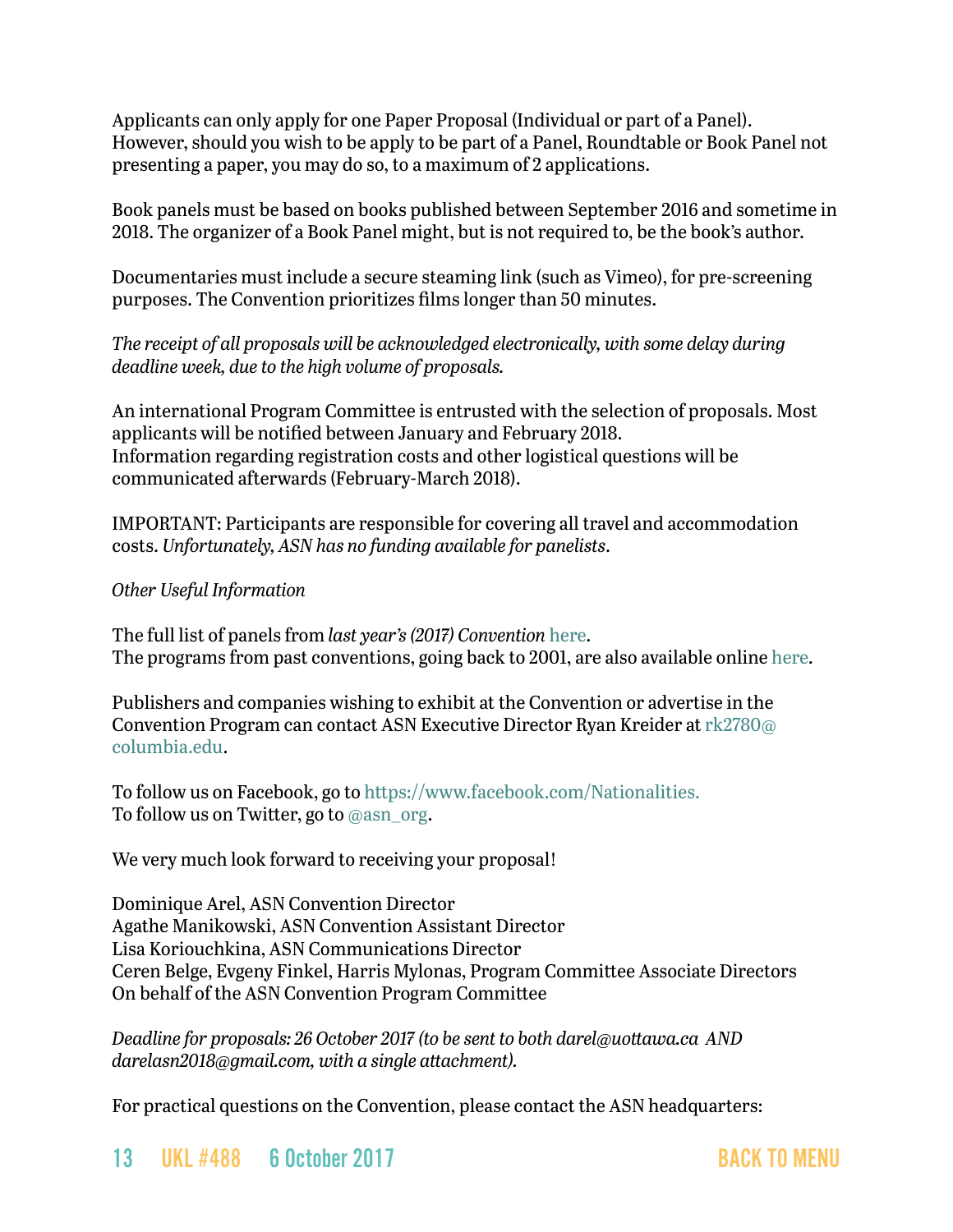Applicants can only apply for one Paper Proposal (Individual or part of a Panel). However, should you wish to be apply to be part of a Panel, Roundtable or Book Panel not presenting a paper, you may do so, to a maximum of 2 applications.

Book panels must be based on books published between September 2016 and sometime in 2018. The organizer of a Book Panel might, but is not required to, be the book's author.

Documentaries must include a secure steaming link (such as Vimeo), for pre-screening purposes. The Convention prioritizes films longer than 50 minutes.

*The receipt of all proposals will be acknowledged electronically, with some delay during deadline week, due to the high volume of proposals.*

An international Program Committee is entrusted with the selection of proposals. Most applicants will be notified between January and February 2018. Information regarding registration costs and other logistical questions will be communicated afterwards (February-March 2018).

IMPORTANT: Participants are responsible for covering all travel and accommodation costs. *Unfortunately, ASN has no funding available for panelists*.

#### *Other Useful Information*

The full list of panels from *last year's (2017) Convention* [here.](http://bit.ly/2wUyg7x) The programs from past conventions, going back to 2001, are also available online [here](http://bit.ly/2trbalx).

Publishers and companies wishing to exhibit at the Convention or advertise in the Convention Program can contact ASN Executive Director Ryan Kreider at [rk2780@](mailto:rk2780@columbia.edu) [columbia.edu](mailto:rk2780@columbia.edu).

To follow us on Facebook, go to [https://www.facebook.com/Nationalities.](https://www.facebook.com/Nationalities) To follow us on Twitter, go to [@asn\\_org.](https://twitter.com/ASN_Org?lang=en)

We very much look forward to receiving your proposal!

Dominique Arel, ASN Convention Director Agathe Manikowski, ASN Convention Assistant Director Lisa Koriouchkina, ASN Communications Director Ceren Belge, Evgeny Finkel, Harris Mylonas, Program Committee Associate Directors On behalf of the ASN Convention Program Committee

*Deadline for proposals: 26 October 2017 (to be sent to both [darel@uottawa.ca](mailto:darel@uottawa.ca) AND [darelasn2018@gmail.com,](mailto:darelasn2018@gmail.com) with a single attachment).*

For practical questions on the Convention, please contact the ASN headquarters:

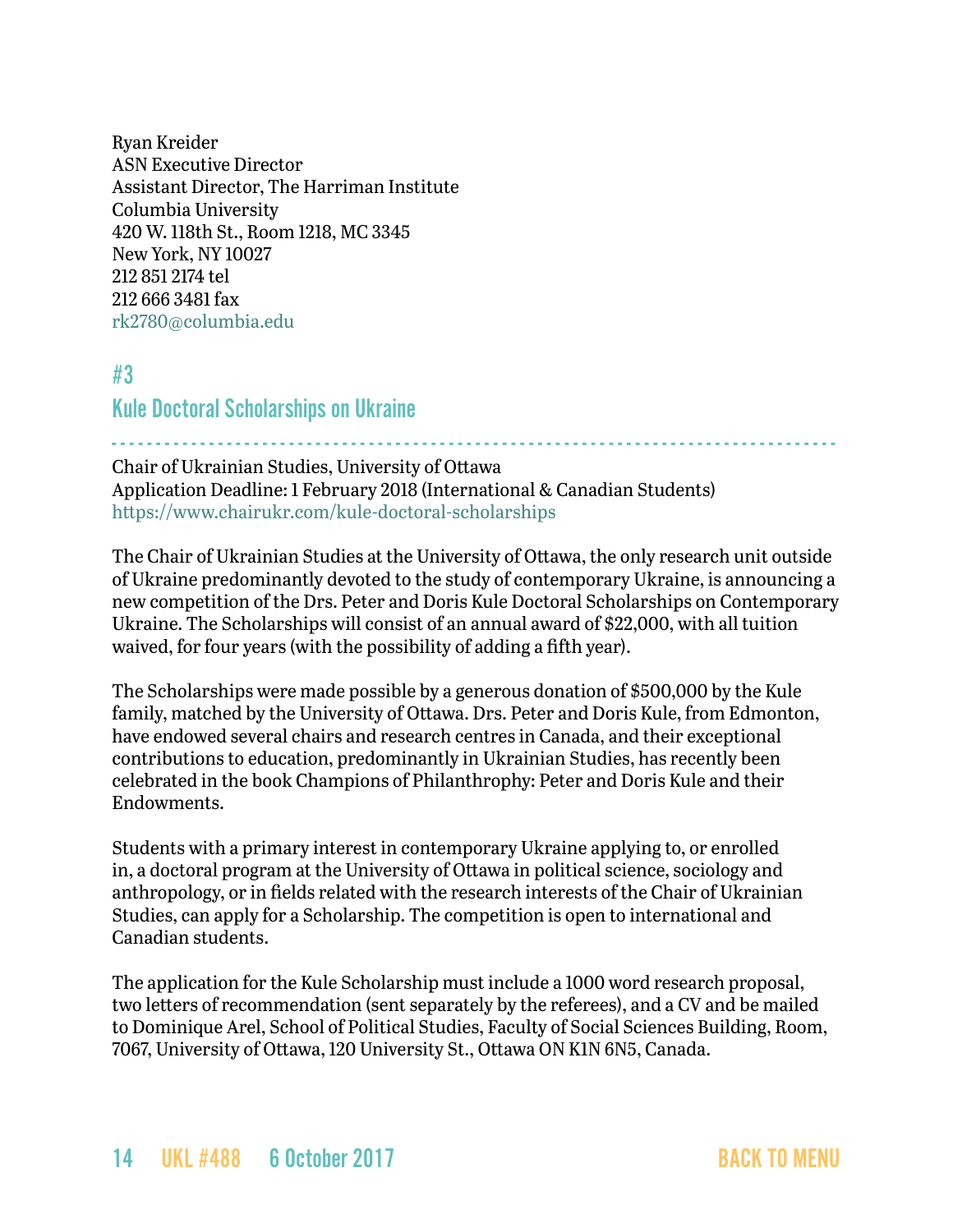Ryan Kreider ASN Executive Director Assistant Director, The Harriman Institute Columbia University 420 W. 118th St., Room 1218, MC 3345 New York, NY 10027 212 851 2174 tel 212 666 3481 fax [rk2780@columbia.edu](mailto:rk2780@columbia.edu)

<span id="page-13-0"></span>#3

Kule Doctoral Scholarships on Ukraine

- - - - - - - - - - - - - - - - - - - - - - - - - - - - - - - - - - - - - - - - - - - - - - - - - - - - - - - - - - - - - - - - - - - - - - - - - - - - - - - - - - Chair of Ukrainian Studies, University of Ottawa Application Deadline: 1 February 2018 (International & Canadian Students) <https://www.chairukr.com/kule-doctoral-scholarships>

The Chair of Ukrainian Studies at the University of Ottawa, the only research unit outside of Ukraine predominantly devoted to the study of contemporary Ukraine, is announcing a new competition of the Drs. Peter and Doris Kule Doctoral Scholarships on Contemporary Ukraine. The Scholarships will consist of an annual award of \$22,000, with all tuition waived, for four years (with the possibility of adding a fifth year).

The Scholarships were made possible by a generous donation of \$500,000 by the Kule family, matched by the University of Ottawa. Drs. Peter and Doris Kule, from Edmonton, have endowed several chairs and research centres in Canada, and their exceptional contributions to education, predominantly in Ukrainian Studies, has recently been celebrated in the book Champions of Philanthrophy: Peter and Doris Kule and their Endowments.

Students with a primary interest in contemporary Ukraine applying to, or enrolled in, a doctoral program at the University of Ottawa in political science, sociology and anthropology, or in fields related with the research interests of the Chair of Ukrainian Studies, can apply for a Scholarship. The competition is open to international and Canadian students.

The application for the Kule Scholarship must include a 1000 word research proposal, two letters of recommendation (sent separately by the referees), and a CV and be mailed to Dominique Arel, School of Political Studies, Faculty of Social Sciences Building, Room, 7067, University of Ottawa, 120 University St., Ottawa ON K1N 6N5, Canada.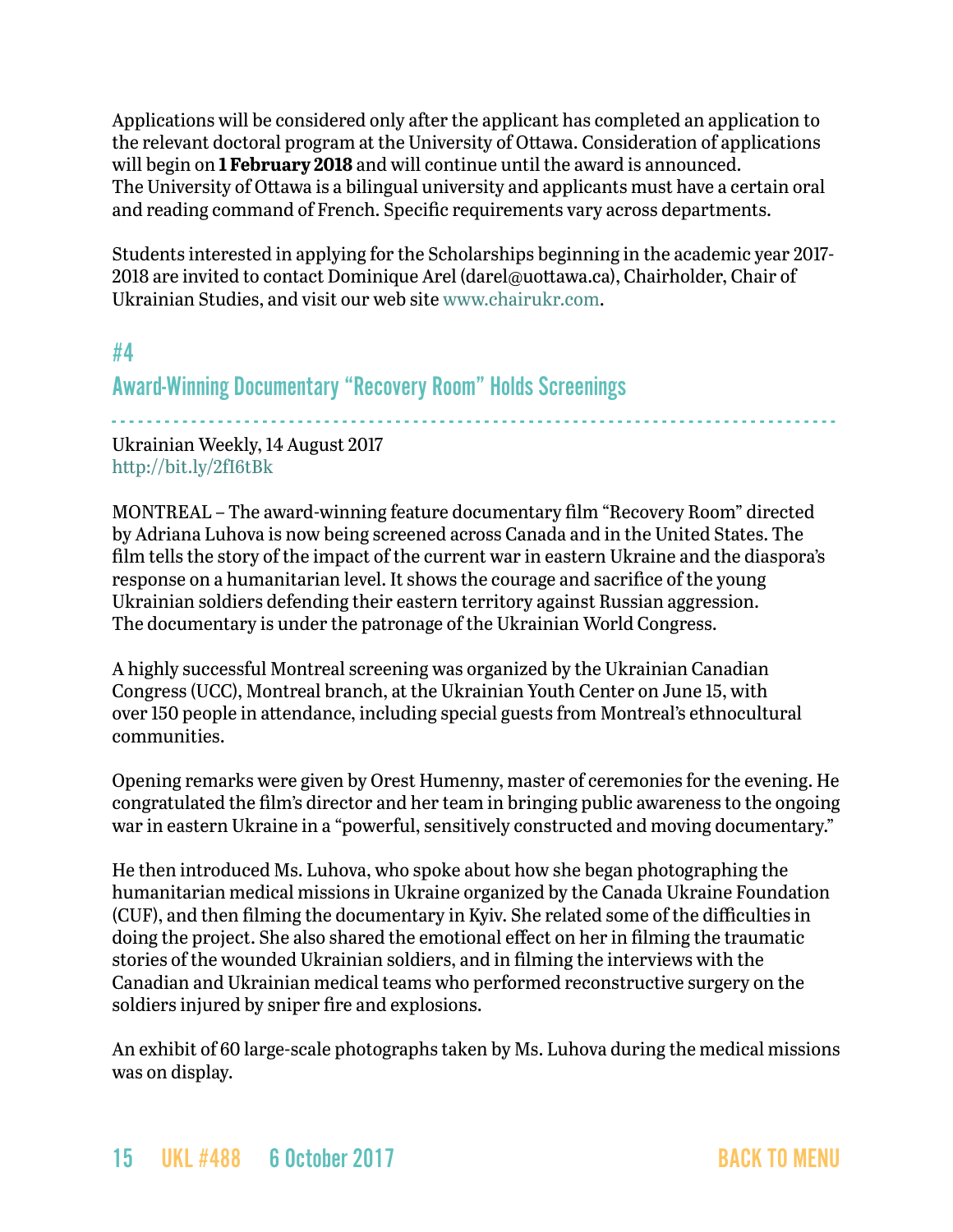Applications will be considered only after the applicant has completed an application to the relevant doctoral program at the University of Ottawa. Consideration of applications will begin on **1 February 2018** and will continue until the award is announced. The University of Ottawa is a bilingual university and applicants must have a certain oral and reading command of French. Specific requirements vary across departments.

Students interested in applying for the Scholarships beginning in the academic year 2017- 2018 are invited to contact Dominique Arel [\(darel@uottawa.ca](mailto:darel@uottawa.ca)), Chairholder, Chair of Ukrainian Studies, and visit our web site [www.chairukr.com](http://www.chairukr.com).

## #4

## Award-Winning Documentary "Recovery Room" Holds Screenings

- - - - - - - - - - - - - - - - - - - - - - - - - - - - - - - - - - - - - - - - - - - - - - - - - - - - - - - - - - - - - - - - - - - - - - - - - - - - - - - - - -

Ukrainian Weekly, 14 August 2017 <http://bit.ly/2fI6tBk>

MONTREAL – The award-winning feature documentary film "Recovery Room" directed by Adriana Luhova is now being screened across Canada and in the United States. The film tells the story of the impact of the current war in eastern Ukraine and the diaspora's response on a humanitarian level. It shows the courage and sacrifice of the young Ukrainian soldiers defending their eastern territory against Russian aggression. The documentary is under the patronage of the Ukrainian World Congress.

A highly successful Montreal screening was organized by the Ukrainian Canadian Congress (UCC), Montreal branch, at the Ukrainian Youth Center on June 15, with over 150 people in attendance, including special guests from Montreal's ethnocultural communities.

Opening remarks were given by Orest Humenny, master of ceremonies for the evening. He congratulated the film's director and her team in bringing public awareness to the ongoing war in eastern Ukraine in a "powerful, sensitively constructed and moving documentary."

He then introduced Ms. Luhova, who spoke about how she began photographing the humanitarian medical missions in Ukraine organized by the Canada Ukraine Foundation (CUF), and then filming the documentary in Kyiv. She related some of the difficulties in doing the project. She also shared the emotional effect on her in filming the traumatic stories of the wounded Ukrainian soldiers, and in filming the interviews with the Canadian and Ukrainian medical teams who performed reconstructive surgery on the soldiers injured by sniper fire and explosions.

An exhibit of 60 large-scale photographs taken by Ms. Luhova during the medical missions was on display.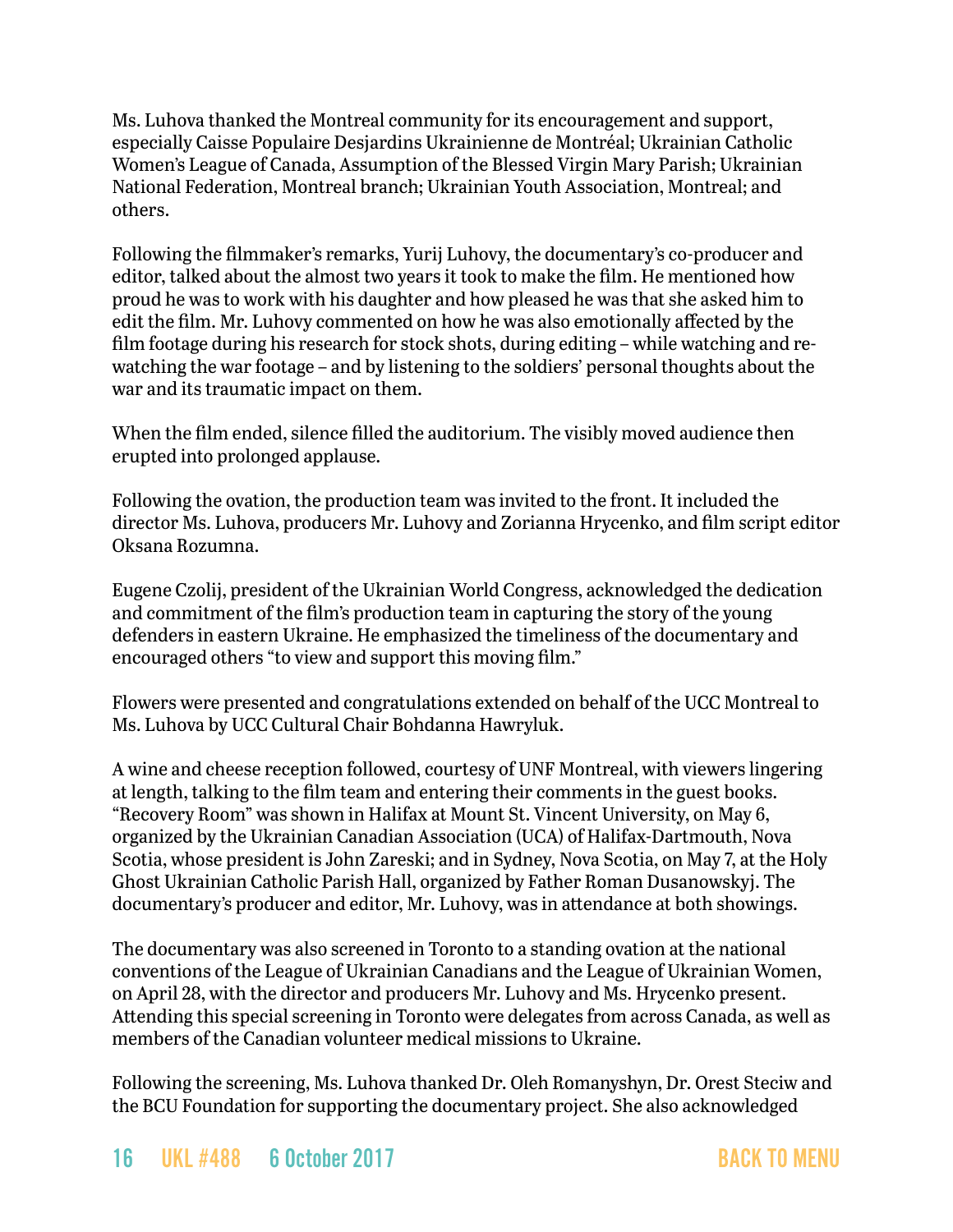Ms. Luhova thanked the Montreal community for its encouragement and support, especially Caisse Populaire Desjardins Ukrainienne de Montréal; Ukrainian Catholic Women's League of Canada, Assumption of the Blessed Virgin Mary Parish; Ukrainian National Federation, Montreal branch; Ukrainian Youth Association, Montreal; and others.

Following the filmmaker's remarks, Yurij Luhovy, the documentary's co-producer and editor, talked about the almost two years it took to make the film. He mentioned how proud he was to work with his daughter and how pleased he was that she asked him to edit the film. Mr. Luhovy commented on how he was also emotionally affected by the film footage during his research for stock shots, during editing – while watching and rewatching the war footage – and by listening to the soldiers' personal thoughts about the war and its traumatic impact on them.

When the film ended, silence filled the auditorium. The visibly moved audience then erupted into prolonged applause.

Following the ovation, the production team was invited to the front. It included the director Ms. Luhova, producers Mr. Luhovy and Zorianna Hrycenko, and film script editor Oksana Rozumna.

Eugene Czolij, president of the Ukrainian World Congress, acknowledged the dedication and commitment of the film's production team in capturing the story of the young defenders in eastern Ukraine. He emphasized the timeliness of the documentary and encouraged others "to view and support this moving film."

Flowers were presented and congratulations extended on behalf of the UCC Montreal to Ms. Luhova by UCC Cultural Chair Bohdanna Hawryluk.

A wine and cheese reception followed, courtesy of UNF Montreal, with viewers lingering at length, talking to the film team and entering their comments in the guest books. "Recovery Room" was shown in Halifax at Mount St. Vincent University, on May 6, organized by the Ukrainian Canadian Association (UCA) of Halifax-Dartmouth, Nova Scotia, whose president is John Zareski; and in Sydney, Nova Scotia, on May 7, at the Holy Ghost Ukrainian Catholic Parish Hall, organized by Father Roman Dusanowskyj. The documentary's producer and editor, Mr. Luhovy, was in attendance at both showings.

The documentary was also screened in Toronto to a standing ovation at the national conventions of the League of Ukrainian Canadians and the League of Ukrainian Women, on April 28, with the director and producers Mr. Luhovy and Ms. Hrycenko present. Attending this special screening in Toronto were delegates from across Canada, as well as members of the Canadian volunteer medical missions to Ukraine.

Following the screening, Ms. Luhova thanked Dr. Oleh Romanyshyn, Dr. Orest Steciw and the BCU Foundation for supporting the documentary project. She also acknowledged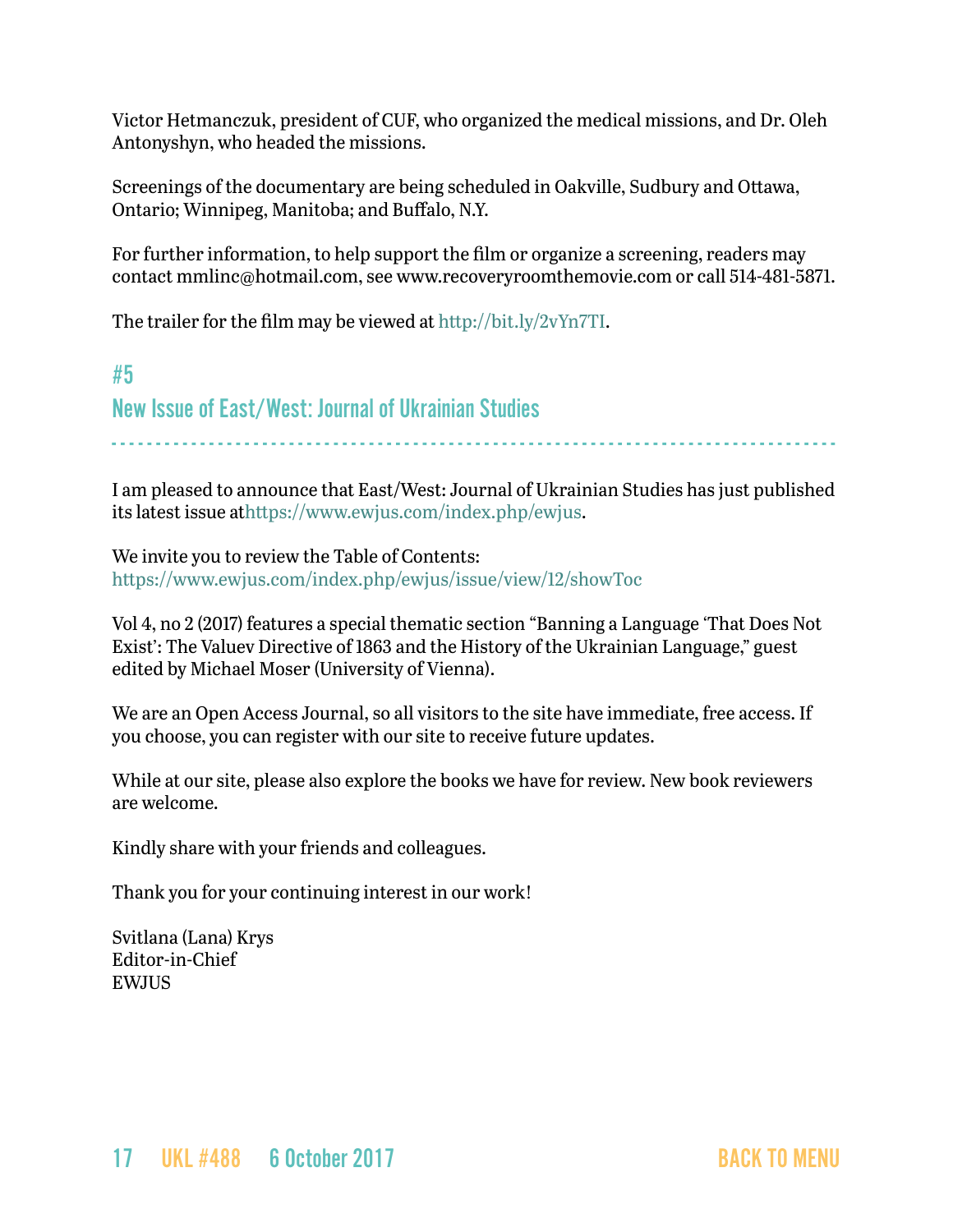Victor Hetmanczuk, president of CUF, who organized the medical missions, and Dr. Oleh Antonyshyn, who headed the missions.

Screenings of the documentary are being scheduled in Oakville, Sudbury and Ottawa, Ontario; Winnipeg, Manitoba; and Buffalo, N.Y.

For further information, to help support the film or organize a screening, readers may contact mmlinc@hotmail.com, see www.recoveryroomthemovie.com or call 514-481-5871.

The trailer for the film may be viewed at <http://bit.ly/2vYn7TI>.

## <span id="page-16-0"></span>#5

New Issue of East/West: Journal of Ukrainian Studies

I am pleased to announce that East/West: Journal of Ukrainian Studies has just published its latest issue a[thttps://www.ewjus.com/index.php/ewjus.](https://www.ewjus.com/index.php/ewjus)

- - - - - - - - - - - - - - - - - - - - - - - - - - - - - - - - - - - - - - - - - - - - - - - - - - - - - - - - - - - - - - - - - - - - - - - - - - - - - - - - - -

We invite you to review the Table of Contents: <https://www.ewjus.com/index.php/ewjus/issue/view/12/showToc>

Vol 4, no 2 (2017) features a special thematic section "Banning a Language 'That Does Not Exist': The Valuev Directive of 1863 and the History of the Ukrainian Language," guest edited by Michael Moser (University of Vienna).

We are an Open Access Journal, so all visitors to the site have immediate, free access. If you choose, you can register with our site to receive future updates.

While at our site, please also explore the books we have for review. New book reviewers are welcome.

Kindly share with your friends and colleagues.

Thank you for your continuing interest in our work!

Svitlana (Lana) Krys Editor-in-Chief EWJUS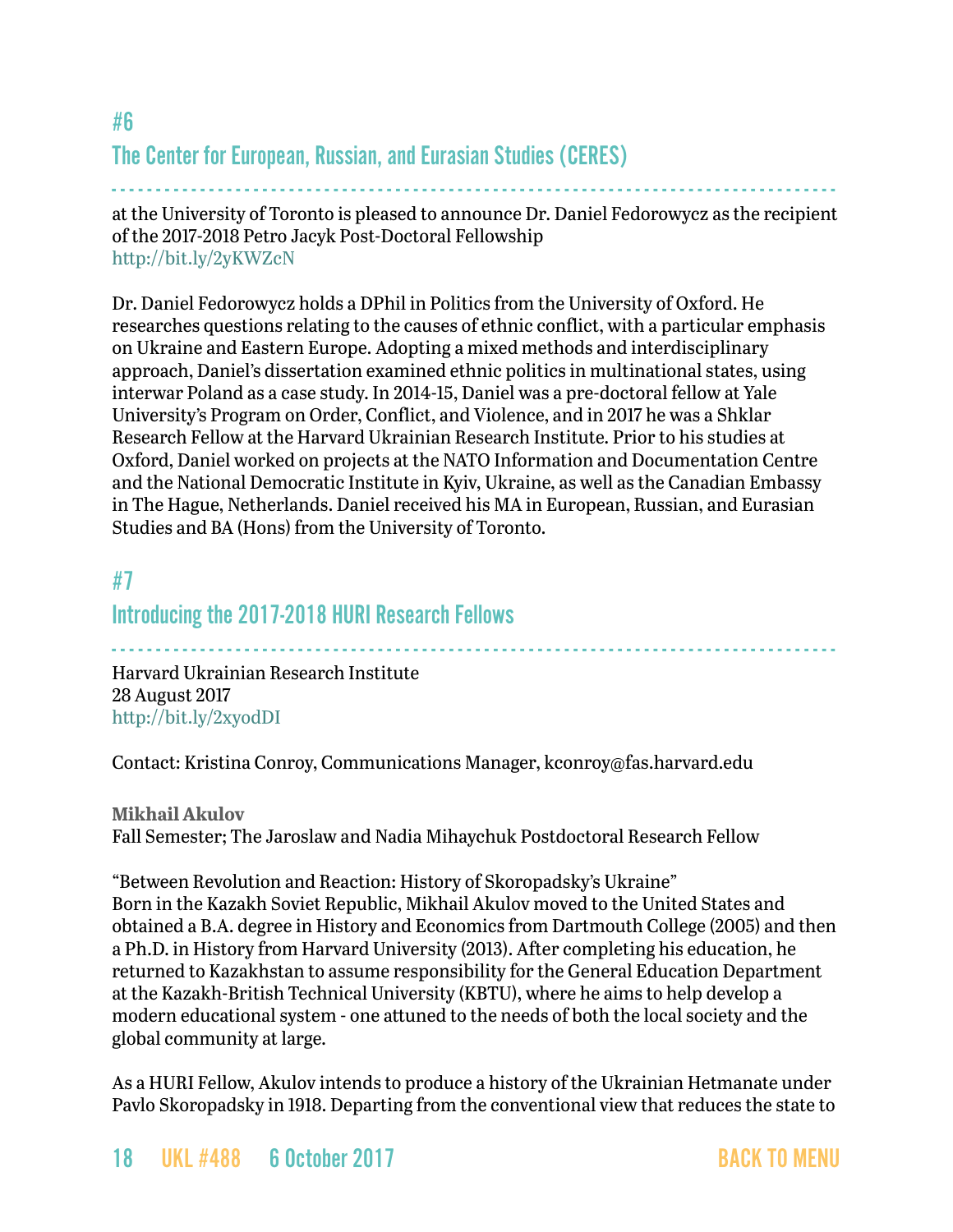# <span id="page-17-0"></span>#6 The Center for European, Russian, and Eurasian Studies (CERES)

- - - - - - - - - - - - - - - - - - - - - - - - - - - - - - - - - - - - - - - - - - - - - - - - - - - - - - - - - - - - - - - - - - - - - - - - - - - - - - - - - -

at the University of Toronto is pleased to announce Dr. Daniel Fedorowycz as the recipient of the 2017-2018 Petro Jacyk Post-Doctoral Fellowship <http://bit.ly/2yKWZcN>

Dr. Daniel Fedorowycz holds a DPhil in Politics from the University of Oxford. He researches questions relating to the causes of ethnic conflict, with a particular emphasis on Ukraine and Eastern Europe. Adopting a mixed methods and interdisciplinary approach, Daniel's dissertation examined ethnic politics in multinational states, using interwar Poland as a case study. In 2014-15, Daniel was a pre-doctoral fellow at Yale University's Program on Order, Conflict, and Violence, and in 2017 he was a Shklar Research Fellow at the Harvard Ukrainian Research Institute. Prior to his studies at Oxford, Daniel worked on projects at the NATO Information and Documentation Centre and the National Democratic Institute in Kyiv, Ukraine, as well as the Canadian Embassy in The Hague, Netherlands. Daniel received his MA in European, Russian, and Eurasian Studies and BA (Hons) from the University of Toronto.

# <span id="page-17-1"></span>#7

## Introducing the 2017-2018 HURI Research Fellows

- - - - - - - - - - - - - - - - - - - - - - - - - - - - - - - - - - - - - - - - - - - - - - - - - - - - - - - - - - - - - - - - - - - - - - - - - - - - - - - - - - Harvard Ukrainian Research Institute 28 August 2017 <http://bit.ly/2xyodDI>

Contact: Kristina Conroy, Communications Manager, [kconroy@fas.harvard.edu](mailto:kconroy@fas.harvard.edu)

**Mikhail Akulov**  Fall Semester; The Jaroslaw and Nadia Mihaychuk Postdoctoral Research Fellow

"Between Revolution and Reaction: History of Skoropadsky's Ukraine" Born in the Kazakh Soviet Republic, Mikhail Akulov moved to the United States and obtained a B.A. degree in History and Economics from Dartmouth College (2005) and then a Ph.D. in History from Harvard University (2013). After completing his education, he returned to Kazakhstan to assume responsibility for the General Education Department at the Kazakh-British Technical University (KBTU), where he aims to help develop a modern educational system - one attuned to the needs of both the local society and the global community at large.

As a HURI Fellow, Akulov intends to produce a history of the Ukrainian Hetmanate under Pavlo Skoropadsky in 1918. Departing from the conventional view that reduces the state to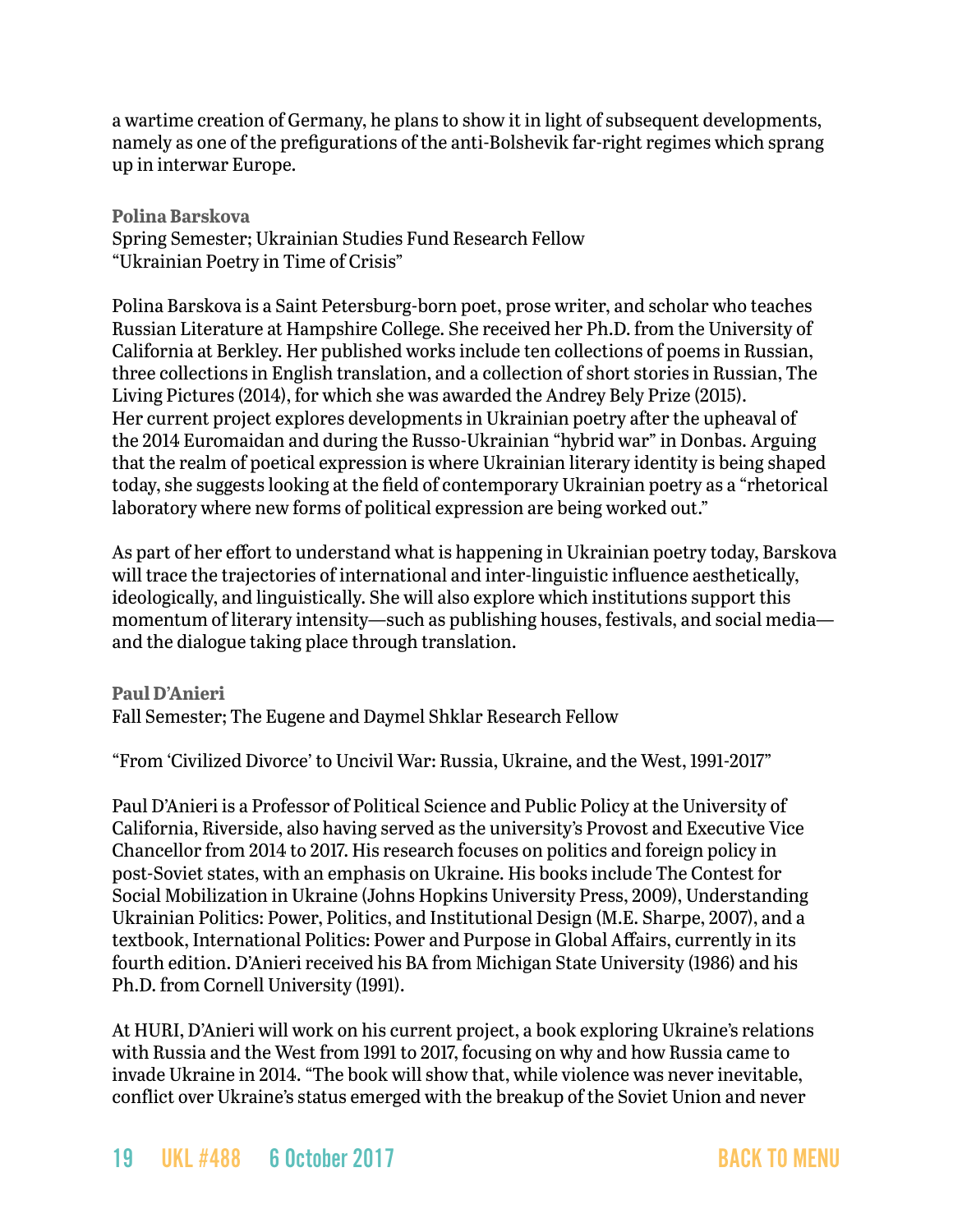a wartime creation of Germany, he plans to show it in light of subsequent developments, namely as one of the prefigurations of the anti-Bolshevik far-right regimes which sprang up in interwar Europe.

**Polina Barskova**  Spring Semester; Ukrainian Studies Fund Research Fellow "Ukrainian Poetry in Time of Crisis"

Polina Barskova is a Saint Petersburg-born poet, prose writer, and scholar who teaches Russian Literature at Hampshire College. She received her Ph.D. from the University of California at Berkley. Her published works include ten collections of poems in Russian, three collections in English translation, and a collection of short stories in Russian, The Living Pictures (2014), for which she was awarded the Andrey Bely Prize (2015). Her current project explores developments in Ukrainian poetry after the upheaval of the 2014 Euromaidan and during the Russo-Ukrainian "hybrid war" in Donbas. Arguing that the realm of poetical expression is where Ukrainian literary identity is being shaped today, she suggests looking at the field of contemporary Ukrainian poetry as a "rhetorical laboratory where new forms of political expression are being worked out."

As part of her effort to understand what is happening in Ukrainian poetry today, Barskova will trace the trajectories of international and inter-linguistic influence aesthetically, ideologically, and linguistically. She will also explore which institutions support this momentum of literary intensity—such as publishing houses, festivals, and social media and the dialogue taking place through translation.

**Paul D'Anieri** Fall Semester; The Eugene and Daymel Shklar Research Fellow

"From 'Civilized Divorce' to Uncivil War: Russia, Ukraine, and the West, 1991-2017"

Paul D'Anieri is a Professor of Political Science and Public Policy at the University of California, Riverside, also having served as the university's Provost and Executive Vice Chancellor from 2014 to 2017. His research focuses on politics and foreign policy in post-Soviet states, with an emphasis on Ukraine. His books include The Contest for Social Mobilization in Ukraine (Johns Hopkins University Press, 2009), Understanding Ukrainian Politics: Power, Politics, and Institutional Design (M.E. Sharpe, 2007), and a textbook, International Politics: Power and Purpose in Global Affairs, currently in its fourth edition. D'Anieri received his BA from Michigan State University (1986) and his Ph.D. from Cornell University (1991).

At HURI, D'Anieri will work on his current project, a book exploring Ukraine's relations with Russia and the West from 1991 to 2017, focusing on why and how Russia came to invade Ukraine in 2014. "The book will show that, while violence was never inevitable, conflict over Ukraine's status emerged with the breakup of the Soviet Union and never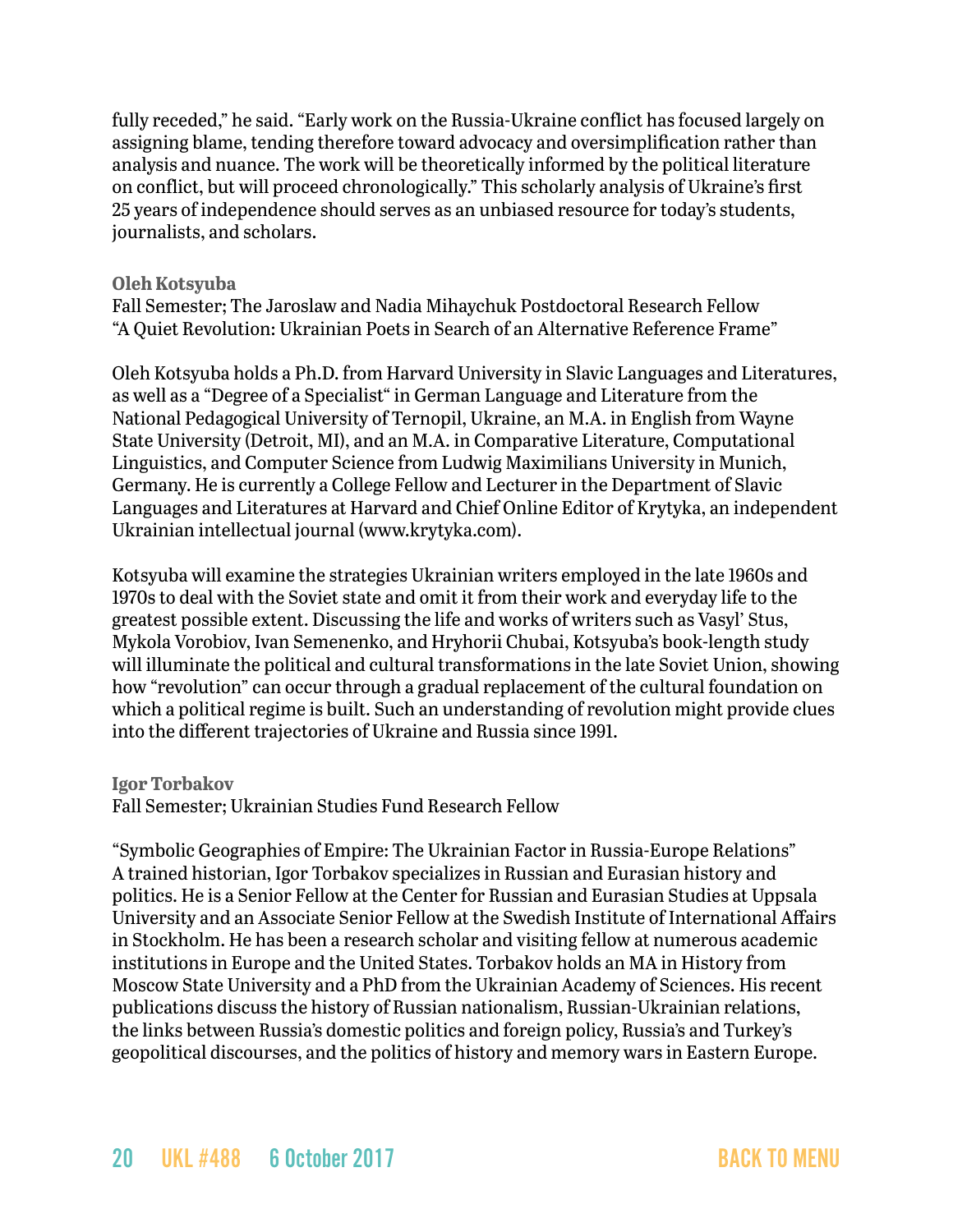fully receded," he said. "Early work on the Russia-Ukraine conflict has focused largely on assigning blame, tending therefore toward advocacy and oversimplification rather than analysis and nuance. The work will be theoretically informed by the political literature on conflict, but will proceed chronologically." This scholarly analysis of Ukraine's first 25 years of independence should serves as an unbiased resource for today's students, journalists, and scholars.

#### **Oleh Kotsyuba**

Fall Semester; The Jaroslaw and Nadia Mihaychuk Postdoctoral Research Fellow "A Quiet Revolution: Ukrainian Poets in Search of an Alternative Reference Frame"

Oleh Kotsyuba holds a Ph.D. from Harvard University in Slavic Languages and Literatures, as well as a "Degree of a Specialist" in German Language and Literature from the National Pedagogical University of Ternopil, Ukraine, an M.A. in English from Wayne State University (Detroit, MI), and an M.A. in Comparative Literature, Computational Linguistics, and Computer Science from Ludwig Maximilians University in Munich, Germany. He is currently a College Fellow and Lecturer in the Department of Slavic Languages and Literatures at Harvard and Chief Online Editor of Krytyka, an independent Ukrainian intellectual journal (www.krytyka.com).

Kotsyuba will examine the strategies Ukrainian writers employed in the late 1960s and 1970s to deal with the Soviet state and omit it from their work and everyday life to the greatest possible extent. Discussing the life and works of writers such as Vasyl' Stus, Mykola Vorobiov, Ivan Semenenko, and Hryhorii Chubai, Kotsyuba's book-length study will illuminate the political and cultural transformations in the late Soviet Union, showing how "revolution" can occur through a gradual replacement of the cultural foundation on which a political regime is built. Such an understanding of revolution might provide clues into the different trajectories of Ukraine and Russia since 1991.

#### **Igor Torbakov**

Fall Semester; Ukrainian Studies Fund Research Fellow

"Symbolic Geographies of Empire: The Ukrainian Factor in Russia-Europe Relations" A trained historian, Igor Torbakov specializes in Russian and Eurasian history and politics. He is a Senior Fellow at the Center for Russian and Eurasian Studies at Uppsala University and an Associate Senior Fellow at the Swedish Institute of International Affairs in Stockholm. He has been a research scholar and visiting fellow at numerous academic institutions in Europe and the United States. Torbakov holds an MA in History from Moscow State University and a PhD from the Ukrainian Academy of Sciences. His recent publications discuss the history of Russian nationalism, Russian-Ukrainian relations, the links between Russia's domestic politics and foreign policy, Russia's and Turkey's geopolitical discourses, and the politics of history and memory wars in Eastern Europe.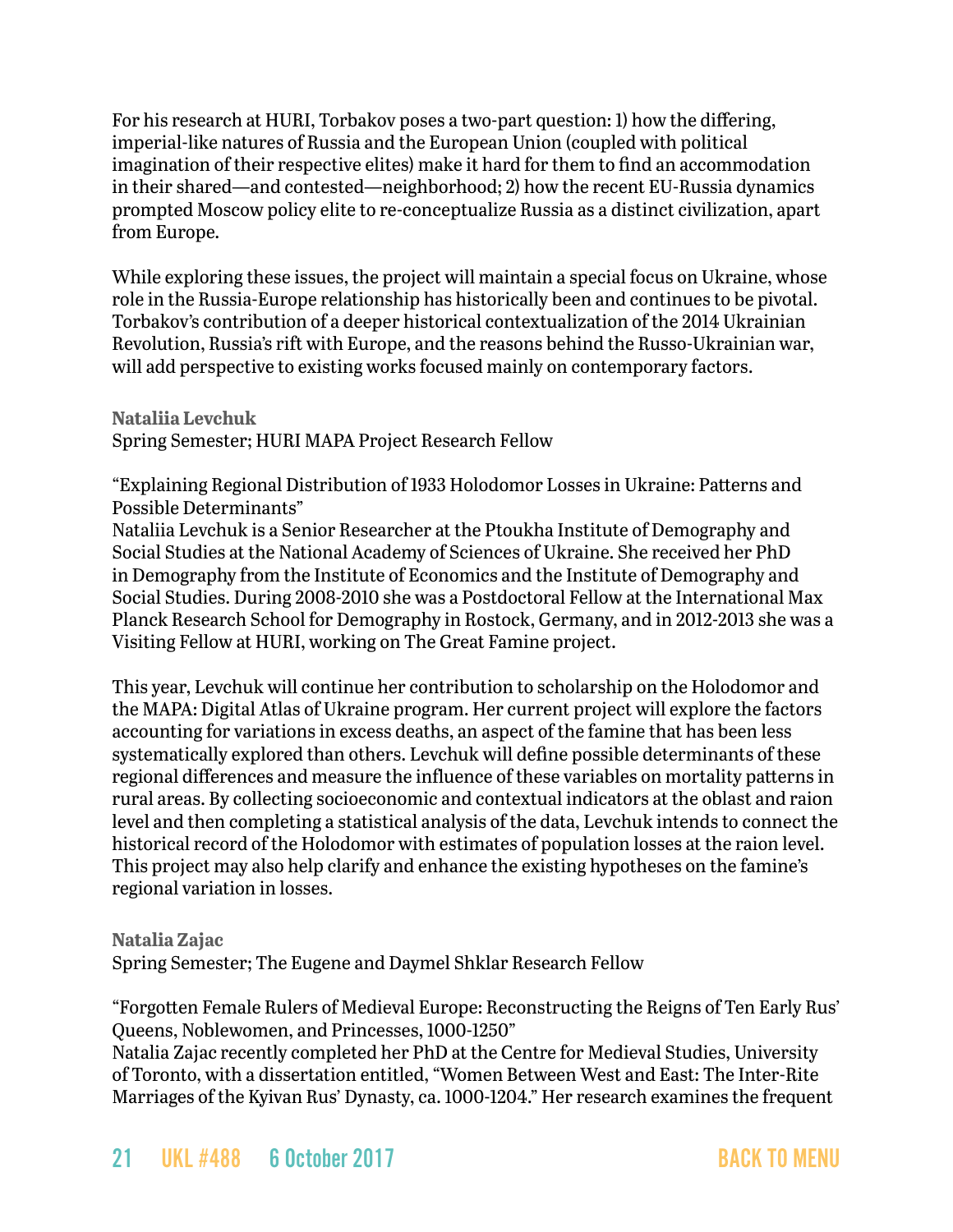For his research at HURI, Torbakov poses a two-part question: 1) how the differing, imperial-like natures of Russia and the European Union (coupled with political imagination of their respective elites) make it hard for them to find an accommodation in their shared—and contested—neighborhood; 2) how the recent EU-Russia dynamics prompted Moscow policy elite to re-conceptualize Russia as a distinct civilization, apart from Europe.

While exploring these issues, the project will maintain a special focus on Ukraine, whose role in the Russia-Europe relationship has historically been and continues to be pivotal. Torbakov's contribution of a deeper historical contextualization of the 2014 Ukrainian Revolution, Russia's rift with Europe, and the reasons behind the Russo-Ukrainian war, will add perspective to existing works focused mainly on contemporary factors.

**Nataliia Levchuk** Spring Semester; HURI MAPA Project Research Fellow

"Explaining Regional Distribution of 1933 Holodomor Losses in Ukraine: Patterns and Possible Determinants"

Nataliia Levchuk is a Senior Researcher at the Ptoukha Institute of Demography and Social Studies at the National Academy of Sciences of Ukraine. She received her PhD in Demography from the Institute of Economics and the Institute of Demography and Social Studies. During 2008-2010 she was a Postdoctoral Fellow at the International Max Planck Research School for Demography in Rostock, Germany, and in 2012-2013 she was a Visiting Fellow at HURI, working on The Great Famine project.

This year, Levchuk will continue her contribution to scholarship on the Holodomor and the MAPA: Digital Atlas of Ukraine program. Her current project will explore the factors accounting for variations in excess deaths, an aspect of the famine that has been less systematically explored than others. Levchuk will define possible determinants of these regional differences and measure the influence of these variables on mortality patterns in rural areas. By collecting socioeconomic and contextual indicators at the oblast and raion level and then completing a statistical analysis of the data, Levchuk intends to connect the historical record of the Holodomor with estimates of population losses at the raion level. This project may also help clarify and enhance the existing hypotheses on the famine's regional variation in losses.

**Natalia Zajac** 

Spring Semester; The Eugene and Daymel Shklar Research Fellow

"Forgotten Female Rulers of Medieval Europe: Reconstructing the Reigns of Ten Early Rus' Queens, Noblewomen, and Princesses, 1000-1250"

Natalia Zajac recently completed her PhD at the Centre for Medieval Studies, University of Toronto, with a dissertation entitled, "Women Between West and East: The Inter-Rite Marriages of the Kyivan Rus' Dynasty, ca. 1000-1204." Her research examines the frequent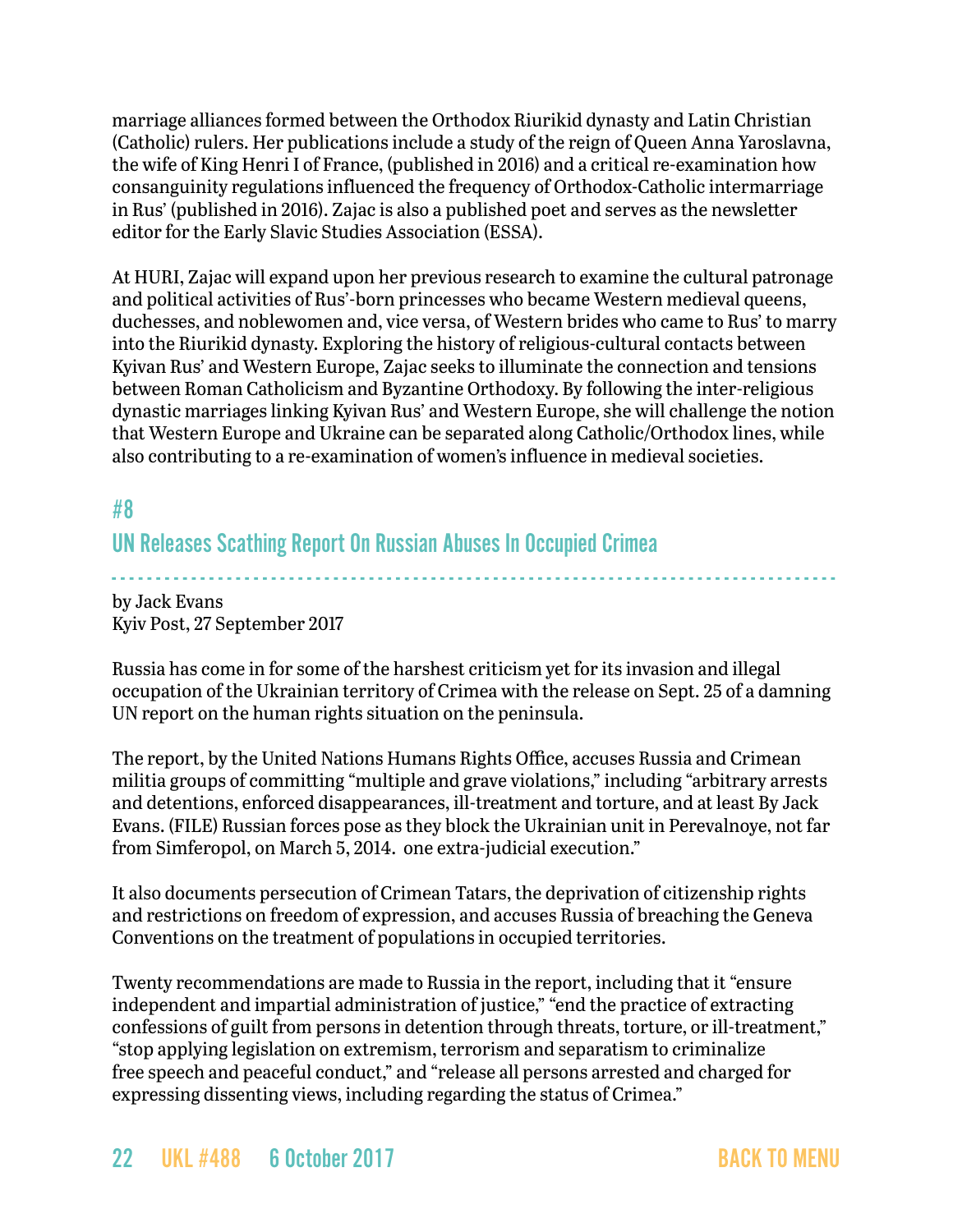marriage alliances formed between the Orthodox Riurikid dynasty and Latin Christian (Catholic) rulers. Her publications include a study of the reign of Queen Anna Yaroslavna, the wife of King Henri I of France, (published in 2016) and a critical re-examination how consanguinity regulations influenced the frequency of Orthodox-Catholic intermarriage in Rus' (published in 2016). Zajac is also a published poet and serves as the newsletter editor for the Early Slavic Studies Association (ESSA).

At HURI, Zajac will expand upon her previous research to examine the cultural patronage and political activities of Rus'-born princesses who became Western medieval queens, duchesses, and noblewomen and, vice versa, of Western brides who came to Rus' to marry into the Riurikid dynasty. Exploring the history of religious-cultural contacts between Kyivan Rus' and Western Europe, Zajac seeks to illuminate the connection and tensions between Roman Catholicism and Byzantine Orthodoxy. By following the inter-religious dynastic marriages linking Kyivan Rus' and Western Europe, she will challenge the notion that Western Europe and Ukraine can be separated along Catholic/Orthodox lines, while also contributing to a re-examination of women's influence in medieval societies.

# <span id="page-21-0"></span>#8 UN Releases Scathing Report On Russian Abuses In Occupied Crimea

- - - - - - - - - - - - - - - - - - - - - - - - - - - - - - - - - - - - - - - - - - - - - - - - - - - - - - - - - - - - - - - - - - - - - - - - - - - - - - - - - by Jack Evans Kyiv Post, 27 September 2017

Russia has come in for some of the harshest criticism yet for its invasion and illegal occupation of the Ukrainian territory of Crimea with the release on Sept. 25 of a damning UN report on the human rights situation on the peninsula.

The report, by the United Nations Humans Rights Office, accuses Russia and Crimean militia groups of committing "multiple and grave violations," including "arbitrary arrests and detentions, enforced disappearances, ill-treatment and torture, and at least By Jack Evans. (FILE) Russian forces pose as they block the Ukrainian unit in Perevalnoye, not far from Simferopol, on March 5, 2014. one extra-judicial execution."

It also documents persecution of Crimean Tatars, the deprivation of citizenship rights and restrictions on freedom of expression, and accuses Russia of breaching the Geneva Conventions on the treatment of populations in occupied territories.

Twenty recommendations are made to Russia in the report, including that it "ensure independent and impartial administration of justice," "end the practice of extracting confessions of guilt from persons in detention through threats, torture, or ill-treatment," "stop applying legislation on extremism, terrorism and separatism to criminalize free speech and peaceful conduct," and "release all persons arrested and charged for expressing dissenting views, including regarding the status of Crimea."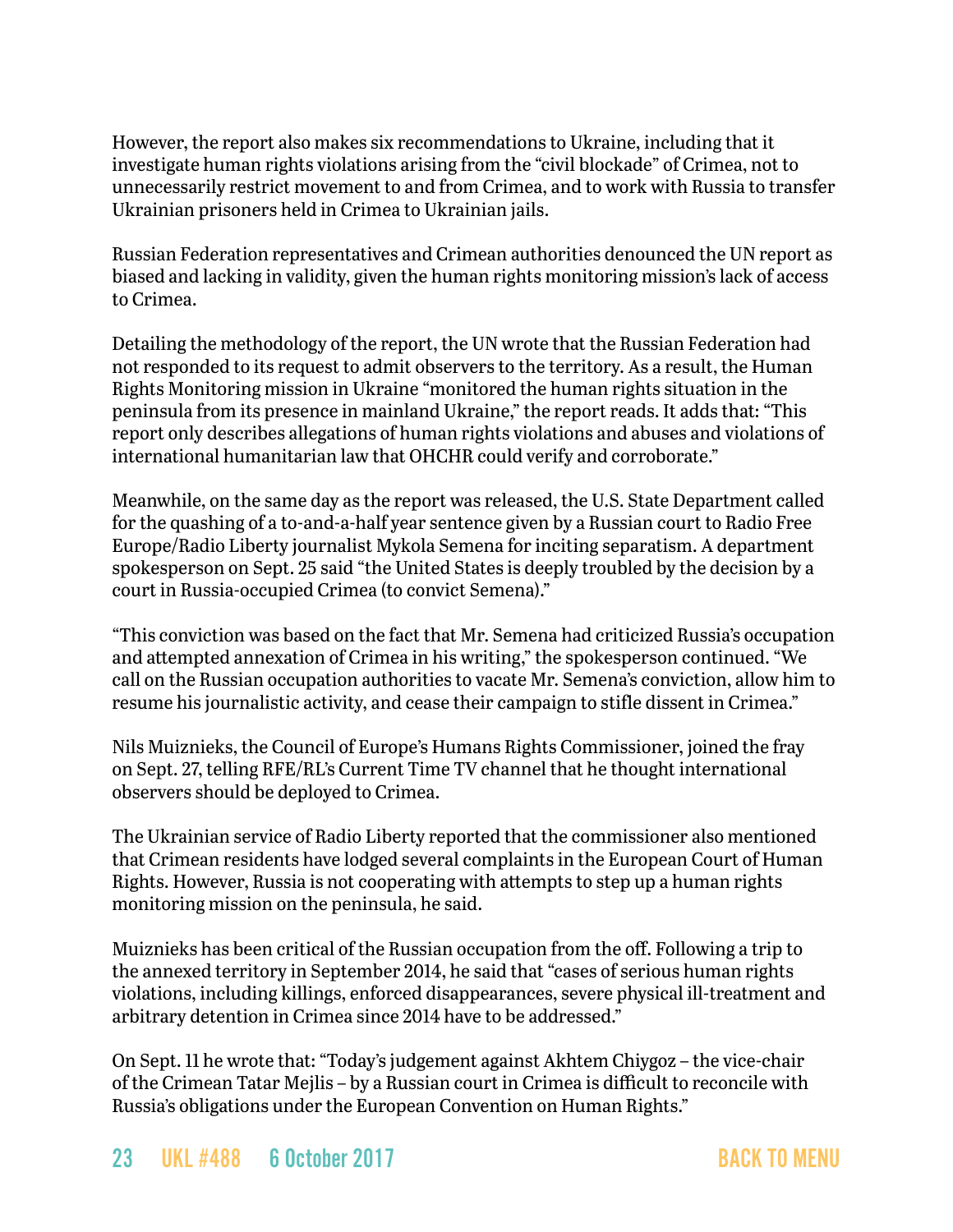However, the report also makes six recommendations to Ukraine, including that it investigate human rights violations arising from the "civil blockade" of Crimea, not to unnecessarily restrict movement to and from Crimea, and to work with Russia to transfer Ukrainian prisoners held in Crimea to Ukrainian jails.

Russian Federation representatives and Crimean authorities denounced the UN report as biased and lacking in validity, given the human rights monitoring mission's lack of access to Crimea.

Detailing the methodology of the report, the UN wrote that the Russian Federation had not responded to its request to admit observers to the territory. As a result, the Human Rights Monitoring mission in Ukraine "monitored the human rights situation in the peninsula from its presence in mainland Ukraine," the report reads. It adds that: "This report only describes allegations of human rights violations and abuses and violations of international humanitarian law that OHCHR could verify and corroborate."

Meanwhile, on the same day as the report was released, the U.S. State Department called for the quashing of a to-and-a-half year sentence given by a Russian court to Radio Free Europe/Radio Liberty journalist Mykola Semena for inciting separatism. A department spokesperson on Sept. 25 said "the United States is deeply troubled by the decision by a court in Russia-occupied Crimea (to convict Semena)."

"This conviction was based on the fact that Mr. Semena had criticized Russia's occupation and attempted annexation of Crimea in his writing," the spokesperson continued. "We call on the Russian occupation authorities to vacate Mr. Semena's conviction, allow him to resume his journalistic activity, and cease their campaign to stifle dissent in Crimea."

Nils Muiznieks, the Council of Europe's Humans Rights Commissioner, joined the fray on Sept. 27, telling RFE/RL's Current Time TV channel that he thought international observers should be deployed to Crimea.

The Ukrainian service of Radio Liberty reported that the commissioner also mentioned that Crimean residents have lodged several complaints in the European Court of Human Rights. However, Russia is not cooperating with attempts to step up a human rights monitoring mission on the peninsula, he said.

Muiznieks has been critical of the Russian occupation from the off. Following a trip to the annexed territory in September 2014, he said that "cases of serious human rights violations, including killings, enforced disappearances, severe physical ill-treatment and arbitrary detention in Crimea since 2014 have to be addressed."

On Sept. 11 he wrote that: "Today's judgement against Akhtem Chiygoz – the vice-chair of the Crimean Tatar Mejlis – by a Russian court in Crimea is difficult to reconcile with Russia's obligations under the European Convention on Human Rights."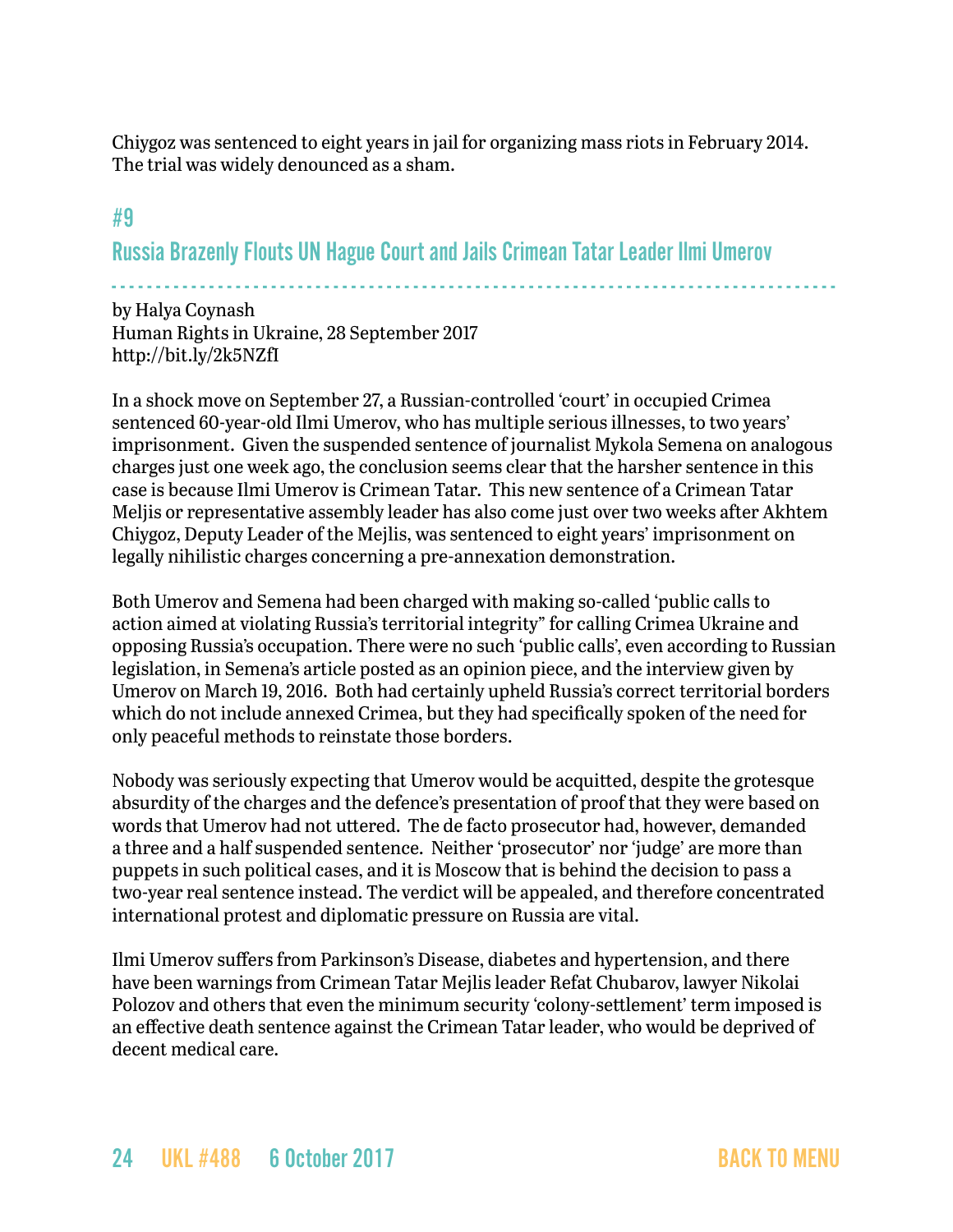Chiygoz was sentenced to eight years in jail for organizing mass riots in February 2014. The trial was widely denounced as a sham.

## <span id="page-23-0"></span>#9

Russia Brazenly Flouts UN Hague Court and Jails Crimean Tatar Leader Ilmi Umerov

- - - - - - - - - - - - - - - - - - - - - - - - - - - - - - - - - - - - - - - - - - - - - - - - - - - - - - - - - - - - - - - - - - - - - - - - - - - - - - - - - -

by Halya Coynash Human Rights in Ukraine, 28 September 2017 <http://bit.ly/2k5NZfI>

In a shock move on September 27, a Russian-controlled 'court' in occupied Crimea sentenced 60-year-old Ilmi Umerov, who has multiple serious illnesses, to two years' imprisonment. Given the suspended sentence of journalist Mykola Semena on analogous charges just one week ago, the conclusion seems clear that the harsher sentence in this case is because Ilmi Umerov is Crimean Tatar. This new sentence of a Crimean Tatar Meljis or representative assembly leader has also come just over two weeks after Akhtem Chiygoz, Deputy Leader of the Mejlis, was sentenced to eight years' imprisonment on legally nihilistic charges concerning a pre-annexation demonstration.

Both Umerov and Semena had been charged with making so-called 'public calls to action aimed at violating Russia's territorial integrity" for calling Crimea Ukraine and opposing Russia's occupation. There were no such 'public calls', even according to Russian legislation, in Semena's article posted as an opinion piece, and the interview given by Umerov on March 19, 2016. Both had certainly upheld Russia's correct territorial borders which do not include annexed Crimea, but they had specifically spoken of the need for only peaceful methods to reinstate those borders.

Nobody was seriously expecting that Umerov would be acquitted, despite the grotesque absurdity of the charges and the defence's presentation of proof that they were based on words that Umerov had not uttered. The de facto prosecutor had, however, demanded a three and a half suspended sentence. Neither 'prosecutor' nor 'judge' are more than puppets in such political cases, and it is Moscow that is behind the decision to pass a two-year real sentence instead. The verdict will be appealed, and therefore concentrated international protest and diplomatic pressure on Russia are vital.

Ilmi Umerov suffers from Parkinson's Disease, diabetes and hypertension, and there have been warnings from Crimean Tatar Mejlis leader Refat Chubarov, lawyer Nikolai Polozov and others that even the minimum security 'colony-settlement' term imposed is an effective death sentence against the Crimean Tatar leader, who would be deprived of decent medical care.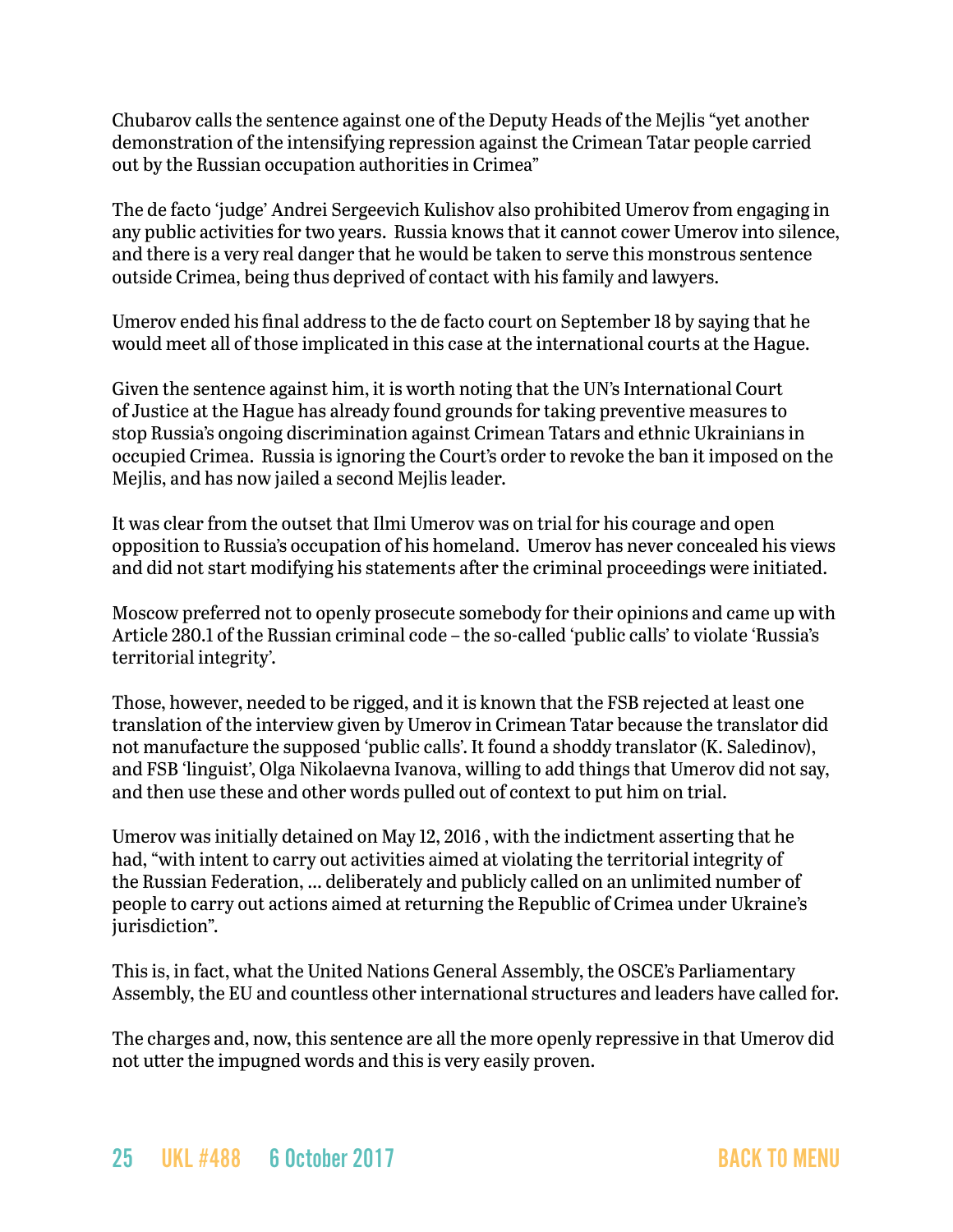Chubarov calls the sentence against one of the Deputy Heads of the Mejlis "yet another demonstration of the intensifying repression against the Crimean Tatar people carried out by the Russian occupation authorities in Crimea"

The de facto 'judge' Andrei Sergeevich Kulishov also prohibited Umerov from engaging in any public activities for two years. Russia knows that it cannot cower Umerov into silence, and there is a very real danger that he would be taken to serve this monstrous sentence outside Crimea, being thus deprived of contact with his family and lawyers.

Umerov ended his final address to the de facto court on September 18 by saying that he would meet all of those implicated in this case at the international courts at the Hague.

Given the sentence against him, it is worth noting that the UN's International Court of Justice at the Hague has already found grounds for taking preventive measures to stop Russia's ongoing discrimination against Crimean Tatars and ethnic Ukrainians in occupied Crimea. Russia is ignoring the Court's order to revoke the ban it imposed on the Mejlis, and has now jailed a second Mejlis leader.

It was clear from the outset that Ilmi Umerov was on trial for his courage and open opposition to Russia's occupation of his homeland. Umerov has never concealed his views and did not start modifying his statements after the criminal proceedings were initiated.

Moscow preferred not to openly prosecute somebody for their opinions and came up with Article 280.1 of the Russian criminal code – the so-called 'public calls' to violate 'Russia's territorial integrity'.

Those, however, needed to be rigged, and it is known that the FSB rejected at least one translation of the interview given by Umerov in Crimean Tatar because the translator did not manufacture the supposed 'public calls'. It found a shoddy translator (K. Saledinov), and FSB 'linguist', Olga Nikolaevna Ivanova, willing to add things that Umerov did not say, and then use these and other words pulled out of context to put him on trial.

Umerov was initially detained on May 12, 2016 , with the indictment asserting that he had, "with intent to carry out activities aimed at violating the territorial integrity of the Russian Federation, … deliberately and publicly called on an unlimited number of people to carry out actions aimed at returning the Republic of Crimea under Ukraine's jurisdiction".

This is, in fact, what the United Nations General Assembly, the OSCE's Parliamentary Assembly, the EU and countless other international structures and leaders have called for.

The charges and, now, this sentence are all the more openly repressive in that Umerov did not utter the impugned words and this is very easily proven.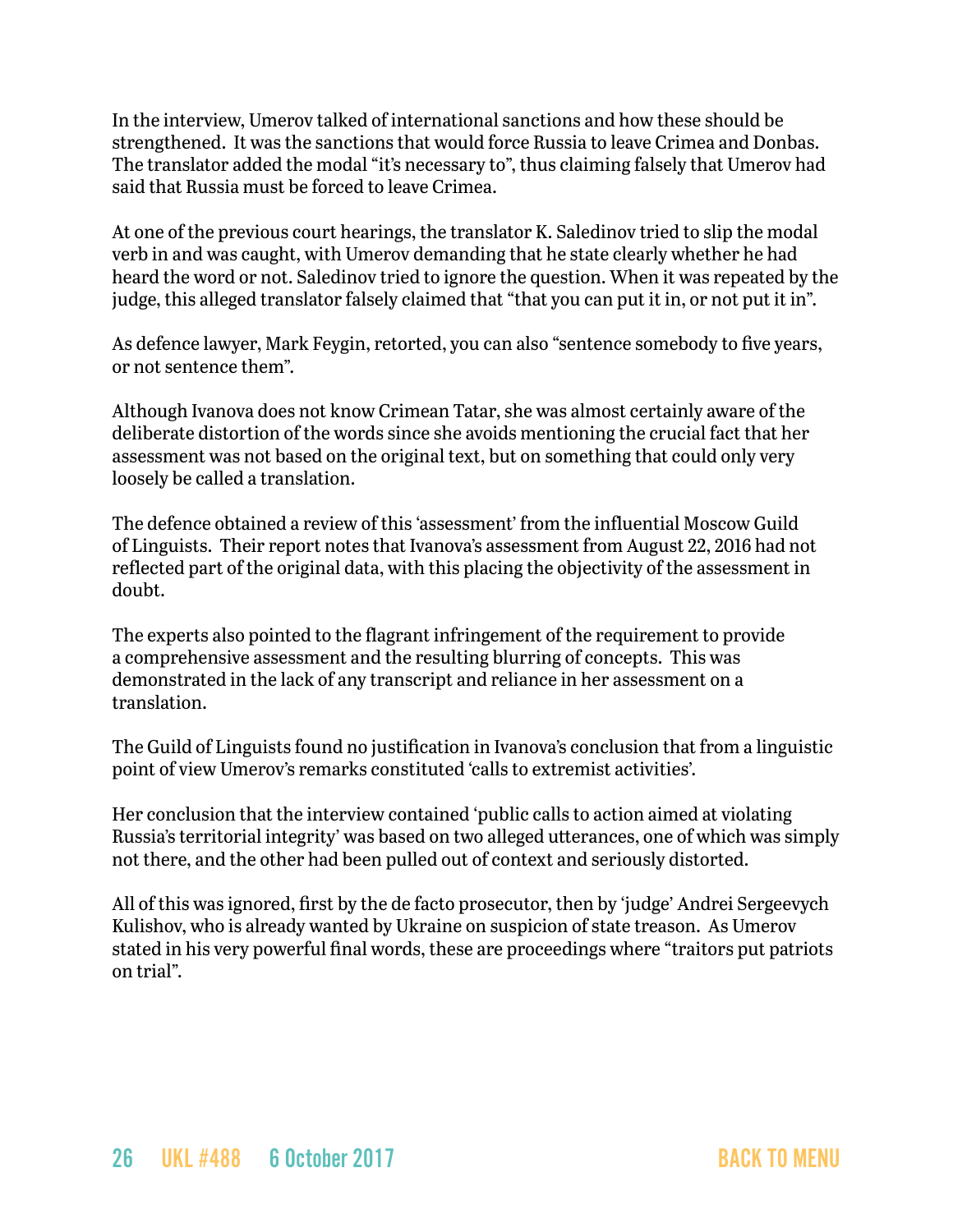In the interview, Umerov talked of international sanctions and how these should be strengthened. It was the sanctions that would force Russia to leave Crimea and Donbas. The translator added the modal "it's necessary to", thus claiming falsely that Umerov had said that Russia must be forced to leave Crimea.

At one of the previous court hearings, the translator K. Saledinov tried to slip the modal verb in and was caught, with Umerov demanding that he state clearly whether he had heard the word or not. Saledinov tried to ignore the question. When it was repeated by the judge, this alleged translator falsely claimed that "that you can put it in, or not put it in".

As defence lawyer, Mark Feygin, retorted, you can also "sentence somebody to five years, or not sentence them".

Although Ivanova does not know Crimean Tatar, she was almost certainly aware of the deliberate distortion of the words since she avoids mentioning the crucial fact that her assessment was not based on the original text, but on something that could only very loosely be called a translation.

The defence obtained a review of this 'assessment' from the influential Moscow Guild of Linguists. Their report notes that Ivanova's assessment from August 22, 2016 had not reflected part of the original data, with this placing the objectivity of the assessment in doubt.

The experts also pointed to the flagrant infringement of the requirement to provide a comprehensive assessment and the resulting blurring of concepts. This was demonstrated in the lack of any transcript and reliance in her assessment on a translation.

The Guild of Linguists found no justification in Ivanova's conclusion that from a linguistic point of view Umerov's remarks constituted 'calls to extremist activities'.

Her conclusion that the interview contained 'public calls to action aimed at violating Russia's territorial integrity' was based on two alleged utterances, one of which was simply not there, and the other had been pulled out of context and seriously distorted.

All of this was ignored, first by the de facto prosecutor, then by 'judge' Andrei Sergeevych Kulishov, who is already wanted by Ukraine on suspicion of state treason. As Umerov stated in his very powerful final words, these are proceedings where "traitors put patriots on trial".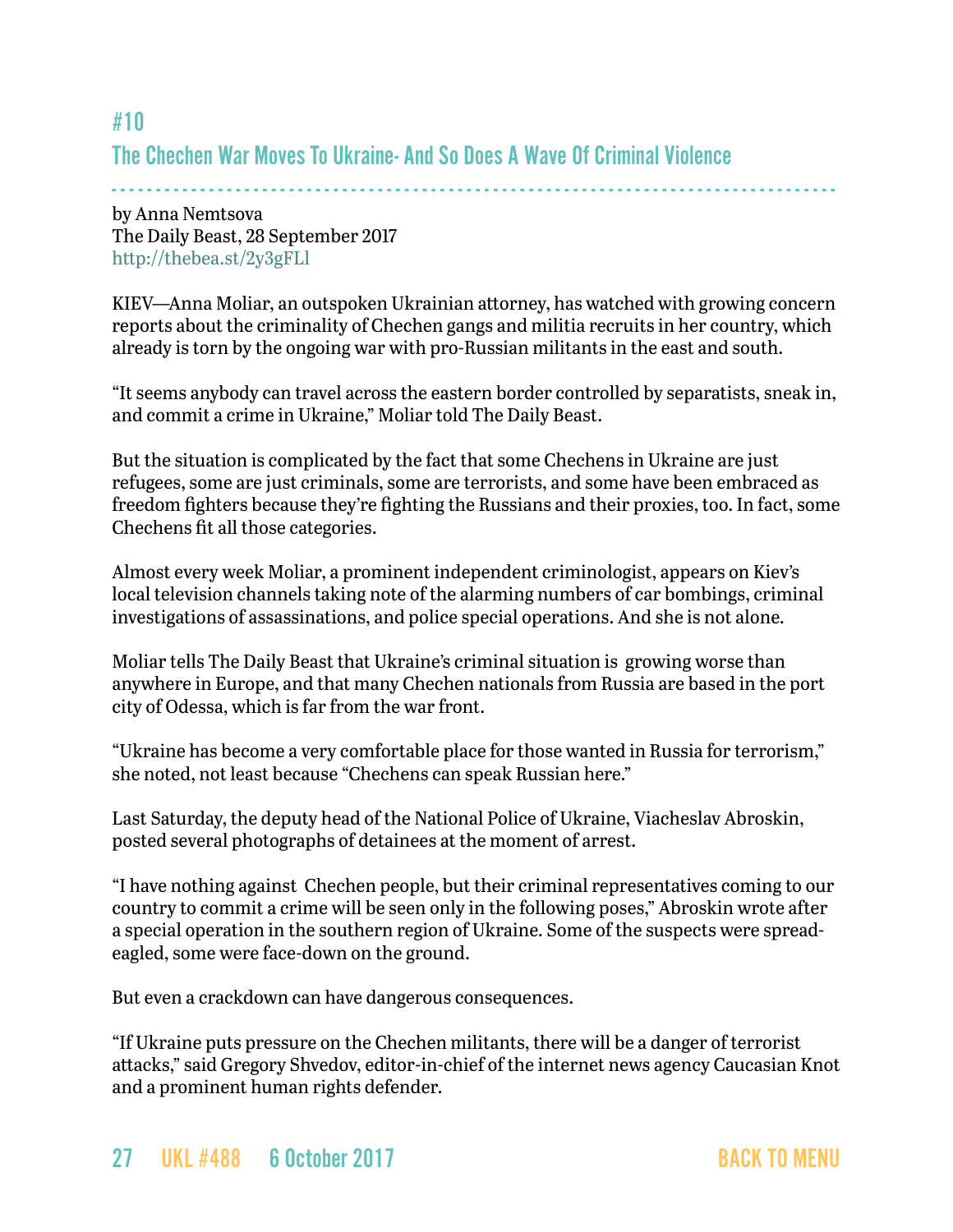# <span id="page-26-0"></span>#10 The Chechen War Moves To Ukraine- And So Does A Wave Of Criminal Violence

- - - - - - - - - - - - - - - - - - - - - - - - - - - - - - - - - - - - - - - - - - - - - - - - - - - - - - - - - - - - - - - - - - - - - - - - - - - - - - - - - by Anna Nemtsova The Daily Beast, 28 September 2017 <http://thebea.st/2y3gFLl>

KIEV—Anna Moliar, an outspoken Ukrainian attorney, has watched with growing concern reports about the criminality of Chechen gangs and militia recruits in her country, which already is torn by the ongoing war with pro-Russian militants in the east and south.

"It seems anybody can travel across the eastern border controlled by separatists, sneak in, and commit a crime in Ukraine," Moliar told The Daily Beast.

But the situation is complicated by the fact that some Chechens in Ukraine are just refugees, some are just criminals, some are terrorists, and some have been embraced as freedom fighters because they're fighting the Russians and their proxies, too. In fact, some Chechens fit all those categories.

Almost every week Moliar, a prominent independent criminologist, appears on Kiev's local television channels taking note of the alarming numbers of car bombings, criminal investigations of assassinations, and police special operations. And she is not alone.

Moliar tells The Daily Beast that Ukraine's criminal situation is growing worse than anywhere in Europe, and that many Chechen nationals from Russia are based in the port city of Odessa, which is far from the war front.

"Ukraine has become a very comfortable place for those wanted in Russia for terrorism," she noted, not least because "Chechens can speak Russian here."

Last Saturday, the deputy head of the National Police of Ukraine, Viacheslav Abroskin, posted several photographs of detainees at the moment of arrest.

"I have nothing against Chechen people, but their criminal representatives coming to our country to commit a crime will be seen only in the following poses," Abroskin wrote after a special operation in the southern region of Ukraine. Some of the suspects were spreadeagled, some were face-down on the ground.

But even a crackdown can have dangerous consequences.

"If Ukraine puts pressure on the Chechen militants, there will be a danger of terrorist attacks," said Gregory Shvedov, editor-in-chief of the internet news agency Caucasian Knot and a prominent human rights defender.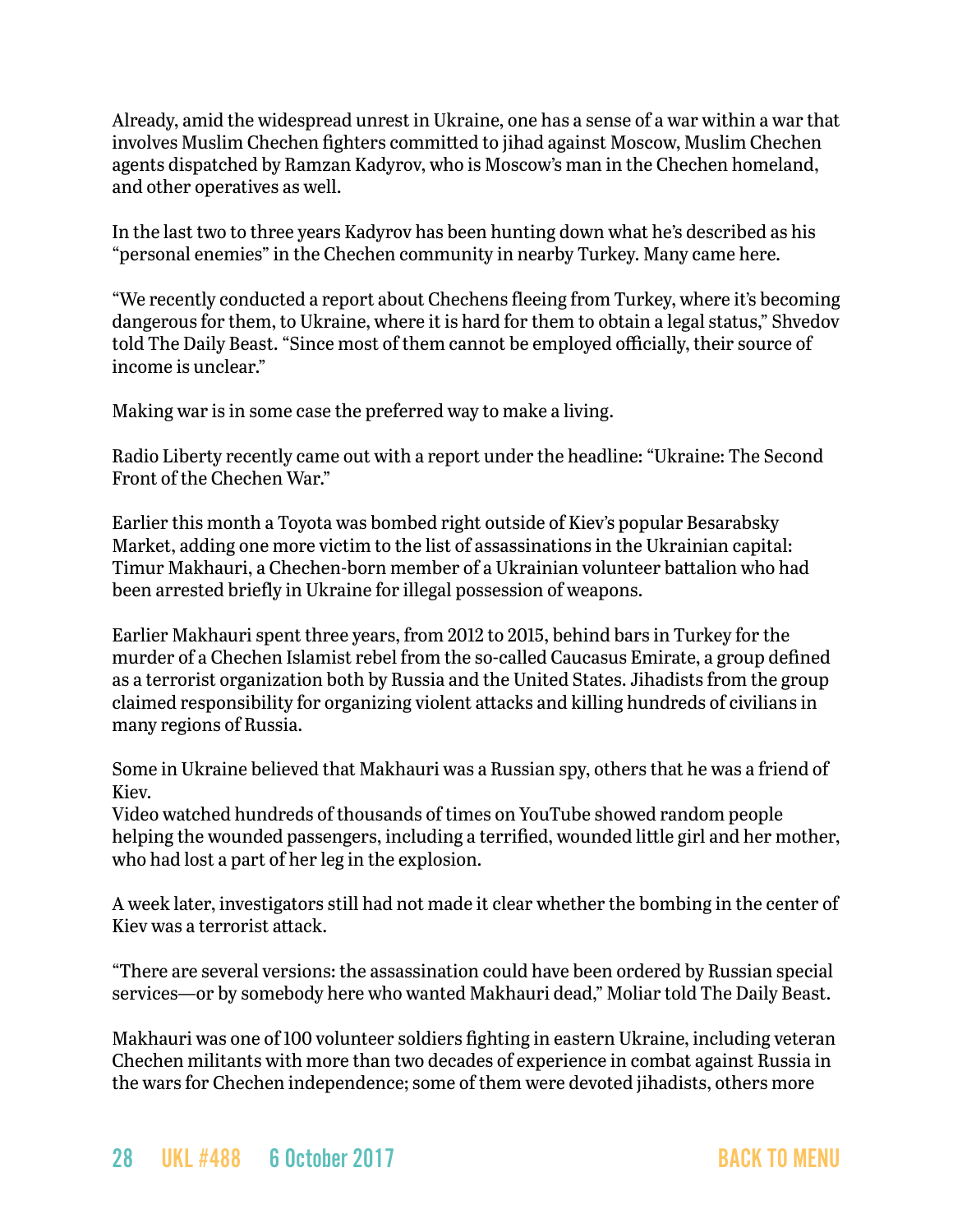Already, amid the widespread unrest in Ukraine, one has a sense of a war within a war that involves Muslim Chechen fighters committed to jihad against Moscow, Muslim Chechen agents dispatched by Ramzan Kadyrov, who is Moscow's man in the Chechen homeland, and other operatives as well.

In the last two to three years Kadyrov has been hunting down what he's described as his "personal enemies" in the Chechen community in nearby Turkey. Many came here.

"We recently conducted a report about Chechens fleeing from Turkey, where it's becoming dangerous for them, to Ukraine, where it is hard for them to obtain a legal status," Shvedov told The Daily Beast. "Since most of them cannot be employed officially, their source of income is unclear."

Making war is in some case the preferred way to make a living.

Radio Liberty recently came out with a report under the headline: "Ukraine: The Second Front of the Chechen War."

Earlier this month a Toyota was bombed right outside of Kiev's popular Besarabsky Market, adding one more victim to the list of assassinations in the Ukrainian capital: Timur Makhauri, a Chechen-born member of a Ukrainian volunteer battalion who had been arrested briefly in Ukraine for illegal possession of weapons.

Earlier Makhauri spent three years, from 2012 to 2015, behind bars in Turkey for the murder of a Chechen Islamist rebel from the so-called Caucasus Emirate, a group defined as a terrorist organization both by Russia and the United States. Jihadists from the group claimed responsibility for organizing violent attacks and killing hundreds of civilians in many regions of Russia.

Some in Ukraine believed that Makhauri was a Russian spy, others that he was a friend of Kiev.

Video watched hundreds of thousands of times on YouTube showed random people helping the wounded passengers, including a terrified, wounded little girl and her mother, who had lost a part of her leg in the explosion.

A week later, investigators still had not made it clear whether the bombing in the center of Kiev was a terrorist attack.

"There are several versions: the assassination could have been ordered by Russian special services—or by somebody here who wanted Makhauri dead," Moliar told The Daily Beast.

Makhauri was one of 100 volunteer soldiers fighting in eastern Ukraine, including veteran Chechen militants with more than two decades of experience in combat against Russia in the wars for Chechen independence; some of them were devoted jihadists, others more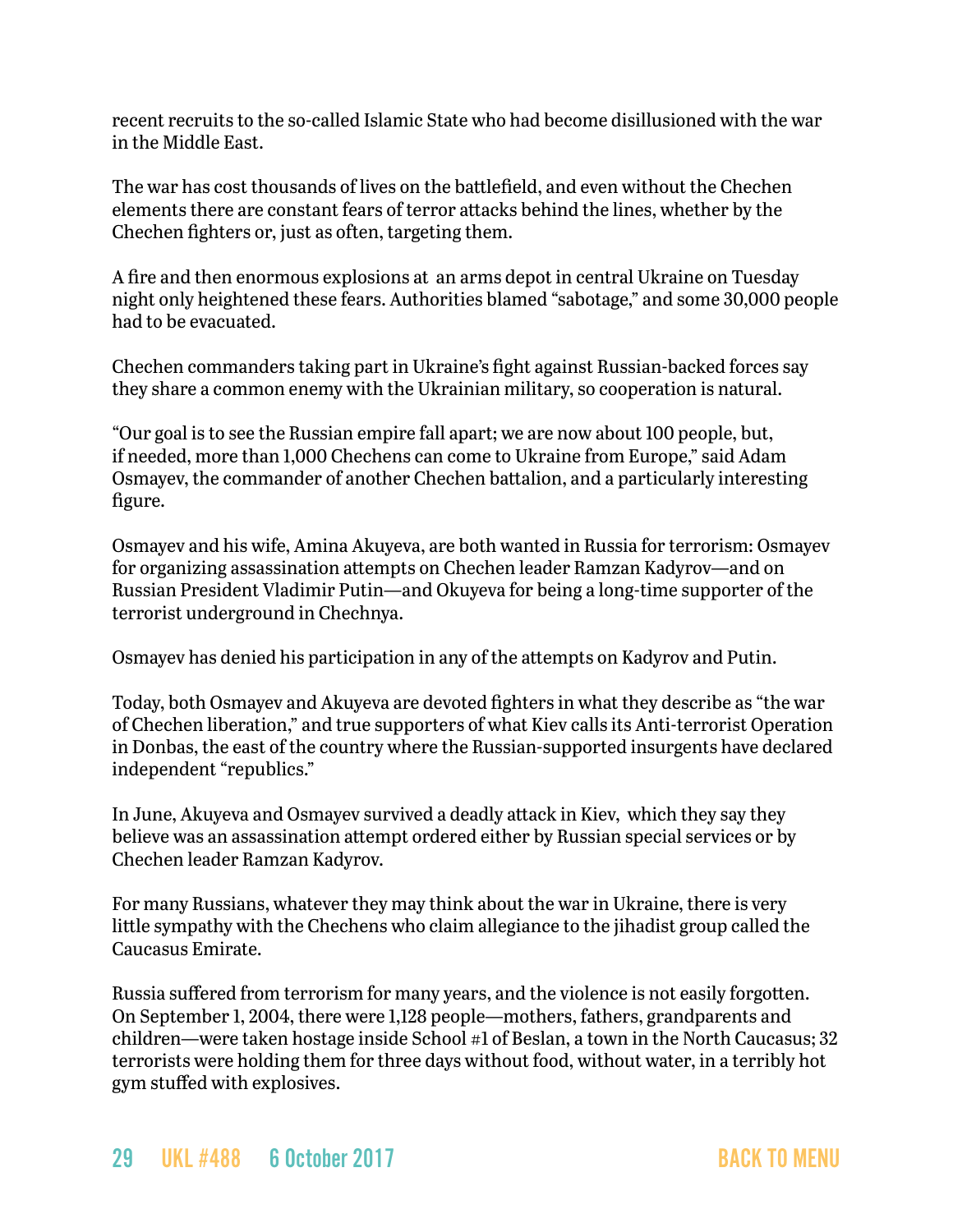recent recruits to the so-called Islamic State who had become disillusioned with the war in the Middle East.

The war has cost thousands of lives on the battlefield, and even without the Chechen elements there are constant fears of terror attacks behind the lines, whether by the Chechen fighters or, just as often, targeting them.

A fire and then enormous explosions at an arms depot in central Ukraine on Tuesday night only heightened these fears. Authorities blamed "sabotage," and some 30,000 people had to be evacuated.

Chechen commanders taking part in Ukraine's fight against Russian-backed forces say they share a common enemy with the Ukrainian military, so cooperation is natural.

"Our goal is to see the Russian empire fall apart; we are now about 100 people, but, if needed, more than 1,000 Chechens can come to Ukraine from Europe," said Adam Osmayev, the commander of another Chechen battalion, and a particularly interesting figure.

Osmayev and his wife, Amina Akuyeva, are both wanted in Russia for terrorism: Osmayev for organizing assassination attempts on Chechen leader Ramzan Kadyrov—and on Russian President Vladimir Putin—and Okuyeva for being a long-time supporter of the terrorist underground in Chechnya.

Osmayev has denied his participation in any of the attempts on Kadyrov and Putin.

Today, both Osmayev and Akuyeva are devoted fighters in what they describe as "the war of Chechen liberation," and true supporters of what Kiev calls its Anti-terrorist Operation in Donbas, the east of the country where the Russian-supported insurgents have declared independent "republics."

In June, Akuyeva and Osmayev survived a deadly attack in Kiev, which they say they believe was an assassination attempt ordered either by Russian special services or by Chechen leader Ramzan Kadyrov.

For many Russians, whatever they may think about the war in Ukraine, there is very little sympathy with the Chechens who claim allegiance to the jihadist group called the Caucasus Emirate.

Russia suffered from terrorism for many years, and the violence is not easily forgotten. On September 1, 2004, there were 1,128 people—mothers, fathers, grandparents and children—were taken hostage inside School #1 of Beslan, a town in the North Caucasus; 32 terrorists were holding them for three days without food, without water, in a terribly hot gym stuffed with explosives.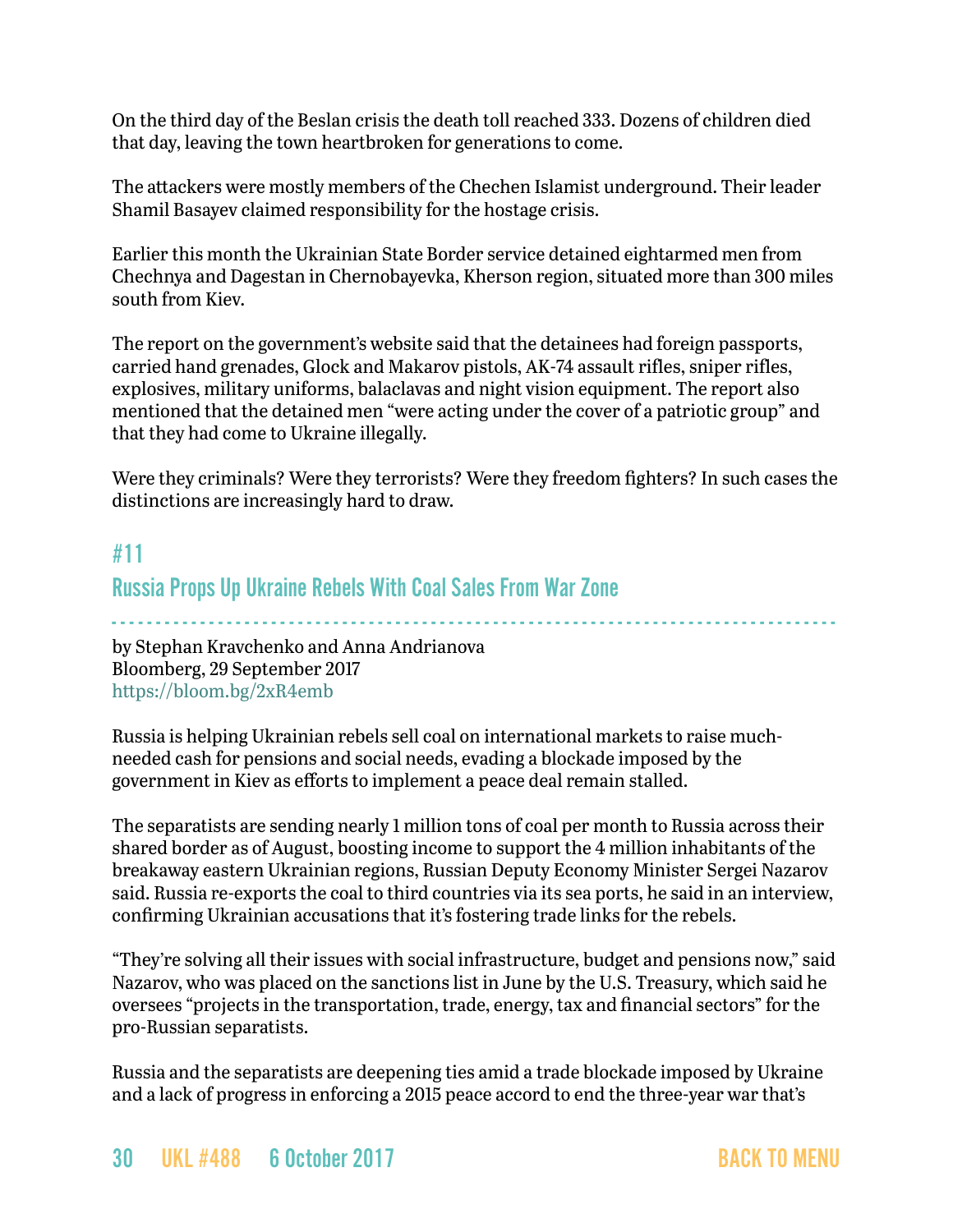On the third day of the Beslan crisis the death toll reached 333. Dozens of children died that day, leaving the town heartbroken for generations to come.

The attackers were mostly members of the Chechen Islamist underground. Their leader Shamil Basayev claimed responsibility for the hostage crisis.

Earlier this month the Ukrainian State Border service detained eightarmed men from Chechnya and Dagestan in Chernobayevka, Kherson region, situated more than 300 miles south from Kiev.

The report on the government's website said that the detainees had foreign passports, carried hand grenades, Glock and Makarov pistols, AK-74 assault rifles, sniper rifles, explosives, military uniforms, balaclavas and night vision equipment. The report also mentioned that the detained men "were acting under the cover of a patriotic group" and that they had come to Ukraine illegally.

Were they criminals? Were they terrorists? Were they freedom fighters? In such cases the distinctions are increasingly hard to draw.

## <span id="page-29-0"></span>#11

## Russia Props Up Ukraine Rebels With Coal Sales From War Zone

- - - - - - - - - - - - - - - - - - - - - - - - - - - - - - - - - - - - - - - - - - - - - - - - - - - - - - - - - - - - - - - - - - - - - - - - - - - - - - - - - -

by Stephan Kravchenko and Anna Andrianova Bloomberg, 29 September 2017 <https://bloom.bg/2xR4emb>

Russia is helping Ukrainian rebels sell coal on international markets to raise muchneeded cash for pensions and social needs, evading a blockade imposed by the government in Kiev as efforts to implement a peace deal remain stalled.

The separatists are sending nearly 1 million tons of coal per month to Russia across their shared border as of August, boosting income to support the 4 million inhabitants of the breakaway eastern Ukrainian regions, Russian Deputy Economy Minister Sergei Nazarov said. Russia re-exports the coal to third countries via its sea ports, he said in an interview, confirming Ukrainian accusations that it's fostering trade links for the rebels.

"They're solving all their issues with social infrastructure, budget and pensions now," said Nazarov, who was placed on the sanctions list in June by the U.S. Treasury, which said he oversees "projects in the transportation, trade, energy, tax and financial sectors" for the pro-Russian separatists.

Russia and the separatists are deepening ties amid a trade blockade imposed by Ukraine and a lack of progress in enforcing a 2015 peace accord to end the three-year war that's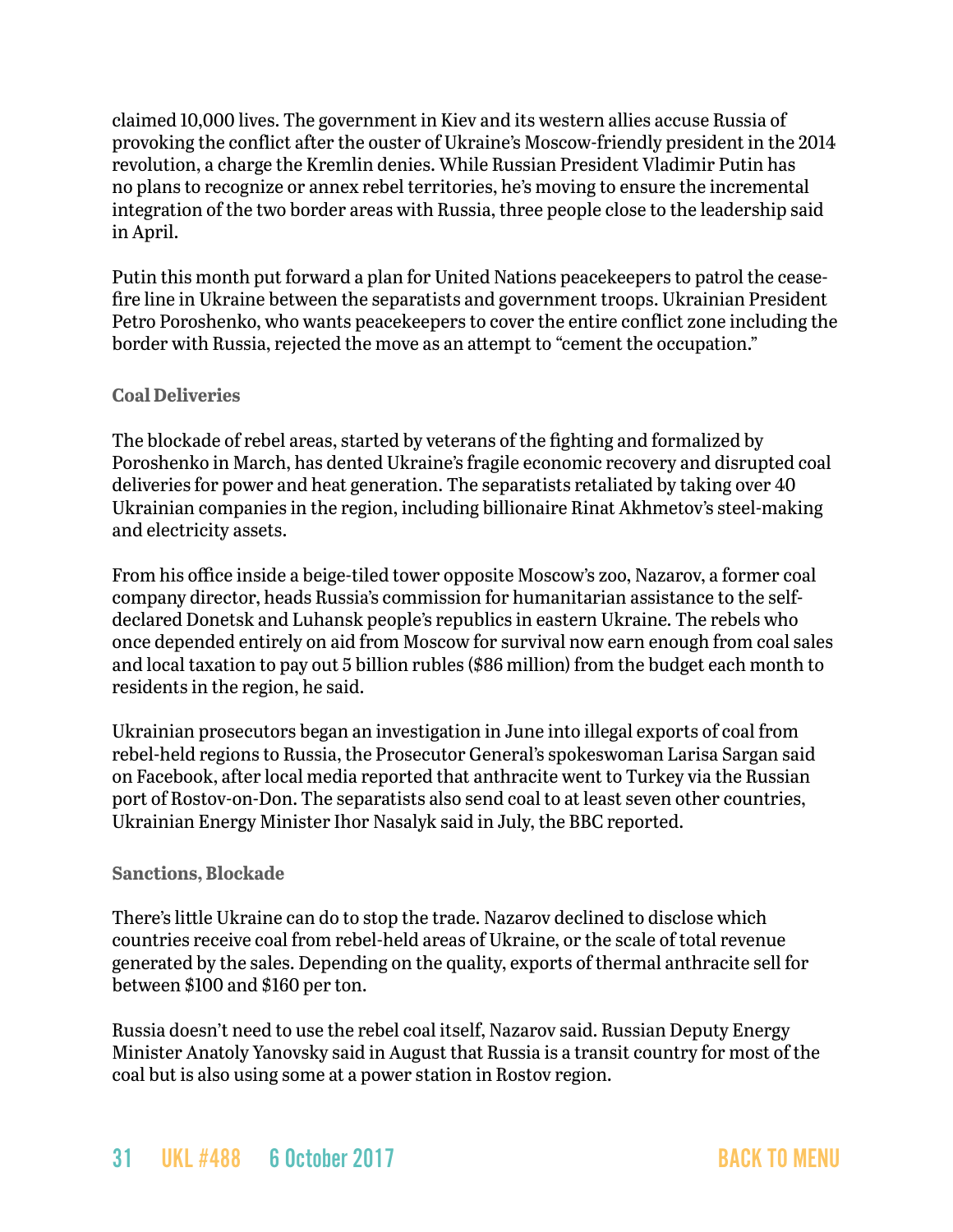claimed 10,000 lives. The government in Kiev and its western allies accuse Russia of provoking the conflict after the ouster of Ukraine's Moscow-friendly president in the 2014 revolution, a charge the Kremlin denies. While Russian President Vladimir Putin has no plans to recognize or annex rebel territories, he's moving to ensure the incremental integration of the two border areas with Russia, three people close to the leadership said in April.

Putin this month put forward a [plan](https://www.bloomberg.com/politics/articles/2017-09-20/putin-s-plan-for-ukraine-peacekeepers-gets-cool-reception) for United Nations peacekeepers to patrol the ceasefire line in Ukraine between the separatists and government troops. Ukrainian President Petro Poroshenko, who wants peacekeepers to cover the entire conflict zone including the border with Russia, rejected the move as an attempt to "cement the occupation."

#### **Coal Deliveries**

The blockade of rebel areas, started by veterans of the fighting and formalized by Poroshenko in March, has dented Ukraine's fragile economic recovery and disrupted coal deliveries for power and heat generation. The separatists retaliated by taking over 40 Ukrainian companies in the region, including billionaire Rinat Akhmetov's steel-making and electricity assets.

From his office inside a beige-tiled tower opposite Moscow's zoo, Nazarov, a former coal company director, heads Russia's commission for humanitarian assistance to the selfdeclared Donetsk and Luhansk people's republics in eastern Ukraine. The rebels who once depended entirely on aid from Moscow for survival now earn enough from coal sales and local taxation to pay out 5 billion rubles (\$86 million) from the budget each month to residents in the region, he said.

Ukrainian prosecutors began an investigation in June into illegal exports of coal from rebel-held regions to Russia, the Prosecutor General's spokeswoman Larisa Sargan said on Facebook, after local media reported that anthracite went to Turkey via the Russian port of Rostov-on-Don. The separatists also send coal to at least seven other countries, Ukrainian Energy Minister Ihor Nasalyk said in July, the BBC reported.

## **Sanctions, Blockade**

There's little Ukraine can do to stop the trade. Nazarov declined to disclose which countries receive coal from rebel-held areas of Ukraine, or the scale of total revenue generated by the sales. Depending on the quality, exports of thermal anthracite sell for between \$100 and \$160 per ton.

Russia doesn't need to use the rebel coal itself, Nazarov said. Russian Deputy Energy Minister Anatoly Yanovsky said in August that Russia is a transit country for most of the coal but is also using some at a power station in Rostov region.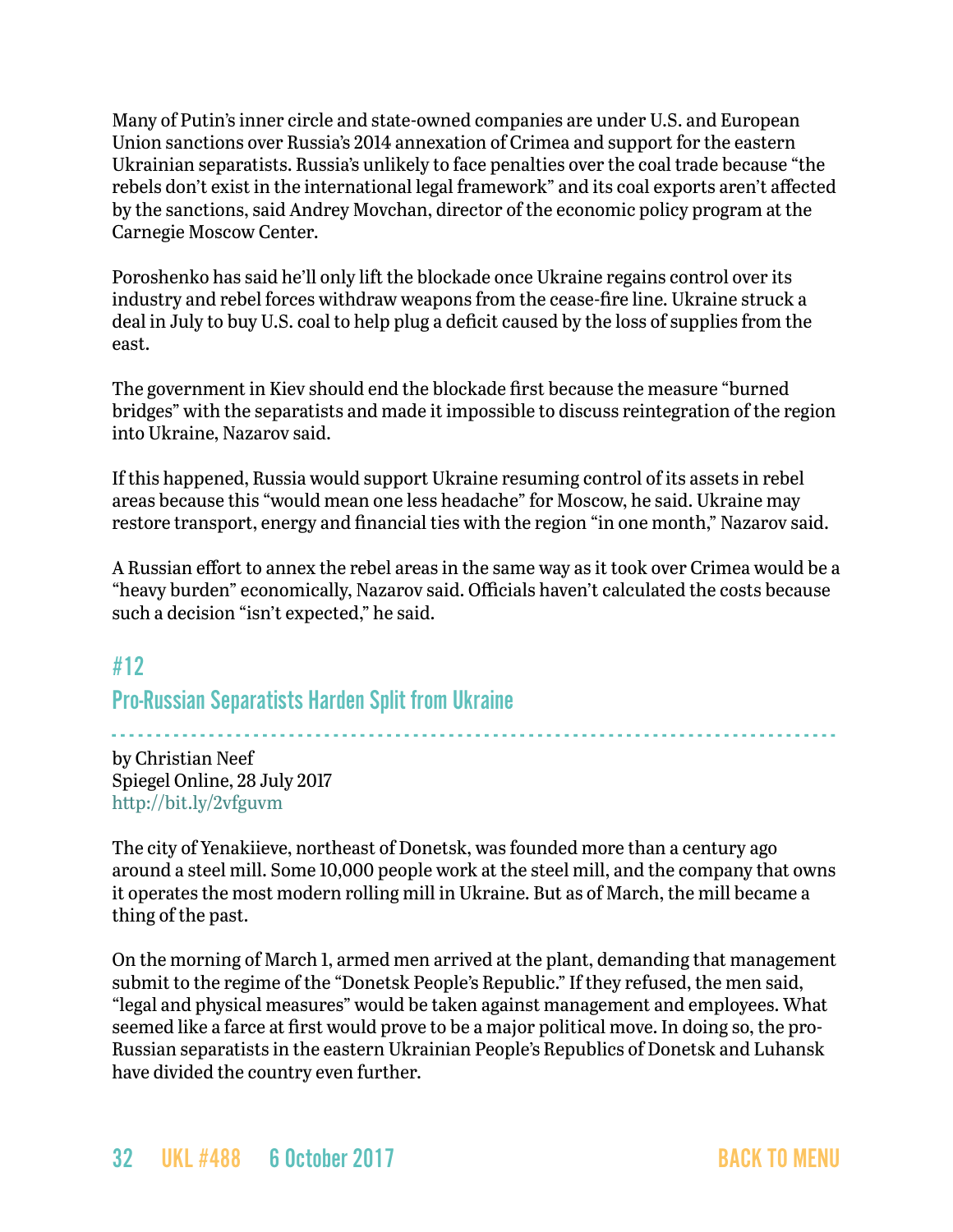Many of Putin's inner circle and state-owned companies are under U.S. and European Union sanctions over Russia's 2014 annexation of Crimea and support for the eastern Ukrainian separatists. Russia's unlikely to face penalties over the coal trade because "the rebels don't exist in the international legal framework" and its coal exports aren't affected by the sanctions, said Andrey Movchan, director of the economic policy program at the Carnegie Moscow Center.

Poroshenko has said he'll only lift the blockade once Ukraine regains control over its industry and rebel forces withdraw weapons from the cease-fire line. Ukraine struck a deal in July to buy U.S. coal to help plug a deficit caused by the loss of supplies from the east.

The government in Kiev should end the blockade first because the measure "burned bridges" with the separatists and made it impossible to discuss reintegration of the region into Ukraine, Nazarov said.

If this happened, Russia would support Ukraine resuming control of its assets in rebel areas because this "would mean one less headache" for Moscow, he said. Ukraine may restore transport, energy and financial ties with the region "in one month," Nazarov said.

A Russian effort to annex the rebel areas in the same way as it took over Crimea would be a "heavy burden" economically, Nazarov said. Officials haven't calculated the costs because such a decision "isn't expected," he said.

## <span id="page-31-0"></span>#12

## Pro-Russian Separatists Harden Split from Ukraine

- - - - - - - - - - - - - - - - - - - - - - - - - - - - - - - - - - - - - - - - - - - - - - - - - - - - - - - - - - - - - - - - - - - - - - - - - - - - - - - - - by Christian Neef Spiegel Online, 28 July 2017 <http://bit.ly/2vfguvm>

The city of Yenakiieve, northeast of Donetsk, was founded more than a century ago around a steel mill. Some 10,000 people work at the steel mill, and the company that owns it operates the most modern rolling mill in Ukraine. But as of March, the mill became a thing of the past.

On the morning of March 1, armed men arrived at the plant, demanding that management submit to the regime of the "Donetsk People's Republic." If they refused, the men said, "legal and physical measures" would be taken against management and employees. What seemed like a farce at first would prove to be a major political move. In doing so, the pro-Russian separatists in the eastern Ukrainian People's Republics of Donetsk and Luhansk have divided the country even further.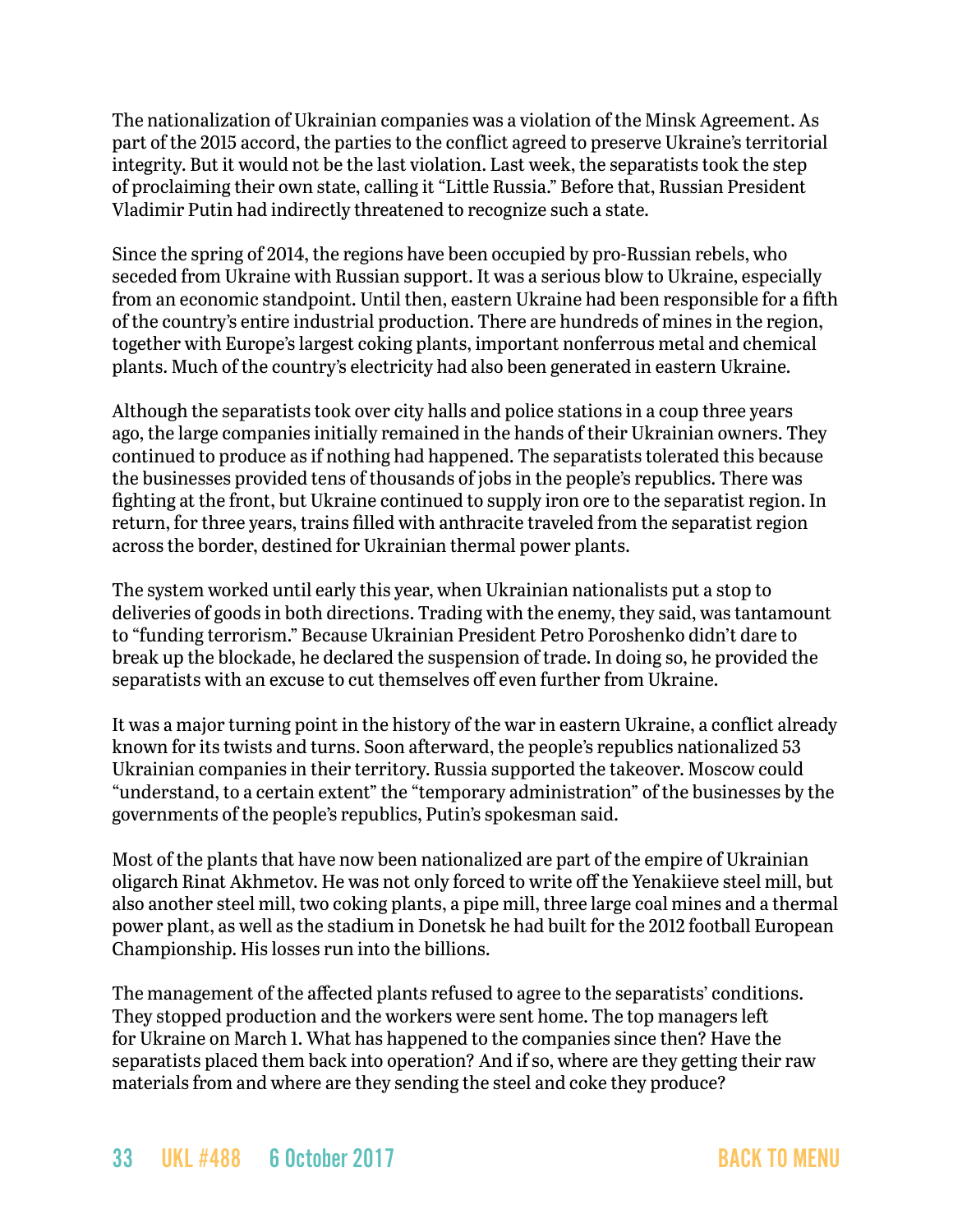The nationalization of Ukrainian companies was a violation of the Minsk Agreement. As part of the 2015 accord, the parties to the conflict agreed to preserve Ukraine's territorial integrity. But it would not be the last violation. Last week, the separatists took the step of proclaiming their own state, calling it "Little Russia." Before that, Russian President Vladimir Putin had indirectly threatened to recognize such a state.

Since the spring of 2014, the regions have been occupied by pro-Russian rebels, who seceded from Ukraine with Russian support. It was a serious blow to Ukraine, especially from an economic standpoint. Until then, eastern Ukraine had been responsible for a fifth of the country's entire industrial production. There are hundreds of mines in the region, together with Europe's largest coking plants, important nonferrous metal and chemical plants. Much of the country's electricity had also been generated in eastern Ukraine.

Although the separatists took over city halls and police stations in a coup three years ago, the large companies initially remained in the hands of their Ukrainian owners. They continued to produce as if nothing had happened. The separatists tolerated this because the businesses provided tens of thousands of jobs in the people's republics. There was fighting at the front, but Ukraine continued to supply iron ore to the separatist region. In return, for three years, trains filled with anthracite traveled from the separatist region across the border, destined for Ukrainian thermal power plants.

The system worked until early this year, when Ukrainian nationalists put a stop to deliveries of goods in both directions. Trading with the enemy, they said, was tantamount to "funding terrorism." Because Ukrainian President Petro Poroshenko didn't dare to break up the blockade, he declared the suspension of trade. In doing so, he provided the separatists with an excuse to cut themselves off even further from Ukraine.

It was a major turning point in the history of the war in eastern Ukraine, a conflict already known for its twists and turns. Soon afterward, the people's republics nationalized 53 Ukrainian companies in their territory. Russia supported the takeover. Moscow could "understand, to a certain extent" the "temporary administration" of the businesses by the governments of the people's republics, Putin's spokesman said.

Most of the plants that have now been nationalized are part of the empire of Ukrainian oligarch Rinat Akhmetov. He was not only forced to write off the Yenakiieve steel mill, but also another steel mill, two coking plants, a pipe mill, three large coal mines and a thermal power plant, as well as the stadium in Donetsk he had built for the 2012 football European Championship. His losses run into the billions.

The management of the affected plants refused to agree to the separatists' conditions. They stopped production and the workers were sent home. The top managers left for Ukraine on March 1. What has happened to the companies since then? Have the separatists placed them back into operation? And if so, where are they getting their raw materials from and where are they sending the steel and coke they produce?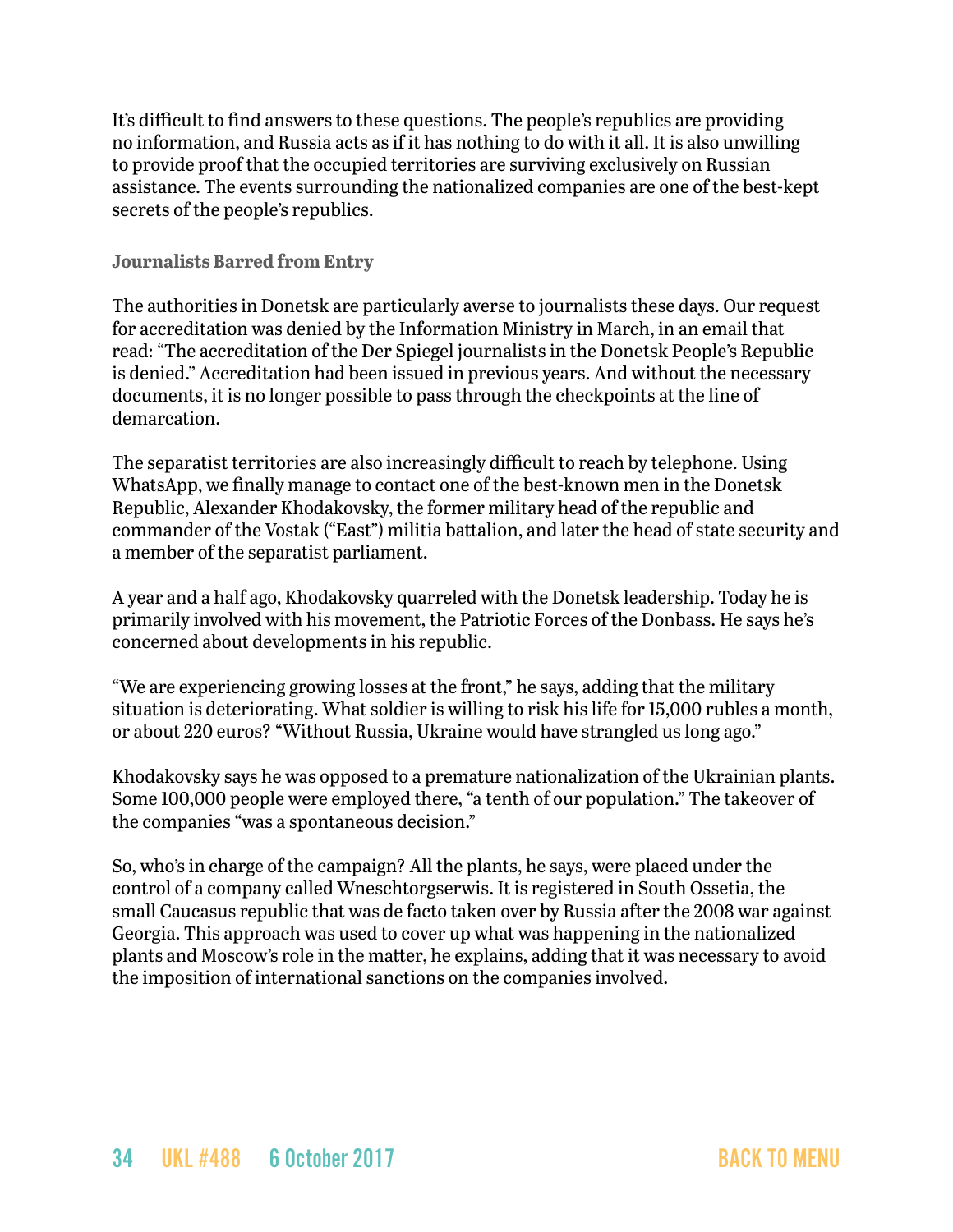It's difficult to find answers to these questions. The people's republics are providing no information, and Russia acts as if it has nothing to do with it all. It is also unwilling to provide proof that the occupied territories are surviving exclusively on Russian assistance. The events surrounding the nationalized companies are one of the best-kept secrets of the people's republics.

#### **Journalists Barred from Entry**

The authorities in Donetsk are particularly averse to journalists these days. Our request for accreditation was denied by the Information Ministry in March, in an email that read: "The accreditation of the Der Spiegel journalists in the Donetsk People's Republic is denied." Accreditation had been issued in previous years. And without the necessary documents, it is no longer possible to pass through the checkpoints at the line of demarcation.

The separatist territories are also increasingly difficult to reach by telephone. Using WhatsApp, we finally manage to contact one of the best-known men in the Donetsk Republic, Alexander Khodakovsky, the former military head of the republic and commander of the Vostak ("East") militia battalion, and later the head of state security and a member of the separatist parliament.

A year and a half ago, Khodakovsky quarreled with the Donetsk leadership. Today he is primarily involved with his movement, the Patriotic Forces of the Donbass. He says he's concerned about developments in his republic.

"We are experiencing growing losses at the front," he says, adding that the military situation is deteriorating. What soldier is willing to risk his life for 15,000 rubles a month, or about 220 euros? "Without Russia, Ukraine would have strangled us long ago."

Khodakovsky says he was opposed to a premature nationalization of the Ukrainian plants. Some 100,000 people were employed there, "a tenth of our population." The takeover of the companies "was a spontaneous decision."

So, who's in charge of the campaign? All the plants, he says, were placed under the control of a company called Wneschtorgserwis. It is registered in South Ossetia, the small Caucasus republic that was de facto taken over by Russia after the 2008 war against Georgia. This approach was used to cover up what was happening in the nationalized plants and Moscow's role in the matter, he explains, adding that it was necessary to avoid the imposition of international sanctions on the companies involved.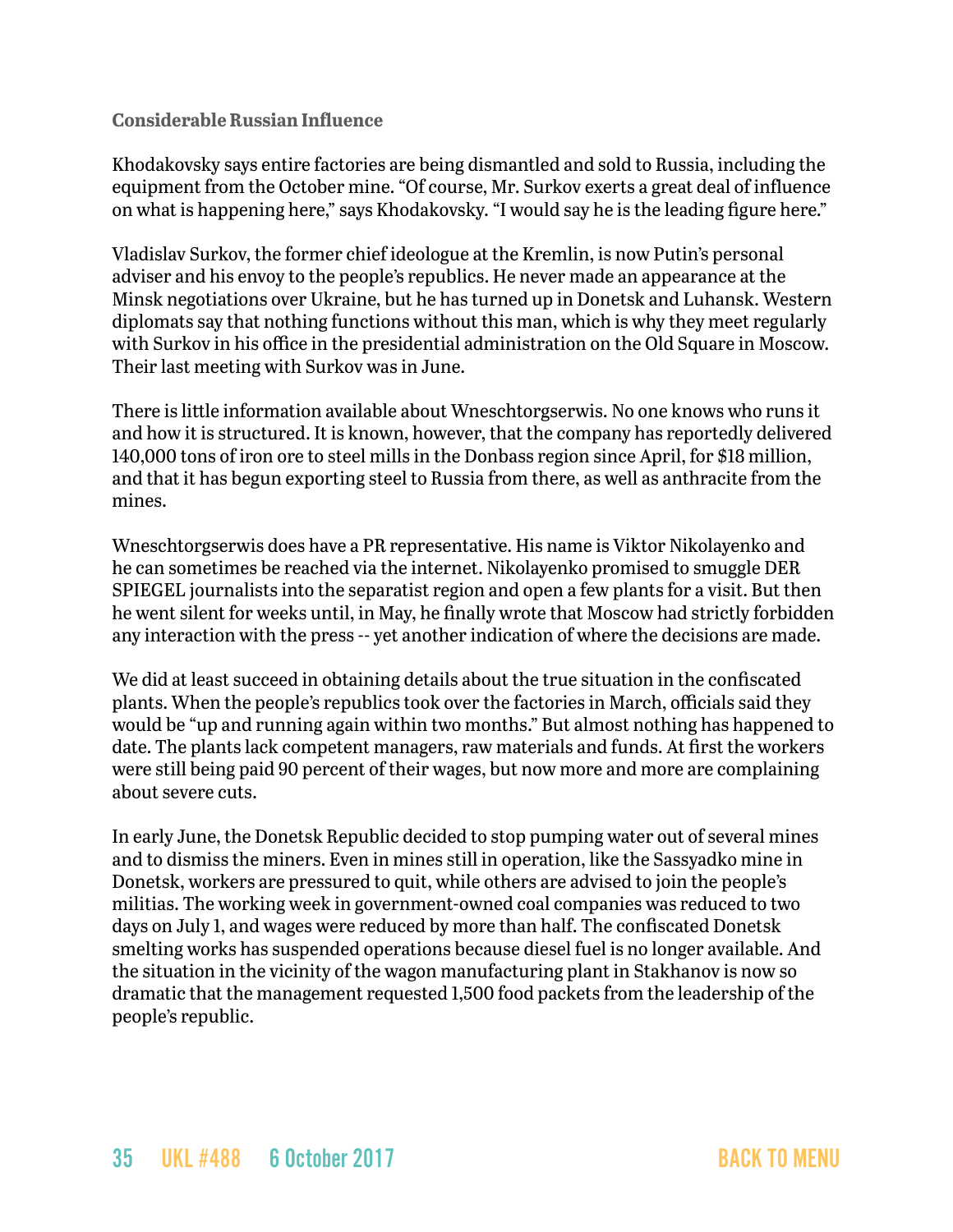#### **Considerable Russian Influence**

Khodakovsky says entire factories are being dismantled and sold to Russia, including the equipment from the October mine. "Of course, Mr. Surkov exerts a great deal of influence on what is happening here," says Khodakovsky. "I would say he is the leading figure here."

Vladislav Surkov, the former chief ideologue at the Kremlin, is now Putin's personal adviser and his envoy to the people's republics. He never made an appearance at the Minsk negotiations over Ukraine, but he has turned up in Donetsk and Luhansk. Western diplomats say that nothing functions without this man, which is why they meet regularly with Surkov in his office in the presidential administration on the Old Square in Moscow. Their last meeting with Surkov was in June.

There is little information available about Wneschtorgserwis. No one knows who runs it and how it is structured. It is known, however, that the company has reportedly delivered 140,000 tons of iron ore to steel mills in the Donbass region since April, for \$18 million, and that it has begun exporting steel to Russia from there, as well as anthracite from the mines.

Wneschtorgserwis does have a PR representative. His name is Viktor Nikolayenko and he can sometimes be reached via the internet. Nikolayenko promised to smuggle DER SPIEGEL journalists into the separatist region and open a few plants for a visit. But then he went silent for weeks until, in May, he finally wrote that Moscow had strictly forbidden any interaction with the press -- yet another indication of where the decisions are made.

We did at least succeed in obtaining details about the true situation in the confiscated plants. When the people's republics took over the factories in March, officials said they would be "up and running again within two months." But almost nothing has happened to date. The plants lack competent managers, raw materials and funds. At first the workers were still being paid 90 percent of their wages, but now more and more are complaining about severe cuts.

In early June, the Donetsk Republic decided to stop pumping water out of several mines and to dismiss the miners. Even in mines still in operation, like the Sassyadko mine in Donetsk, workers are pressured to quit, while others are advised to join the people's militias. The working week in government-owned coal companies was reduced to two days on July 1, and wages were reduced by more than half. The confiscated Donetsk smelting works has suspended operations because diesel fuel is no longer available. And the situation in the vicinity of the wagon manufacturing plant in Stakhanov is now so dramatic that the management requested 1,500 food packets from the leadership of the people's republic.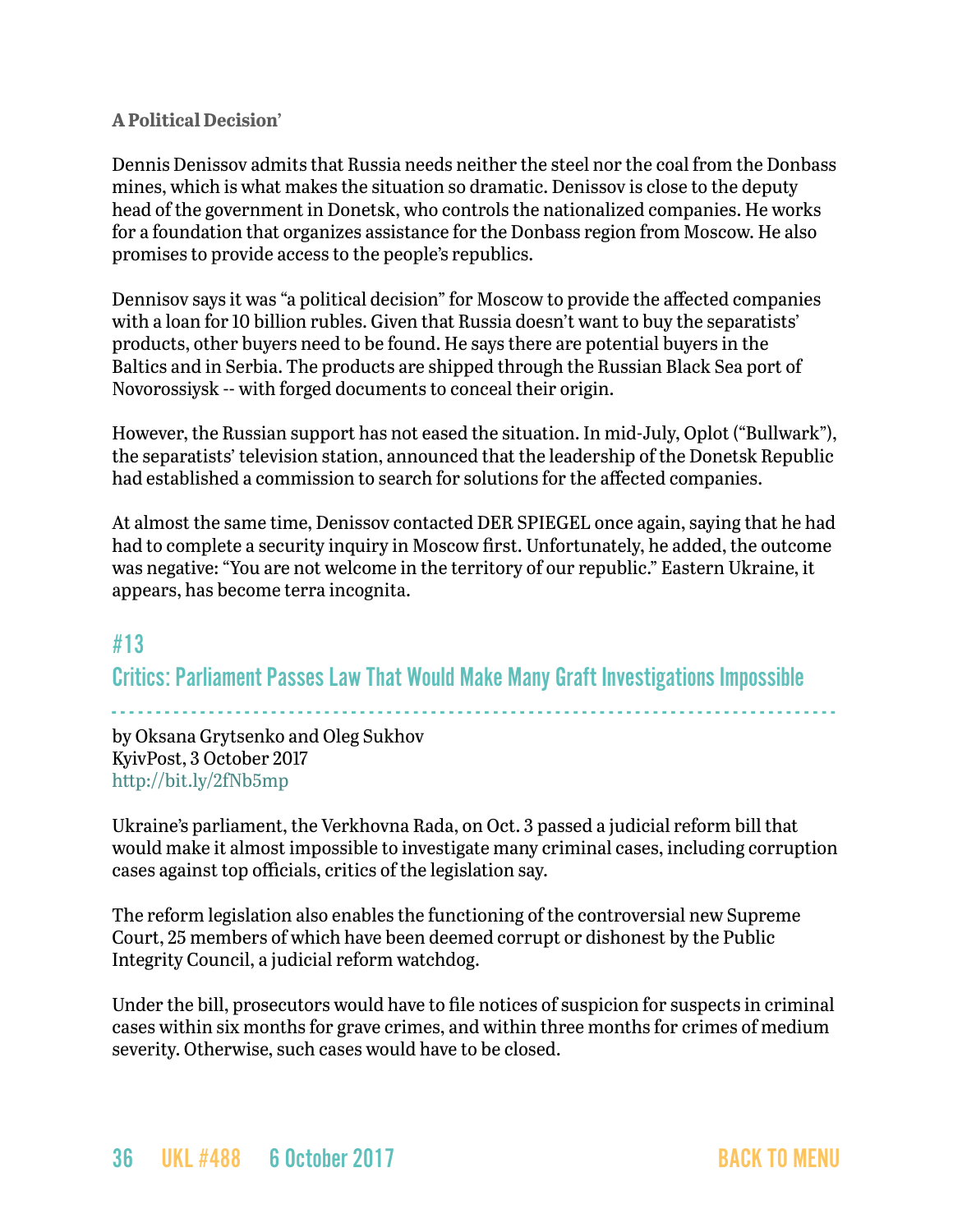#### **A Political Decision'**

Dennis Denissov admits that Russia needs neither the steel nor the coal from the Donbass mines, which is what makes the situation so dramatic. Denissov is close to the deputy head of the government in Donetsk, who controls the nationalized companies. He works for a foundation that organizes assistance for the Donbass region from Moscow. He also promises to provide access to the people's republics.

Dennisov says it was "a political decision" for Moscow to provide the affected companies with a loan for 10 billion rubles. Given that Russia doesn't want to buy the separatists' products, other buyers need to be found. He says there are potential buyers in the Baltics and in Serbia. The products are shipped through the Russian Black Sea port of Novorossiysk -- with forged documents to conceal their origin.

However, the Russian support has not eased the situation. In mid-July, Oplot ("Bullwark"), the separatists' television station, announced that the leadership of the Donetsk Republic had established a commission to search for solutions for the affected companies.

At almost the same time, Denissov contacted DER SPIEGEL once again, saying that he had had to complete a security inquiry in Moscow first. Unfortunately, he added, the outcome was negative: "You are not welcome in the territory of our republic." Eastern Ukraine, it appears, has become terra incognita.

## <span id="page-35-0"></span>#13

Critics: Parliament Passes Law That Would Make Many Graft Investigations Impossible

- - - - - - - - - - - - - - - - - - - - - - - - - - - - - - - - - - - - - - - - - - - - - - - - - - - - - - - - - - - - - - - - - - - - - - - - - - - - - - - - - by Oksana Grytsenko and Oleg Sukhov KyivPost, 3 October 2017 <http://bit.ly/2fNb5mp>

Ukraine's parliament, the Verkhovna Rada, on Oct. 3 passed a judicial reform bill that would make it almost impossible to investigate many criminal cases, including corruption cases against top officials, critics of the legislation say.

The reform legislation also enables the functioning of the controversial new Supreme Court, 25 members of which have been deemed corrupt or dishonest by the Public Integrity Council, a judicial reform watchdog.

Under the bill, prosecutors would have to file notices of suspicion for suspects in criminal cases within six months for grave crimes, and within three months for crimes of medium severity. Otherwise, such cases would have to be closed.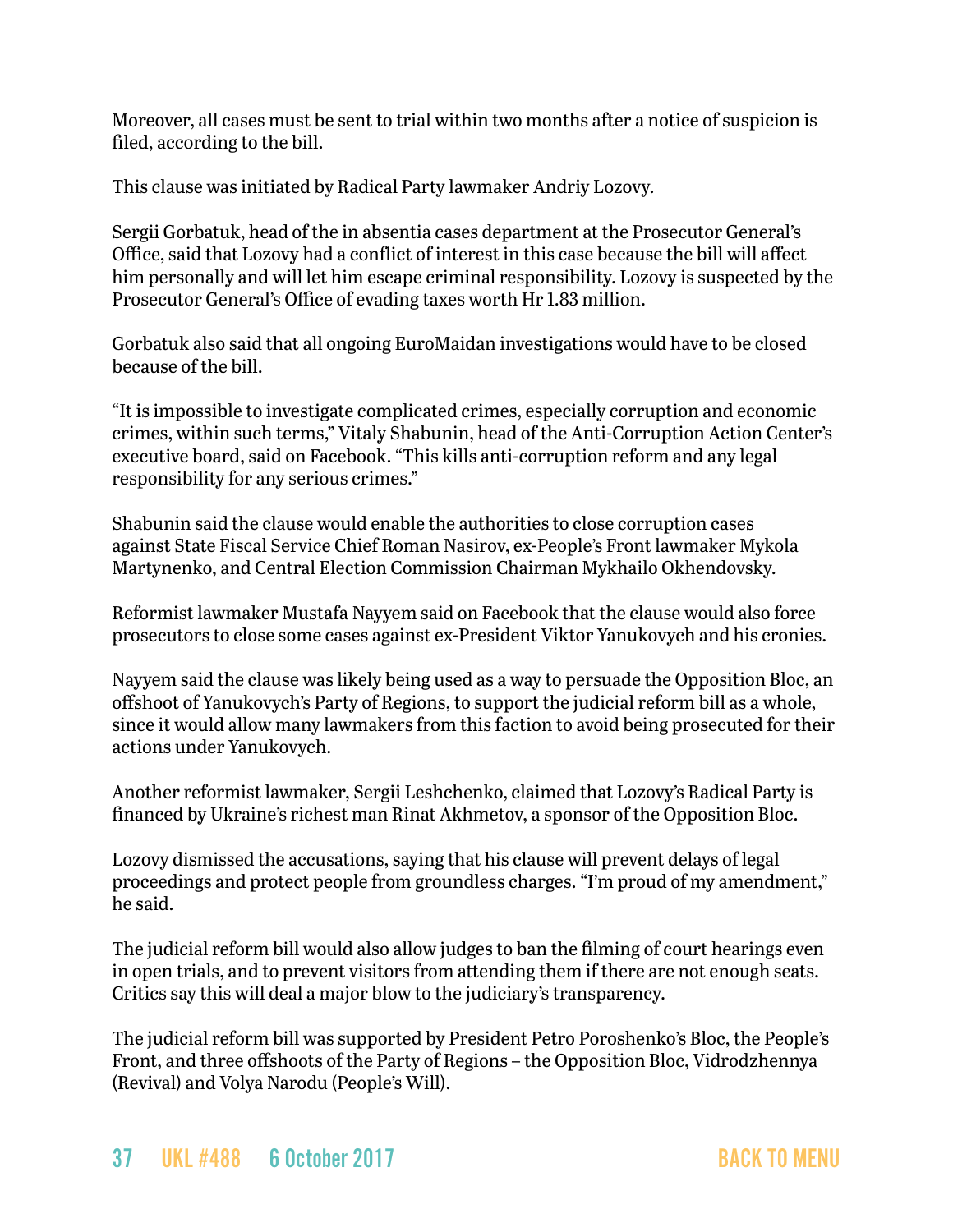Moreover, all cases must be sent to trial within two months after a notice of suspicion is filed, according to the bill.

This clause was initiated by Radical Party lawmaker Andriy Lozovy.

Sergii Gorbatuk, head of the in absentia cases department at the Prosecutor General's Office, said that Lozovy had a conflict of interest in this case because the bill will affect him personally and will let him escape criminal responsibility. Lozovy is suspected by the Prosecutor General's Office of evading taxes worth Hr 1.83 million.

Gorbatuk also said that all ongoing EuroMaidan investigations would have to be closed because of the bill.

"It is impossible to investigate complicated crimes, especially corruption and economic crimes, within such terms," Vitaly Shabunin, head of the Anti-Corruption Action Center's executive board, said on Facebook. "This kills anti-corruption reform and any legal responsibility for any serious crimes."

Shabunin said the clause would enable the authorities to close corruption cases against State Fiscal Service Chief Roman Nasirov, ex-People's Front lawmaker Mykola Martynenko, and Central Election Commission Chairman Mykhailo Okhendovsky.

Reformist lawmaker Mustafa Nayyem said on Facebook that the clause would also force prosecutors to close some cases against ex-President Viktor Yanukovych and his cronies.

Nayyem said the clause was likely being used as a way to persuade the Opposition Bloc, an offshoot of Yanukovych's Party of Regions, to support the judicial reform bill as a whole, since it would allow many lawmakers from this faction to avoid being prosecuted for their actions under Yanukovych.

Another reformist lawmaker, Sergii Leshchenko, claimed that Lozovy's Radical Party is financed by Ukraine's richest man Rinat Akhmetov, a sponsor of the Opposition Bloc.

Lozovy dismissed the accusations, saying that his clause will prevent delays of legal proceedings and protect people from groundless charges. "I'm proud of my amendment," he said.

The judicial reform bill would also allow judges to ban the filming of court hearings even in open trials, and to prevent visitors from attending them if there are not enough seats. Critics say this will deal a major blow to the judiciary's transparency.

The judicial reform bill was supported by President Petro Poroshenko's Bloc, the People's Front, and three offshoots of the Party of Regions – the Opposition Bloc, Vidrodzhennya (Revival) and Volya Narodu (People's Will).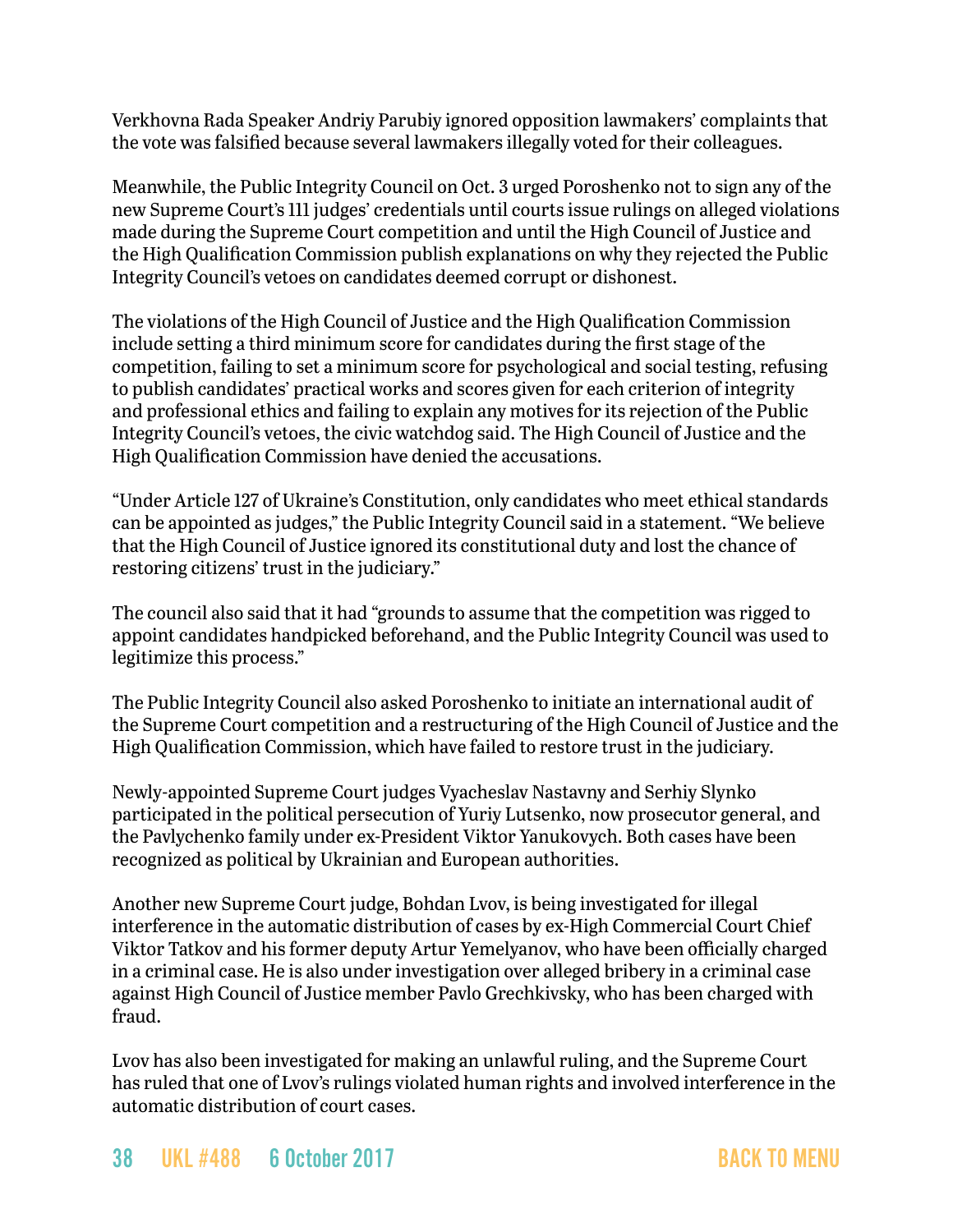Verkhovna Rada Speaker Andriy Parubiy ignored opposition lawmakers' complaints that the vote was falsified because several lawmakers illegally voted for their colleagues.

Meanwhile, the Public Integrity Council on Oct. 3 urged Poroshenko not to sign any of the new Supreme Court's 111 judges' credentials until courts issue rulings on alleged violations made during the Supreme Court competition and until the High Council of Justice and the High Qualification Commission publish explanations on why they rejected the Public [I](https://www.kyivpost.com/ukraine-politics/civic-watchdog-says-poroshenkos-goal-retain-control-judiciary.html)ntegrity Council's vetoes on candidates deemed corrupt or dishonest.

The violations of the High Council of Justice and the High Qualification Commission include setting a third minimum score for candidates during the first stage of the competition, failing to set a minimum score for psychological and social testing, refusing to publish candidates' practical works and scores given for each criterion of integrity and professional ethics and failing to explain any motives for its rejection of the Public Integrity Council's vetoes, the civic watchdog said. The High Council of Justice and the High Qualification Commission have denied the accusations.

"Under Article 127 of Ukraine's Constitution, only candidates who meet ethical standards can be appointed as judges," the Public Integrity Council said in a statement. "We believe that the High Council of Justice ignored its constitutional duty and lost the chance of restoring citizens' trust in the judiciary."

The council also said that it had "grounds to assume that the competition was rigged to appoint candidates handpicked beforehand, and the Public Integrity Council was used to legitimize this process."

The Public Integrity Council also asked Poroshenko to initiate an international audit of the Supreme Court competition and a restructuring of the High Council of Justice and the High Qualification Commission, which have failed to restore trust in the judiciary.

Newly-appointed Supreme Court judges Vyacheslav Nastavny and Serhiy Slynko participated in the political persecution of Yuriy Lutsenko, now prosecutor general, and the Pavlychenko family under ex-President Viktor Yanukovych. Both cases have been recognized as political by Ukrainian and European authorities.

Another new Supreme Court judge, Bohdan Lvov, is being investigated for illegal interference in the automatic distribution of cases by ex-High Commercial Court Chief Viktor Tatkov and his former deputy Artur Yemelyanov, who have been officially charged in a criminal case. He is also under investigation over alleged bribery in a criminal case against High Council of Justice member Pavlo Grechkivsky, who has been charged with fraud.

Lvov has also been investigated for making an unlawful ruling, and the Supreme Court has ruled that one of Lvov's rulings violated human rights and involved interference in the automatic distribution of court cases.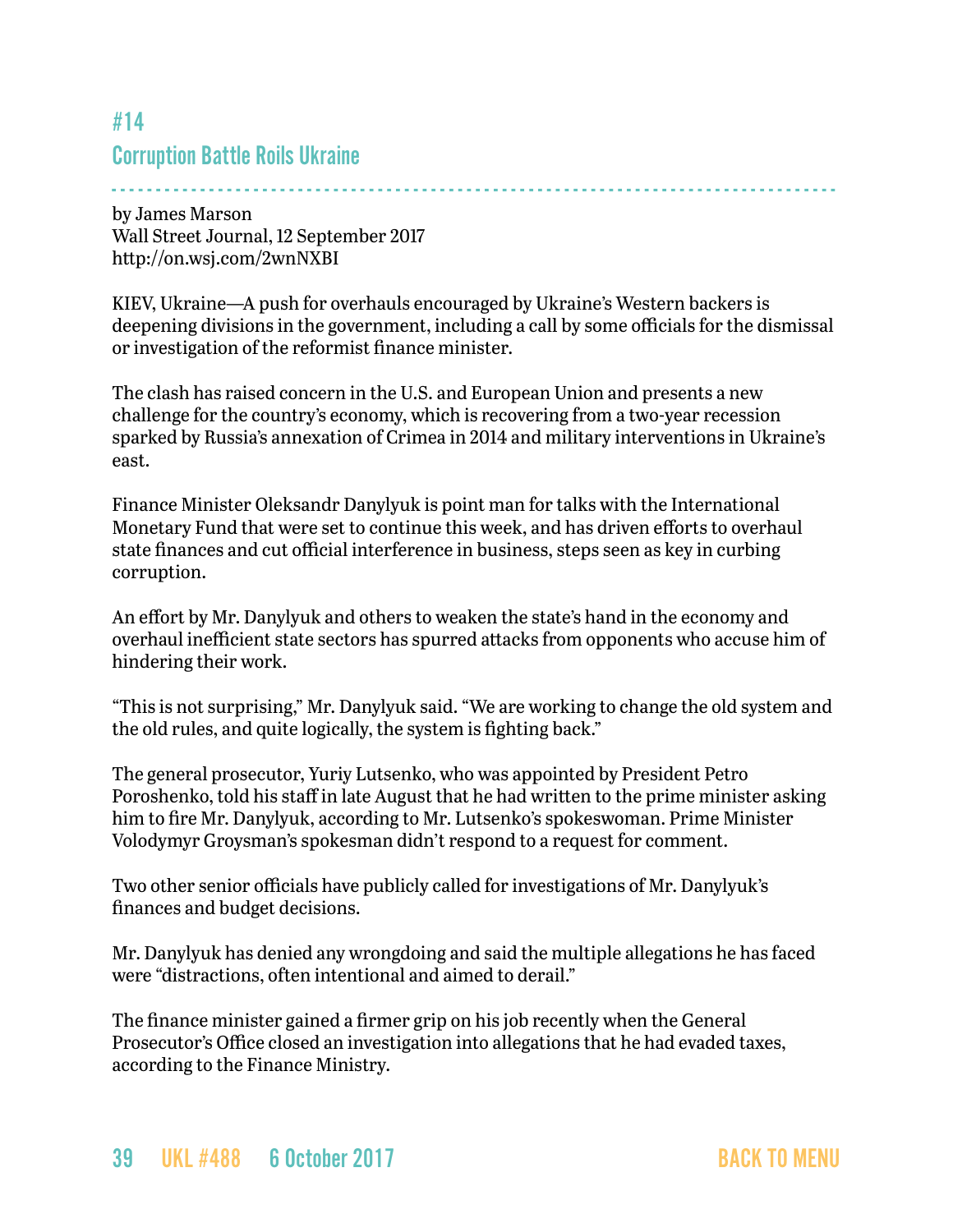# <span id="page-38-0"></span>#14 Corruption Battle Roils Ukraine

- - - - - - - - - - - - - - - - - - - - - - - - - - - - - - - - - - - - - - - - - - - - - - - - - - - - - - - - - - - - - - - - - - - - - - - - - - - - - - - - - by James Marson Wall Street Journal, 12 September 2017 <http://on.wsj.com/2wnNXBI>

KIEV, Ukraine—A push for overhauls encouraged by Ukraine's Western backers is deepening divisions in the government, including a call by some officials for the dismissal or investigation of the reformist finance minister.

The clash has raised concern in the U.S. and European Union and presents a new challenge for the country's economy, which is recovering from a two-year recession sparked by Russia's annexation of Crimea in 2014 and military interventions in Ukraine's east.

Finance Minister Oleksandr Danylyuk is point man for talks with the International Monetary Fund that were set to continue this week, and has driven efforts to overhaul state finances and cut official interference in business, steps seen as key in curbing corruption.

An effort by Mr. Danylyuk and others to weaken the state's hand in the economy and overhaul inefficient state sectors has spurred attacks from opponents who accuse him of hindering their work.

"This is not surprising," Mr. Danylyuk said. "We are working to change the old system and the old rules, and quite logically, the system is fighting back."

The general prosecutor, Yuriy Lutsenko, who was appointed by President Petro Poroshenko, told his staff in late August that he had written to the prime minister asking him to fire Mr. Danylyuk, according to Mr. Lutsenko's spokeswoman. Prime Minister Volodymyr Groysman's spokesman didn't respond to a request for comment.

Two other senior officials have publicly called for investigations of Mr. Danylyuk's finances and budget decisions.

Mr. Danylyuk has denied any wrongdoing and said the multiple allegations he has faced were "distractions, often intentional and aimed to derail."

The finance minister gained a firmer grip on his job recently when the General Prosecutor's Office closed an investigation into allegations that he had evaded taxes, according to the Finance Ministry.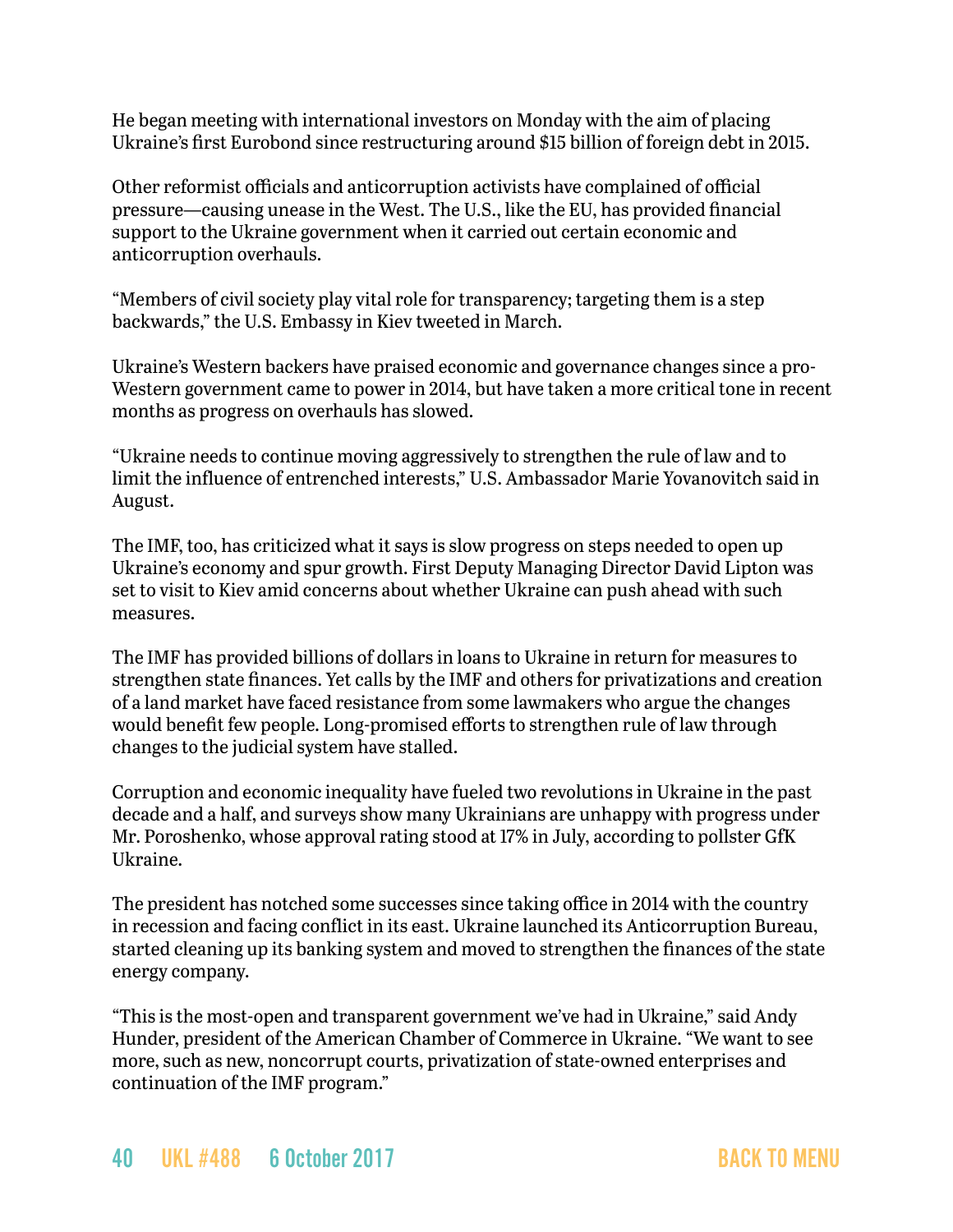He began meeting with international investors on Monday with the aim of placing Ukraine's first Eurobond since restructuring around \$15 billion of foreign debt in 2015.

Other reformist officials and anticorruption activists have complained of official pressure—causing unease in the West. The U.S., like the EU, has provided financial support to the Ukraine government when it carried out certain economic and anticorruption overhauls.

"Members of civil society play vital role for transparency; targeting them is a step backwards," the U.S. Embassy in Kiev tweeted in March.

Ukraine's Western backers have praised economic and governance changes since a pro-Western government came to power in 2014, but have taken a more critical tone in recent months as progress on overhauls has slowed.

"Ukraine needs to continue moving aggressively to strengthen the rule of law and to limit the influence of entrenched interests," U.S. Ambassador Marie Yovanovitch said in August.

The IMF, too, has criticized what it says is slow progress on steps needed to open up Ukraine's economy and spur growth. First Deputy Managing Director David Lipton was set to visit to Kiev amid concerns about whether Ukraine can push ahead with such measures.

The IMF has provided billions of dollars in loans to Ukraine in return for measures to strengthen state finances. Yet calls by the IMF and others for privatizations and creation of a land market have faced resistance from some lawmakers who argue the changes would benefit few people. Long-promised efforts to strengthen rule of law through changes to the judicial system have stalled.

Corruption and economic inequality have fueled two revolutions in Ukraine in the past decade and a half, and surveys show many Ukrainians are unhappy with progress under Mr. Poroshenko, whose approval rating stood at 17% in July, according to pollster GfK Ukraine.

The president has notched some successes since taking office in 2014 with the country in recession and facing conflict in its east. Ukraine launched its Anticorruption Bureau, started cleaning up its banking system and moved to strengthen the finances of the state energy company.

"This is the most-open and transparent government we've had in Ukraine," said Andy Hunder, president of the American Chamber of Commerce in Ukraine. "We want to see more, such as new, noncorrupt courts, privatization of state-owned enterprises and continuation of the IMF program."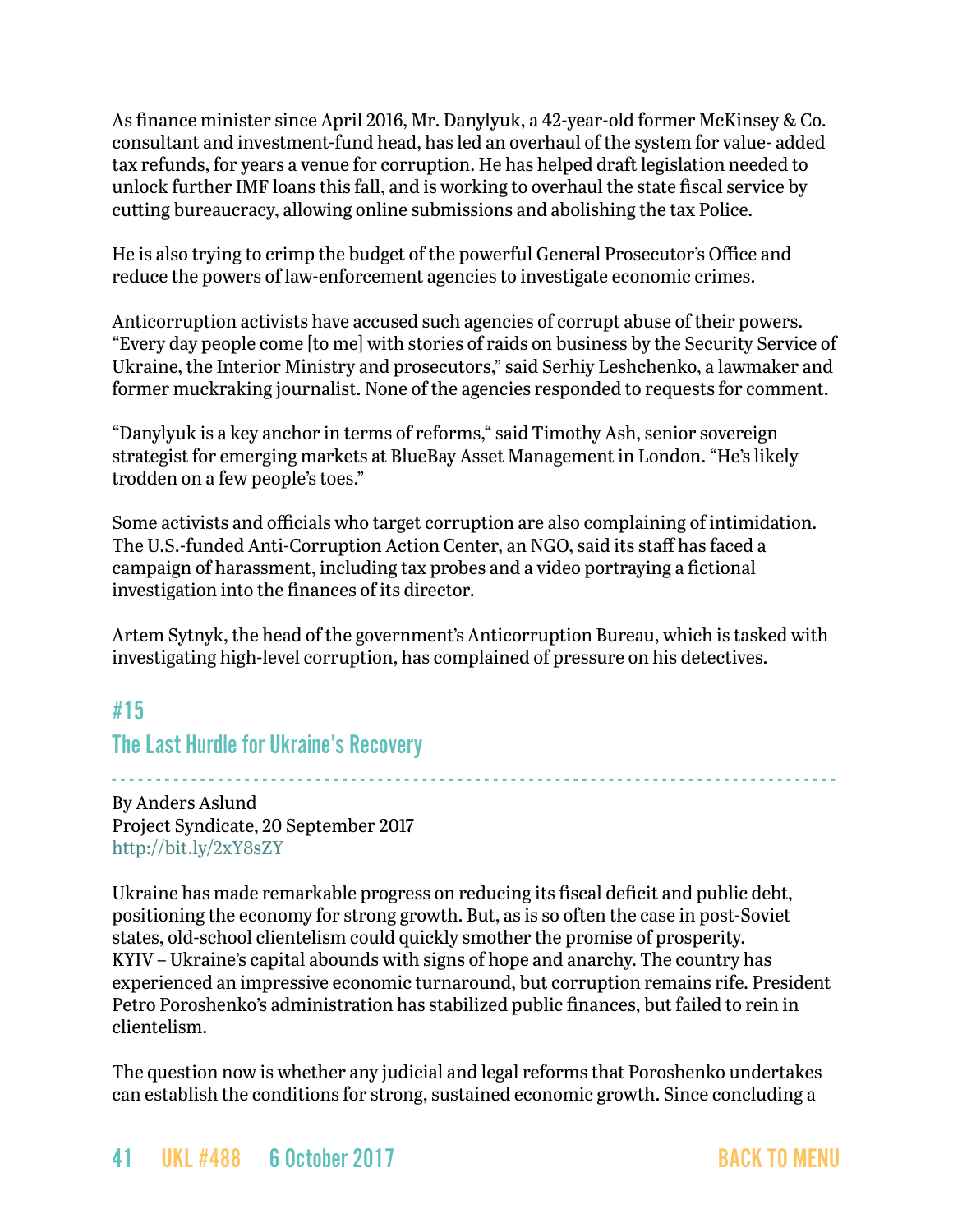As finance minister since April 2016, Mr. Danylyuk, a 42-year-old former McKinsey & Co. consultant and investment-fund head, has led an overhaul of the system for value- added tax refunds, for years a venue for corruption. He has helped draft legislation needed to unlock further IMF loans this fall, and is working to overhaul the state fiscal service by cutting bureaucracy, allowing online submissions and abolishing the tax Police.

He is also trying to crimp the budget of the powerful General Prosecutor's Office and reduce the powers of law-enforcement agencies to investigate economic crimes.

Anticorruption activists have accused such agencies of corrupt abuse of their powers. "Every day people come [to me] with stories of raids on business by the Security Service of Ukraine, the Interior Ministry and prosecutors," said Serhiy Leshchenko, a lawmaker and former muckraking journalist. None of the agencies responded to requests for comment.

"Danylyuk is a key anchor in terms of reforms," said Timothy Ash, senior sovereign strategist for emerging markets at BlueBay Asset Management in London. "He's likely trodden on a few people's toes."

Some activists and officials who target corruption are also complaining of intimidation. The U.S.-funded Anti-Corruption Action Center, an NGO, said its staff has faced a campaign of harassment, including tax probes and a video portraying a fictional investigation into the finances of its director.

Artem Sytnyk, the head of the government's Anticorruption Bureau, which is tasked with investigating high-level corruption, has complained of pressure on his detectives.

# #15 The Last Hurdle for Ukraine's Recovery

- - - - - - - - - - - - - - - - - - - - - - - - - - - - - - - - - - - - - - - - - - - - - - - - - - - - - - - - - - - - - - - - - - - - - - - - - - - - - - - - - - By Anders Aslund Project Syndicate, 20 September 2017 <http://bit.ly/2xY8sZY>

Ukraine has made remarkable progress on reducing its fiscal deficit and public debt, positioning the economy for strong growth. But, as is so often the case in post-Soviet states, old-school clientelism could quickly smother the promise of prosperity. KYIV – Ukraine's capital abounds with signs of hope and anarchy. The country has experienced an impressive economic turnaround, but corruption remains rife. President Petro Poroshenko's administration has stabilized public finances, but failed to rein in clientelism.

The question now is whether any judicial and legal reforms that Poroshenko undertakes can establish the conditions for strong, sustained economic growth. Since concluding a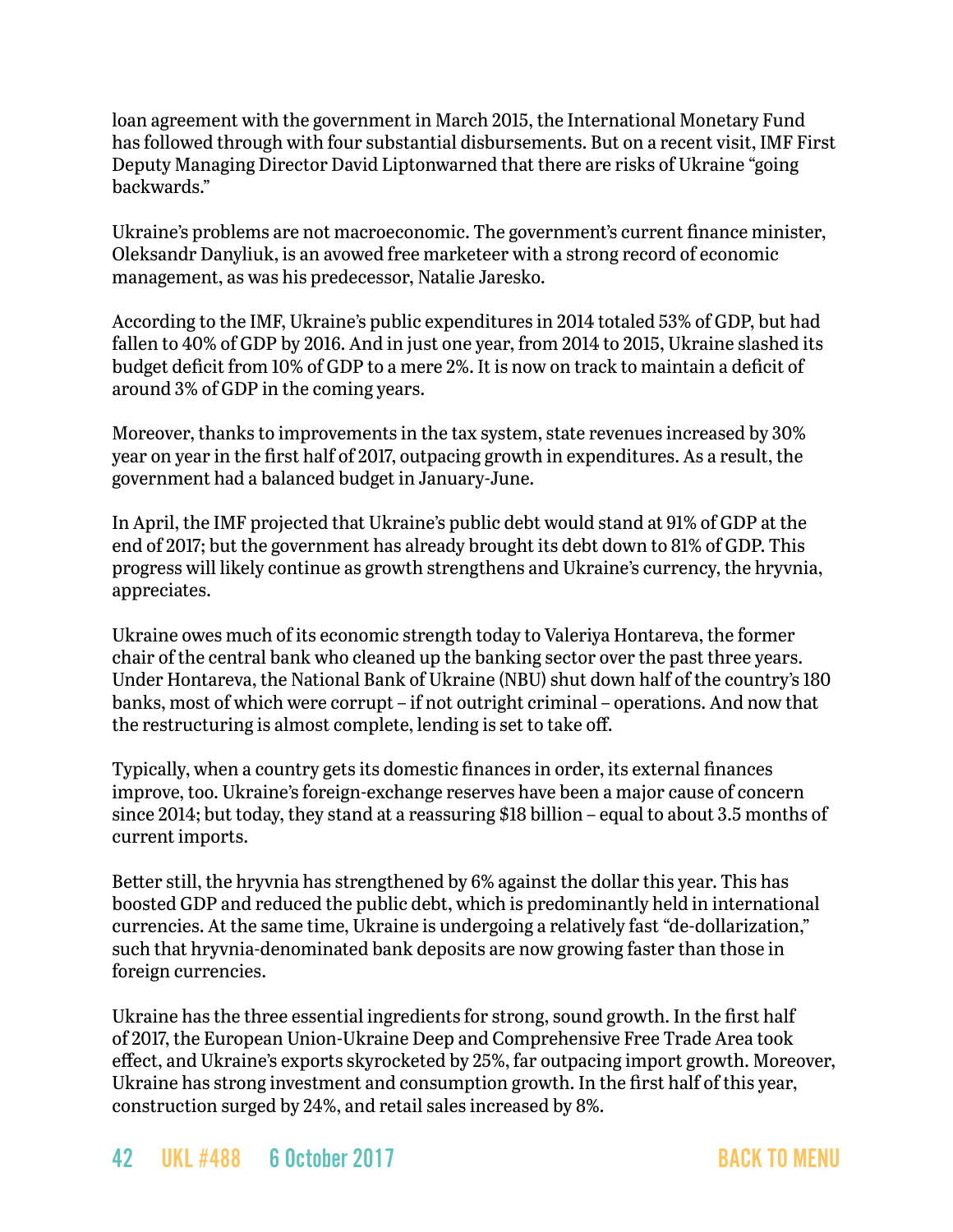loan agreement with the government in March 2015, the International Monetary Fund has followed through with four substantial disbursements. But on a recent visit, IMF First Deputy Managing Director [David Liptonw](https://www.project-syndicate.org/columnist/david-lipton)arned that there are risks of Ukraine ["going](https://www.reuters.com/article/us-ukraine-imf-lipton/imfs-lipton-says-ukraine-risks-going-backwards-idUSKCN1BQ0V0)  [backwards](https://www.reuters.com/article/us-ukraine-imf-lipton/imfs-lipton-says-ukraine-risks-going-backwards-idUSKCN1BQ0V0)."

Ukraine's problems are not macroeconomic. The government's current finance minister, Oleksandr Danyliuk, is an avowed free marketeer with a strong record of economic management, as was his predecessor, Natalie Jaresko.

According to the IMF, Ukraine's public expenditures in 2014 totaled 53% of GDP, but had fallen to 40% of GDP by 2016. And in just one year, from 2014 to 2015, Ukraine [slashed](http://www.imf.org/en/Publications/CR/Issues/2017/04/04/Ukraine-2016-Article-IV-Consultation-and-third-review-under-the-Extended-Arrangement-44798) its budget deficit from 10% of GDP to a mere 2%. It is now on track to maintain a deficit of around 3% of GDP in the coming years.

Moreover, thanks to improvements in the tax system, state revenues increased by 30% year on year in the first half of 2017, outpacing growth in expenditures. As a result, the government had a balanced budget in January-June.

In April, the IMF projected that Ukraine's public debt would stand at 91% of GDP at the end of 2017; but the government has already brought its debt down to 81% of GDP. This progress will likely continue as growth strengthens and Ukraine's currency, the hryvnia, appreciates.

Ukraine owes much of its economic strength today to Valeriya Hontareva, the former chair of the central bank who cleaned up the banking sector over the past three years. Under Hontareva, the National Bank of Ukraine (NBU) [shut down](https://www.project-syndicate.org/commentary/ukraine-economic-reforms-growth-by-anders-aslund-2016-10) half of the country's 180 banks, most of which were corrupt – if not outright criminal – operations. And now that the restructuring is almost complete, lending is set to take off.

Typically, when a country gets its domestic finances in order, its external finances improve, too. Ukraine's foreign-exchange reserves have been a major cause of concern since 2014; but today, they stand at a reassuring \$18 billion – equal to about 3.5 months of current imports.

Better still, the hryvnia has strengthened by 6% against the dollar this year. This has boosted GDP and reduced the public debt, which is predominantly held in international currencies. At the same time, Ukraine is undergoing a relatively fast "de-dollarization," such that hryvnia-denominated bank deposits are now growing faster than those in foreign currencies.

Ukraine has the three essential ingredients for strong, sound growth. In the first half of 2017, the European Union-Ukraine [Deep and Comprehensive Free Trade Area](https://trade.ec.europa.eu/doclib/docs/2013/april/tradoc_150981.pdf) took effect, and Ukraine's exports skyrocketed by 25%, far outpacing import growth. Moreover, Ukraine has strong investment and consumption growth. In the first half of this year, construction surged by 24%, and retail sales increased by 8%.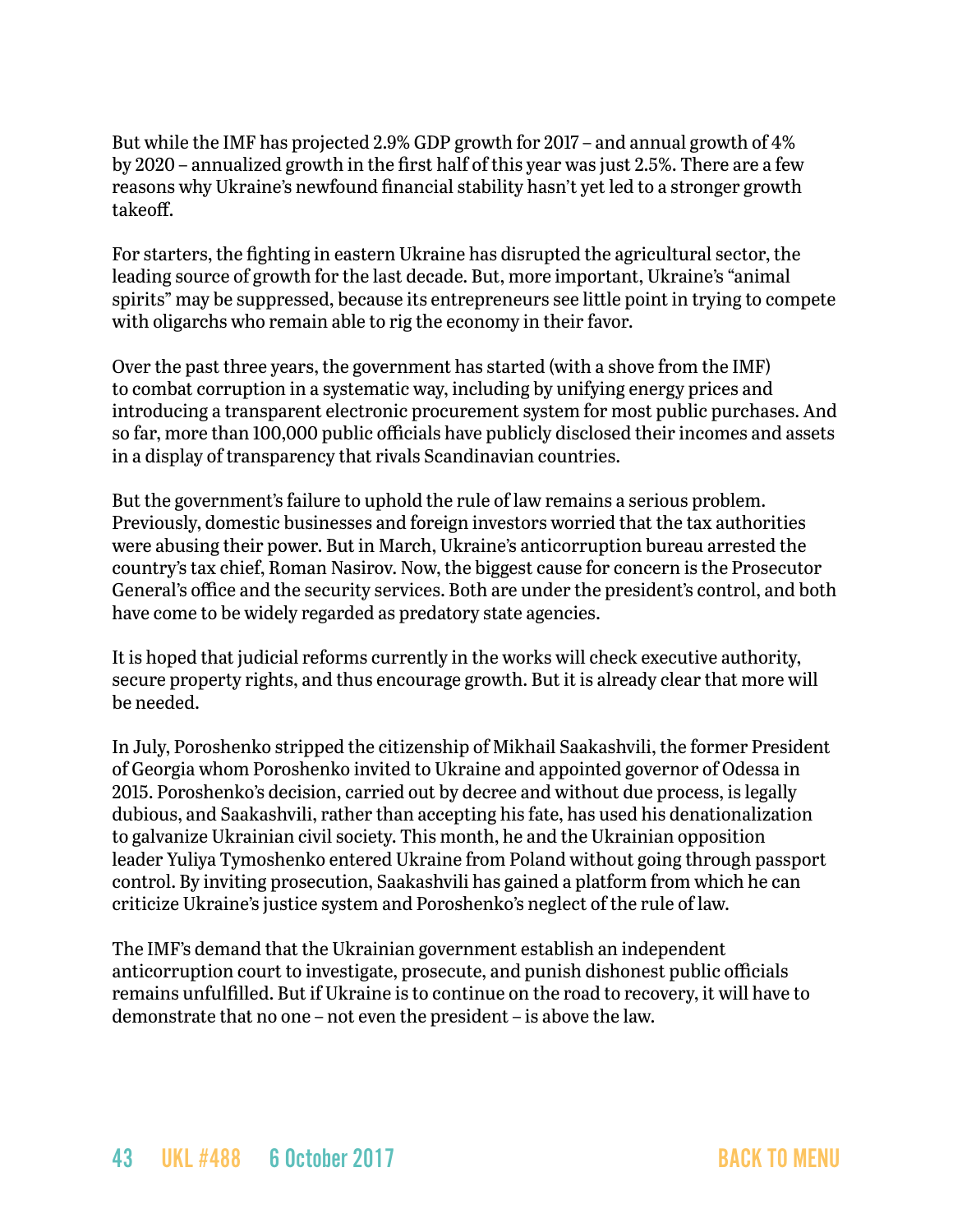But while the IMF has [projected 2](http://www.imf.org/en/Publications/CR/Issues/2017/04/04/Ukraine-2016-Article-IV-Consultation-and-third-review-under-the-Extended-Arrangement-44798).9% GDP growth for 2017 – and annual growth of 4% by 2020 – annualized growth in the first half of this year was just 2.5%. There are a few reasons why Ukraine's newfound financial stability hasn't yet led to a stronger growth takeoff.

For starters, the fighting in eastern Ukraine has disrupted the agricultural sector, the leading source of growth for the last decade. But, more important, Ukraine's "animal spirits" may be suppressed, because its entrepreneurs see little point in trying to compete with oligarchs who remain able to rig the economy in their favor.

Over the past three years, the government has started (with a shove from the IMF) to combat corruption in a systematic way, including by unifying energy prices and introducing a transparent electronic procurement system for most public purchases. And so far, more than 100,000 public officials have publicly disclosed their incomes and assets in a display of transparency that rivals Scandinavian countries.

But the government's failure to uphold the rule of law remains a serious problem. Previously, domestic businesses and foreign investors worried that the tax authorities were abusing their power. But in March, Ukraine's anticorruption bureau arrested the country's tax chief, Roman Nasirov. Now, the biggest cause for concern is the Prosecutor General's office and the security services. Both are under the president's control, and both have come to be widely regarded as predatory state agencies.

It is hoped that judicial reforms currently in the works will check executive authority, secure property rights, and thus encourage growth. But it is already clear that more will be needed.

In July, Poroshenko stripped the citizenship of Mikhail Saakashvili, the former President of Georgia whom Poroshenko invited to Ukraine and appointed governor of Odessa in 2015. Poroshenko's decision, carried out by decree and without due process, is legally dubious, and Saakashvili, rather than accepting his fate, has used his denationalization to galvanize Ukrainian civil society. This month, he and the Ukrainian opposition leader [Yuliya Tymoshenko](https://www.project-syndicate.org/columnist/yuliya-tymoshenko) entered Ukraine from Poland without going through passport control. By inviting prosecution, Saakashvili has gained a platform from which he can criticize Ukraine's justice system and Poroshenko's neglect of the rule of law.

The IMF's demand that the Ukrainian government establish an independent anticorruption court to investigate, prosecute, and punish dishonest public officials remains unfulfilled. But if Ukraine is to continue on the road to recovery, it will have to demonstrate that no one – not even the president – is above the law.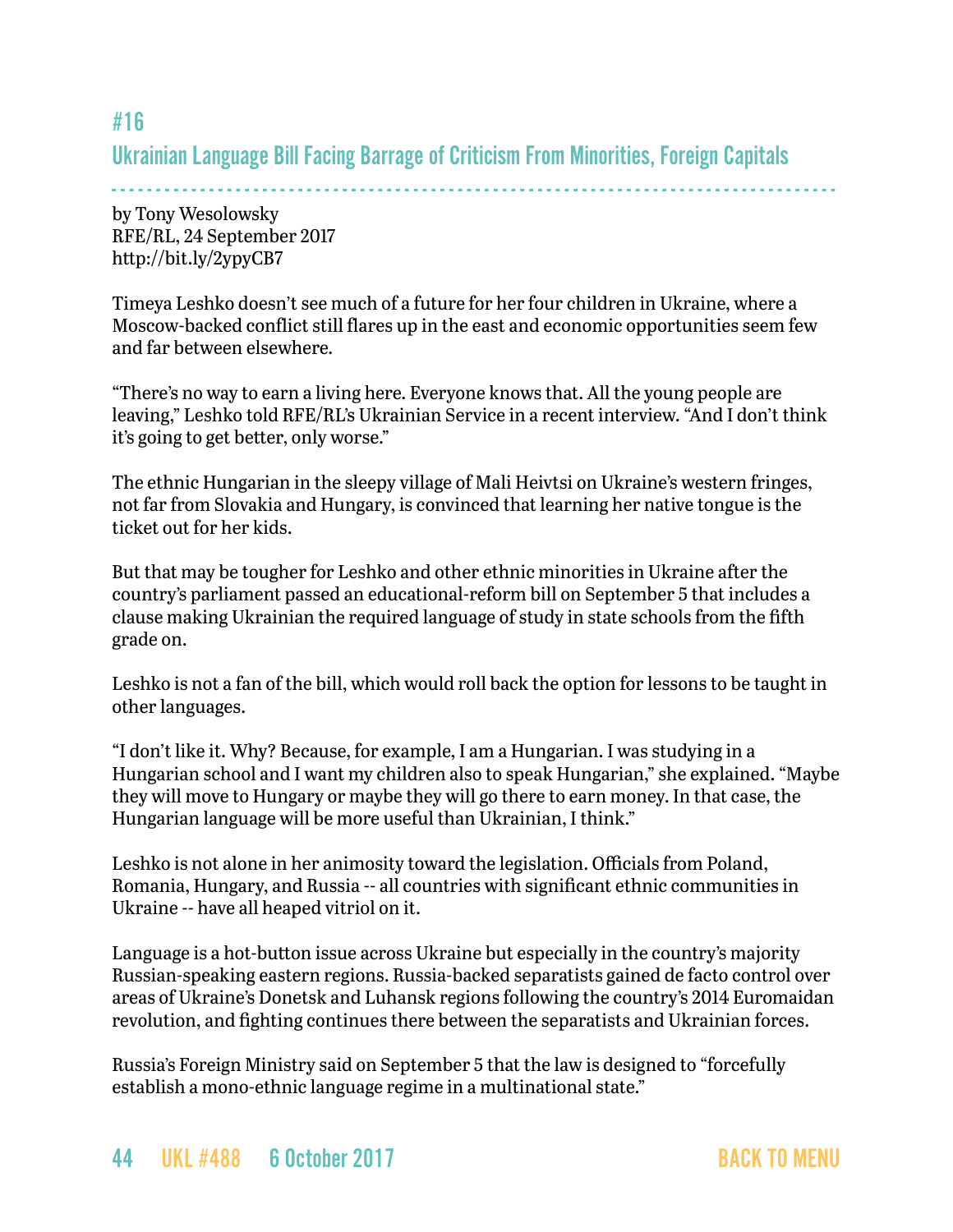# Ukrainian Language Bill Facing Barrage of Criticism From Minorities, Foreign Capitals

- - - - - - - - - - - - - - - - - - - - - - - - - - - - - - - - - - - - - - - - - - - - - - - - - - - - - - - - - - - - - - - - - - - - - - - - - - - - - - - - - -

by Tony Wesolowsky RFE/RL, 24 September 2017 <http://bit.ly/2ypyCB7>

Timeya Leshko doesn't see much of a future for her four children in Ukraine, where a Moscow-backed conflict still flares up in the east and economic opportunities seem few and far between elsewhere.

"There's no way to earn a living here. Everyone knows that. All the young people are leaving," Leshko told RFE/RL's Ukrainian Service in a recent interview. "And I don't think it's going to get better, only worse."

The ethnic Hungarian in the sleepy village of Mali Heivtsi on Ukraine's western fringes, not far from Slovakia and Hungary, is convinced that learning her native tongue is the ticket out for her kids.

But that may be tougher for Leshko and other ethnic minorities in Ukraine after the country's parliament passed an educational-reform bill on September 5 that includes a clause making Ukrainian the required language of study in state schools from the fifth grade on.

Leshko is not a fan of the bill, which would roll back the option for lessons to be taught in other languages.

"I don't like it. Why? Because, for example, I am a Hungarian. I was studying in a Hungarian school and I want my children also to speak Hungarian," she explained. "Maybe they will move to Hungary or maybe they will go there to earn money. In that case, the Hungarian language will be more useful than Ukrainian, I think.["](https://www.rferl.org/a/ukraine-romania-president-cancels-visit-over-language-law/28751116.html)

Leshko is not alone in her animosity toward the legislation. Officials from Poland, Romania, Hungary, and Russia -- all countries with significant ethnic communities in Ukraine -- have all heaped vitriol on it.

Language is a hot-button issue across Ukraine but especially in the country's majority Russian-speaking eastern regions. Russia-backed separatists gained de facto control over areas of Ukraine's Donetsk and Luhansk regions following the country's 2014 Euromaidan revolution, and fighting continues there between the separatists and Ukrainian forces.

Russia's Foreign Ministry said on September 5 that the law is designed to "forcefully establish a mono-ethnic language regime in a multinational state."

## <span id="page-43-0"></span>#16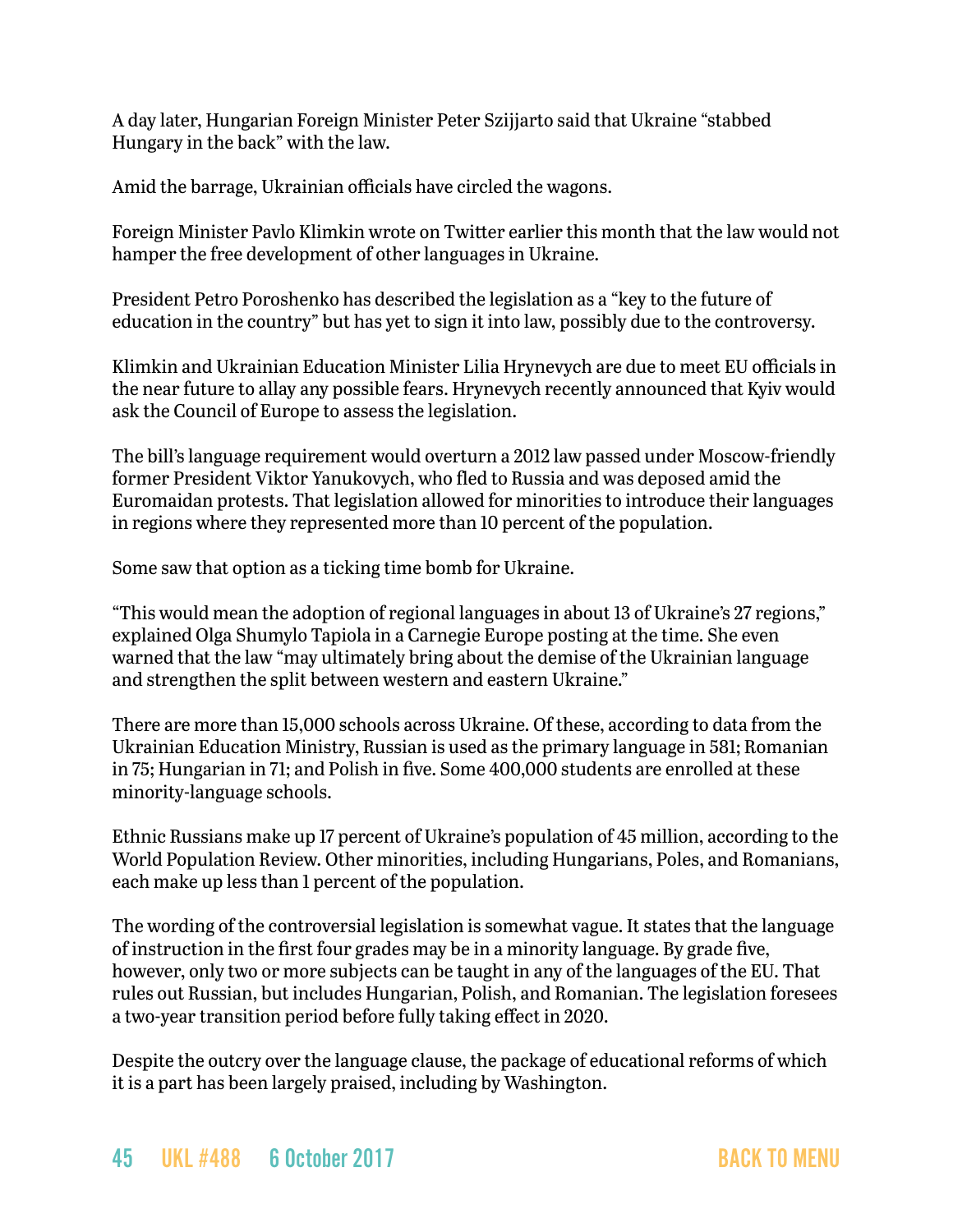A day later, Hungarian Foreign Minister Peter Szijjarto said that Ukraine "stabbed Hungary in the back" with the law.

Amid the barrage, Ukrainian officials have circled the wagons.

Foreign Minister Pavlo Klimkin wrote on Twitter earlier this month that the law would not hamper the free development of other languages in Ukraine.

President Petro Poroshenko has described the legislation as a "key to the future of education in the country" but has yet to sign it into law, possibly due to the controversy.

Klimkin and Ukrainian Education Minister Lilia Hrynevych are due to meet EU officials in the near future to allay any possible fears. Hrynevych recently announced that Kyiv would ask the Council of Europe to assess the legislation.

The bill's language requirement would overturn a 2012 law passed under Moscow-friendly former President Viktor Yanukovych, who fled to Russia and was deposed amid the Euromaidan protests. That legislation allowed for minorities to introduce their languages in regions where they represented more than 10 percent of the population.

Some saw that option as a ticking time bomb for Ukraine.

"This would mean the adoption of regional languages in about 13 of Ukraine's 27 regions," explained Olga Shumylo Tapiola in a Carnegie Europe posting at the time. She even warned that the law "may ultimately bring about the demise of the Ukrainian language and strengthen the split between western and eastern Ukraine."

There are more than 15,000 schools across Ukraine. Of these, according to data from the Ukrainian Education Ministry, Russian is used as the primary language in 581; Romanian in 75; Hungarian in 71; and Polish in five. Some 400,000 students are enrolled at these minority-language schools.

Ethnic Russians make up 17 percent of Ukraine's population of 45 million, according to the World Population Review. Other minorities, including Hungarians, Poles, and Romanians, each make up less than 1 percent of the population.

The wording of the controversial legislation is somewhat vague. It states that the language of instruction in the first four grades may be in a minority language. By grade five, however, only two or more subjects can be taught in any of the languages of the EU. That rules out Russian, but includes Hungarian, Polish, and Romanian. The legislation foresees a two-year transition period before fully taking effect in 2020.

Despite the outcry over the language clause, the package of educational reforms of which it is a part has been largely praised, including by Washington.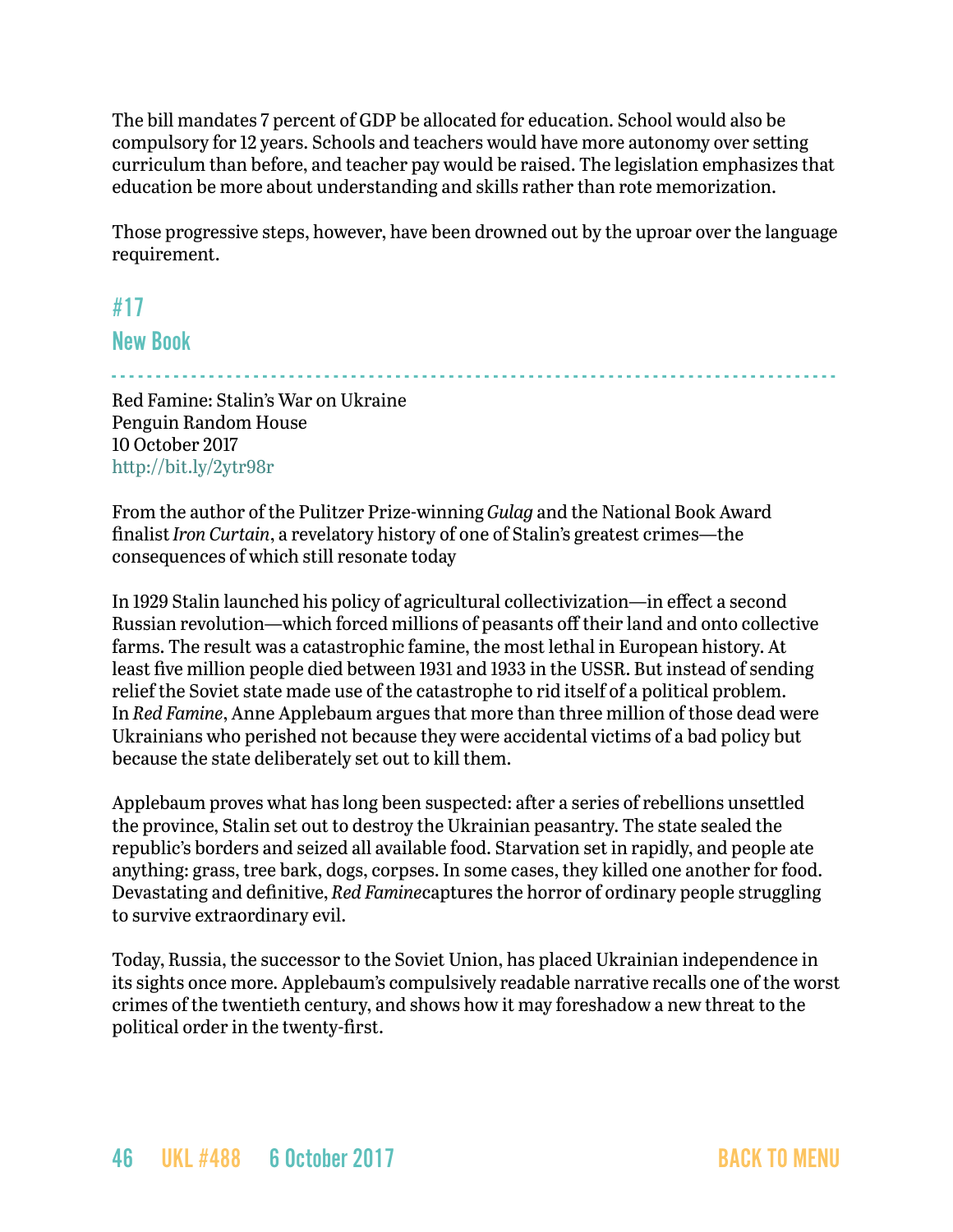The bill mandates 7 percent of GDP be allocated for education. School would also be compulsory for 12 years. Schools and teachers would have more autonomy over setting curriculum than before, and teacher pay would be raised. The legislation emphasizes that education be more about understanding and skills rather than rote memorization.

Those progressive steps, however, have been drowned out by the uproar over the language requirement.

## <span id="page-45-0"></span>#17 New Book

- - - - - - - - - - - - - - - - - - - - - - - - - - - - - - - - - - - - - - - - - - - - - - - - - - - - - - - - - - - - - - - - - - - - - - - - - - - - - - - - - -

Red Famine: Stalin's War on Ukraine Penguin Random House 10 October 2017 <http://bit.ly/2ytr98r>

From the author of the Pulitzer Prize-winning *Gulag* and the National Book Award finalist*Iron Curtain*, a revelatory history of one of Stalin's greatest crimes—the consequences of which still resonate today

In 1929 Stalin launched his policy of agricultural collectivization—in effect a second Russian revolution—which forced millions of peasants off their land and onto collective farms. The result was a catastrophic famine, the most lethal in European history. At least five million people died between 1931 and 1933 in the USSR. But instead of sending relief the Soviet state made use of the catastrophe to rid itself of a political problem. In *Red Famine*, Anne Applebaum argues that more than three million of those dead were Ukrainians who perished not because they were accidental victims of a bad policy but because the state deliberately set out to kill them.

Applebaum proves what has long been suspected: after a series of rebellions unsettled the province, Stalin set out to destroy the Ukrainian peasantry. The state sealed the republic's borders and seized all available food. Starvation set in rapidly, and people ate anything: grass, tree bark, dogs, corpses. In some cases, they killed one another for food. Devastating and definitive, *Red Famine*captures the horror of ordinary people struggling to survive extraordinary evil.

Today, Russia, the successor to the Soviet Union, has placed Ukrainian independence in its sights once more. Applebaum's compulsively readable narrative recalls one of the worst crimes of the twentieth century, and shows how it may foreshadow a new threat to the political order in the twenty-first.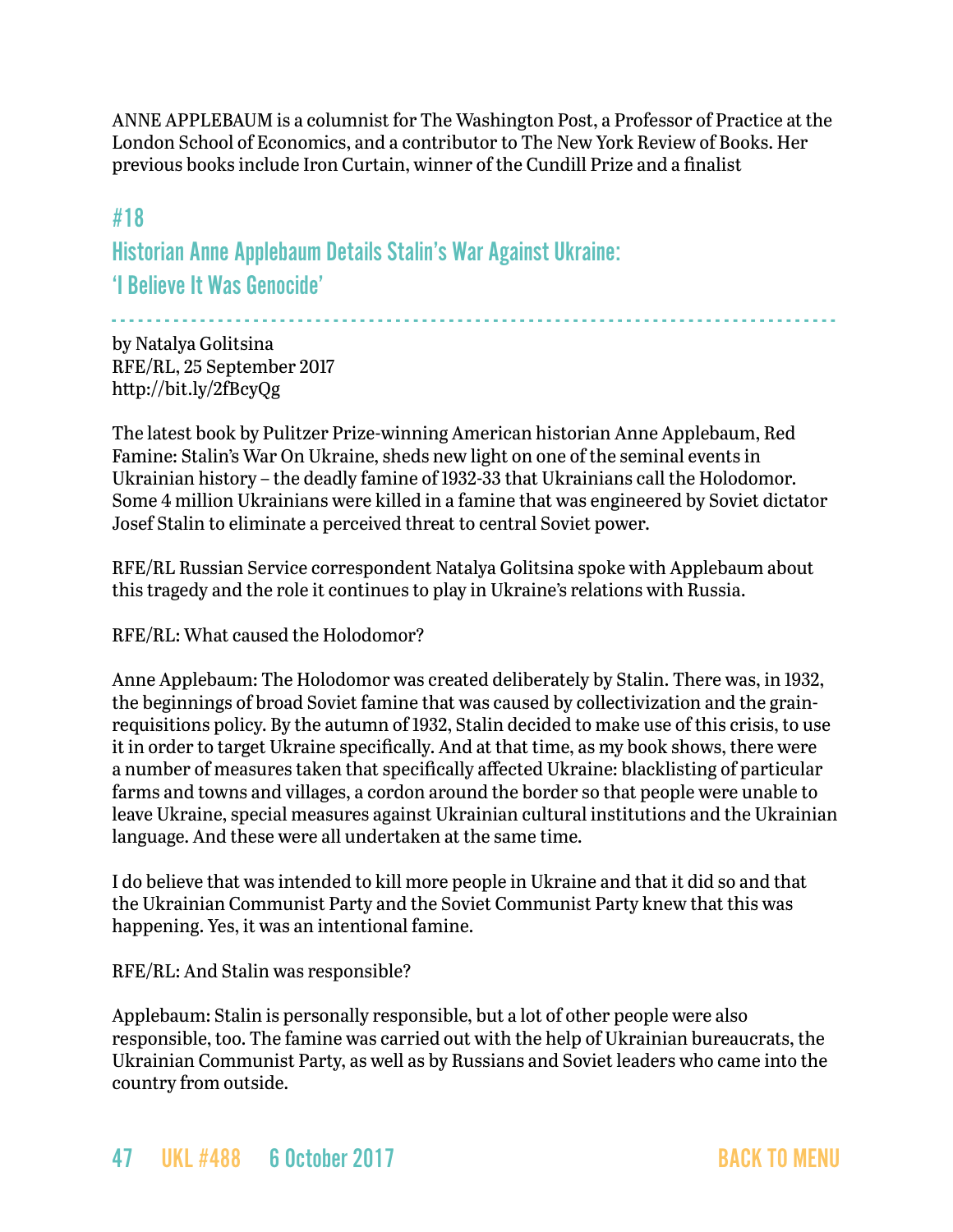ANNE APPLEBAUM is a columnist for The Washington Post, a Professor of Practice at the London School of Economics, and a contributor to The New York Review of Books. Her previous books include Iron Curtain, winner of the Cundill Prize and a finalist

## #18

Historian Anne Applebaum Details Stalin's War Against Ukraine: 'I Believe It Was Genocide'

- - - - - - - - - - - - - - - - - - - - - - - - - - - - - - - - - - - - - - - - - - - - - - - - - - - - - - - - - - - - - - - - - - - - - - - - - - - - - - - - - by Natalya Golitsina RFE/RL, 25 September 2017 <http://bit.ly/2fBcyQg>

The latest book by Pulitzer Prize-winning American historian Anne Applebaum, Red Famine: Stalin's War On Ukraine, sheds new light on one of the seminal events in Ukrainian history – the deadly famine of 1932-33 that Ukrainians call the Holodomor. Some 4 million Ukrainians were killed in a famine that was engineered by Soviet dictator Josef Stalin to eliminate a perceived threat to central Soviet power.

RFE/RL Russian Service correspondent Natalya Golitsina spoke with Applebaum about this tragedy and the role it continues to play in Ukraine's relations with Russia.

RFE/RL: What caused the Holodomor?

Anne Applebaum: The Holodomor was created deliberately by Stalin. There was, in 1932, the beginnings of broad Soviet famine that was caused by collectivization and the grainrequisitions policy. By the autumn of 1932, Stalin decided to make use of this crisis, to use it in order to target Ukraine specifically. And at that time, as my book shows, there were a number of measures taken that specifically affected Ukraine: blacklisting of particular farms and towns and villages, a cordon around the border so that people were unable to leave Ukraine, special measures against Ukrainian cultural institutions and the Ukrainian language. And these were all undertaken at the same time.

I do believe that was intended to kill more people in Ukraine and that it did so and that the Ukrainian Communist Party and the Soviet Communist Party knew that this was happening. Yes, it was an intentional famine.

RFE/RL: And Stalin was responsible?

Applebaum: Stalin is personally responsible, but a lot of other people were also responsible, too. The famine was carried out with the help of Ukrainian bureaucrats, the Ukrainian Communist Party, as well as by Russians and Soviet leaders who came into the country from outside.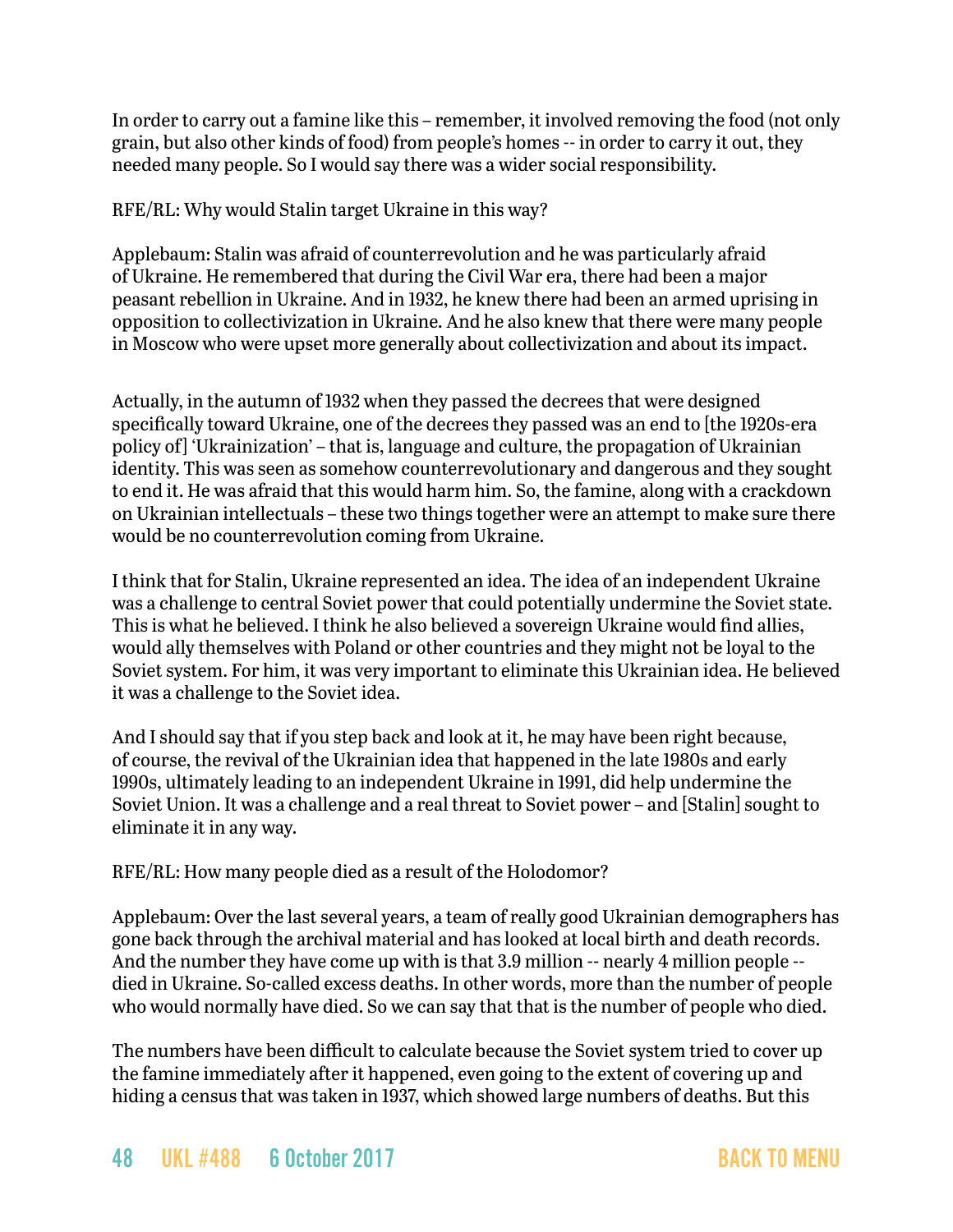In order to carry out a famine like this – remember, it involved removing the food (not only grain, but also other kinds of food) from people's homes -- in order to carry it out, they needed many people. So I would say there was a wider social responsibility.

### RFE/RL: Why would Stalin target Ukraine in this way?

Applebaum: Stalin was afraid of counterrevolution and he was particularly afraid of Ukraine. He remembered that during the Civil War era, there had been a major peasant rebellion in Ukraine. And in 1932, he knew there had been an armed uprising in opposition to collectivization in Ukraine. And he also knew that there were many people in Moscow who were upset more generally about collectivization and about its impact.

Actually, in the autumn of 1932 when they passed the decrees that were designed specifically toward Ukraine, one of the decrees they passed was an end to [the 1920s-era policy of] 'Ukrainization' – that is, language and culture, the propagation of Ukrainian identity. This was seen as somehow counterrevolutionary and dangerous and they sought to end it. He was afraid that this would harm him. So, the famine, along with a crackdown on Ukrainian intellectuals – these two things together were an attempt to make sure there would be no counterrevolution coming from Ukraine.

I think that for Stalin, Ukraine represented an idea. The idea of an independent Ukraine was a challenge to central Soviet power that could potentially undermine the Soviet state. This is what he believed. I think he also believed a sovereign Ukraine would find allies, would ally themselves with Poland or other countries and they might not be loyal to the Soviet system. For him, it was very important to eliminate this Ukrainian idea. He believed it was a challenge to the Soviet idea.

And I should say that if you step back and look at it, he may have been right because, of course, the revival of the Ukrainian idea that happened in the late 1980s and early 1990s, ultimately leading to an independent Ukraine in 1991, did help undermine the Soviet Union. It was a challenge and a real threat to Soviet power – and [Stalin] sought to eliminate it in any way.

RFE/RL: How many people died as a result of the Holodomor?

Applebaum: Over the last several years, a team of really good Ukrainian demographers has gone back through the archival material and has looked at local birth and death records. And the number they have come up with is that 3.9 million -- nearly 4 million people - died in Ukraine. So-called excess deaths. In other words, more than the number of people who would normally have died. So we can say that that is the number of people who died.

The numbers have been difficult to calculate because the Soviet system tried to cover up the famine immediately after it happened, even going to the extent of covering up and hiding a census that was taken in 1937, which showed large numbers of deaths. But this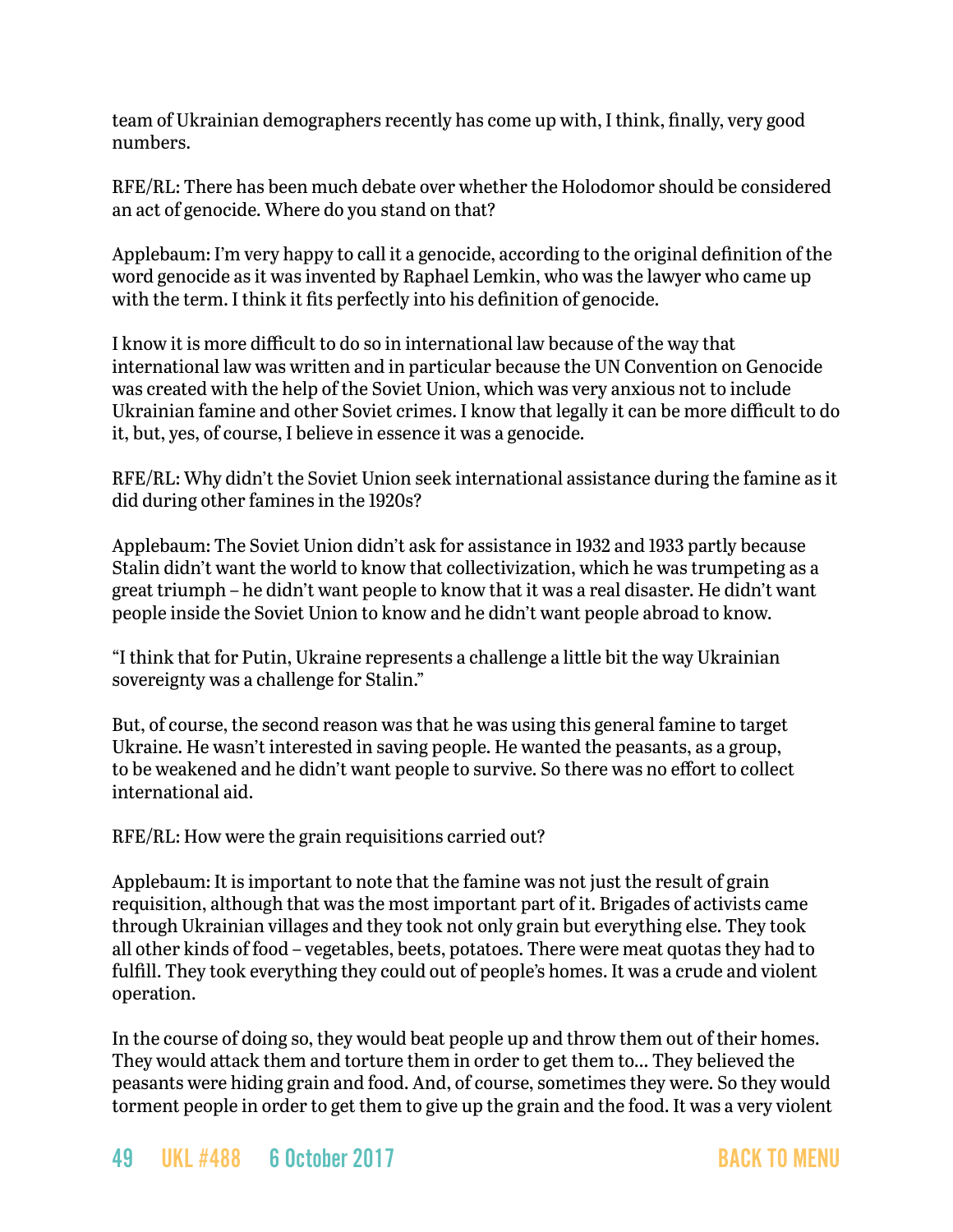team of Ukrainian demographers recently has come up with, I think, finally, very good numbers.

RFE/RL: There has been much debate over whether the Holodomor should be considered an act of genocide. Where do you stand on that?

Applebaum: I'm very happy to call it a genocide, according to the original definition of the word genocide as it was invented by Raphael Lemkin, who was the lawyer who came up with the term. I think it fits perfectly into his definition of genocide.

I know it is more difficult to do so in international law because of the way that international law was written and in particular because the UN Convention on Genocide was created with the help of the Soviet Union, which was very anxious not to include Ukrainian famine and other Soviet crimes. I know that legally it can be more difficult to do it, but, yes, of course, I believe in essence it was a genocide.

RFE/RL: Why didn't the Soviet Union seek international assistance during the famine as it did during other famines in the 1920s?

Applebaum: The Soviet Union didn't ask for assistance in 1932 and 1933 partly because Stalin didn't want the world to know that collectivization, which he was trumpeting as a great triumph – he didn't want people to know that it was a real disaster. He didn't want people inside the Soviet Union to know and he didn't want people abroad to know.

"I think that for Putin, Ukraine represents a challenge a little bit the way Ukrainian sovereignty was a challenge for Stalin."

But, of course, the second reason was that he was using this general famine to target Ukraine. He wasn't interested in saving people. He wanted the peasants, as a group, to be weakened and he didn't want people to survive. So there was no effort to collect international aid.

RFE/RL: How were the grain requisitions carried out?

Applebaum: It is important to note that the famine was not just the result of grain requisition, although that was the most important part of it. Brigades of activists came through Ukrainian villages and they took not only grain but everything else. They took all other kinds of food – vegetables, beets, potatoes. There were meat quotas they had to fulfill. They took everything they could out of people's homes. It was a crude and violent operation.

In the course of doing so, they would beat people up and throw them out of their homes. They would attack them and torture them in order to get them to… They believed the peasants were hiding grain and food. And, of course, sometimes they were. So they would torment people in order to get them to give up the grain and the food. It was a very violent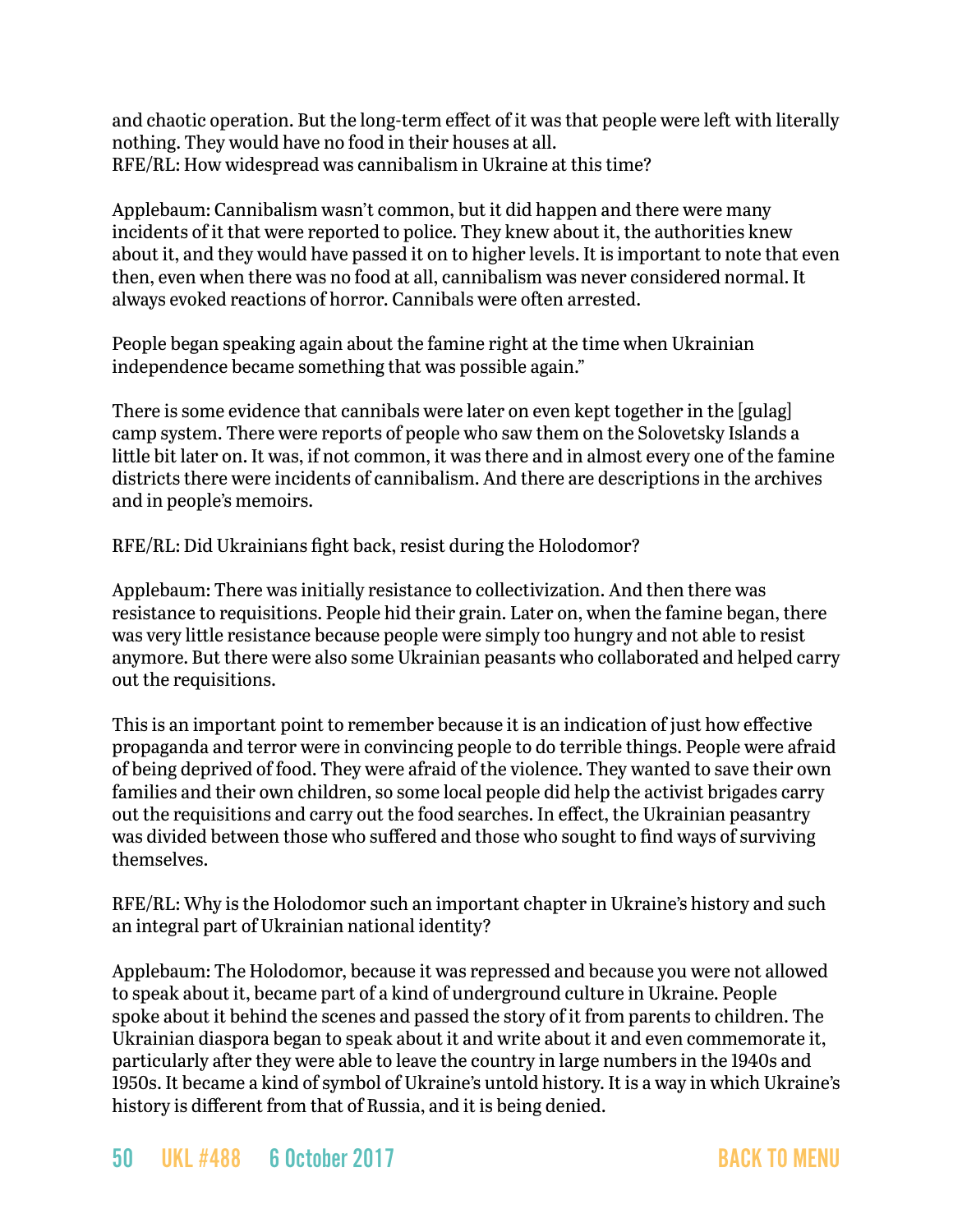and chaotic operation. But the long-term effect of it was that people were left with literally nothing. They would have no food in their houses at all. RFE/RL: How widespread was cannibalism in Ukraine at this time?

Applebaum: Cannibalism wasn't common, but it did happen and there were many incidents of it that were reported to police. They knew about it, the authorities knew about it, and they would have passed it on to higher levels. It is important to note that even then, even when there was no food at all, cannibalism was never considered normal. It always evoked reactions of horror. Cannibals were often arrested.

People began speaking again about the famine right at the time when Ukrainian independence became something that was possible again."

There is some evidence that cannibals were later on even kept together in the [gulag] camp system. There were reports of people who saw them on the Solovetsky Islands a little bit later on. It was, if not common, it was there and in almost every one of the famine districts there were incidents of cannibalism. And there are descriptions in the archives and in people's memoirs.

RFE/RL: Did Ukrainians fight back, resist during the Holodomor?

Applebaum: There was initially resistance to collectivization. And then there was resistance to requisitions. People hid their grain. Later on, when the famine began, there was very little resistance because people were simply too hungry and not able to resist anymore. But there were also some Ukrainian peasants who collaborated and helped carry out the requisitions.

This is an important point to remember because it is an indication of just how effective propaganda and terror were in convincing people to do terrible things. People were afraid of being deprived of food. They were afraid of the violence. They wanted to save their own families and their own children, so some local people did help the activist brigades carry out the requisitions and carry out the food searches. In effect, the Ukrainian peasantry was divided between those who suffered and those who sought to find ways of surviving themselves.

RFE/RL: Why is the Holodomor such an important chapter in Ukraine's history and such an integral part of Ukrainian national identity?

Applebaum: The Holodomor, because it was repressed and because you were not allowed to speak about it, became part of a kind of underground culture in Ukraine. People spoke about it behind the scenes and passed the story of it from parents to children. The Ukrainian diaspora began to speak about it and write about it and even commemorate it, particularly after they were able to leave the country in large numbers in the 1940s and 1950s. It became a kind of symbol of Ukraine's untold history. It is a way in which Ukraine's history is different from that of Russia, and it is being denied.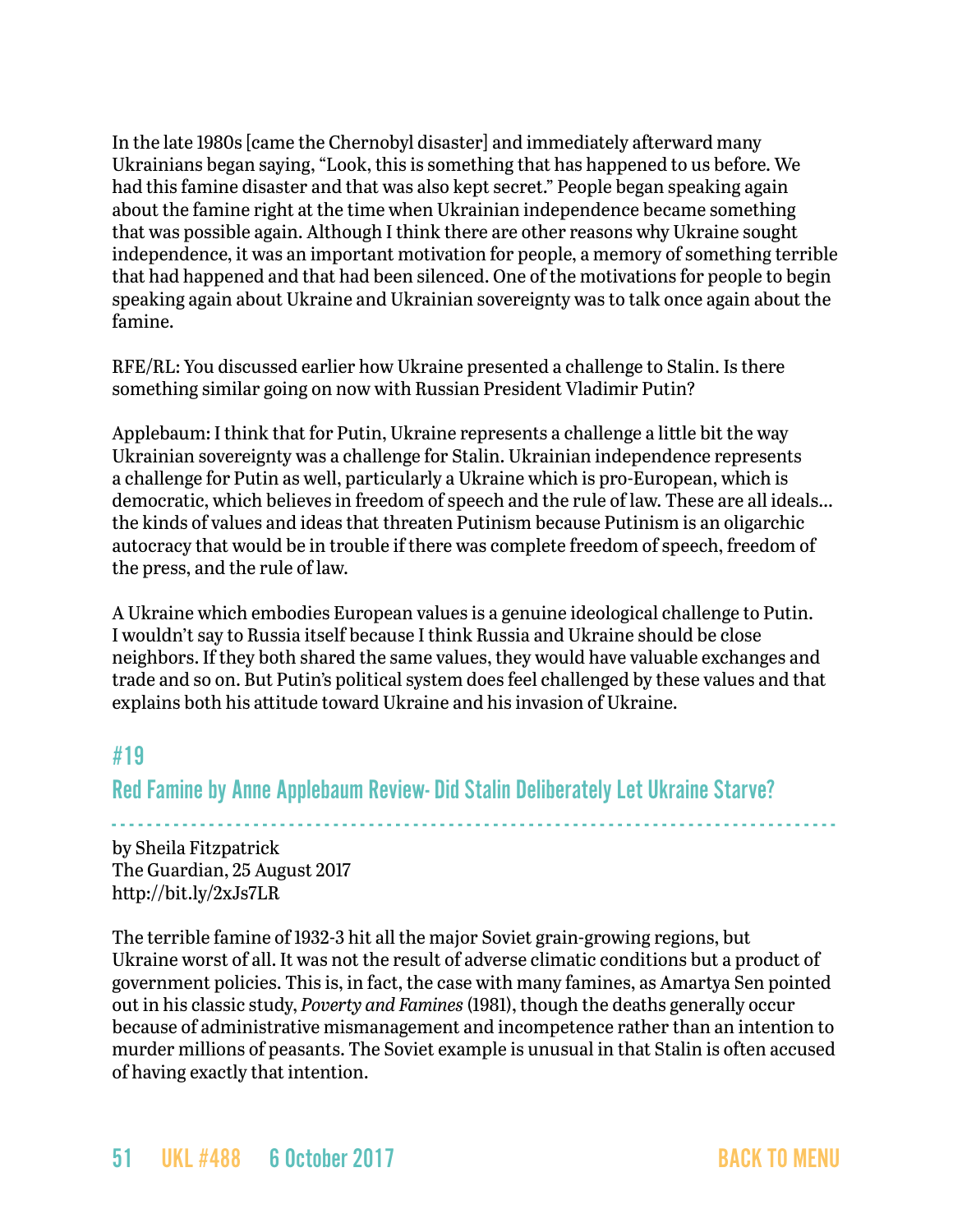In the late 1980s [came the Chernobyl disaster] and immediately afterward many Ukrainians began saying, "Look, this is something that has happened to us before. We had this famine disaster and that was also kept secret." People began speaking again about the famine right at the time when Ukrainian independence became something that was possible again. Although I think there are other reasons why Ukraine sought independence, it was an important motivation for people, a memory of something terrible that had happened and that had been silenced. One of the motivations for people to begin speaking again about Ukraine and Ukrainian sovereignty was to talk once again about the famine.

RFE/RL: You discussed earlier how Ukraine presented a challenge to Stalin. Is there something similar going on now with Russian President Vladimir Putin?

Applebaum: I think that for Putin, Ukraine represents a challenge a little bit the way Ukrainian sovereignty was a challenge for Stalin. Ukrainian independence represents a challenge for Putin as well, particularly a Ukraine which is pro-European, which is democratic, which believes in freedom of speech and the rule of law. These are all ideals… the kinds of values and ideas that threaten Putinism because Putinism is an oligarchic autocracy that would be in trouble if there was complete freedom of speech, freedom of the press, and the rule of law.

A Ukraine which embodies European values is a genuine ideological challenge to Putin. I wouldn't say to Russia itself because I think Russia and Ukraine should be close neighbors. If they both shared the same values, they would have valuable exchanges and trade and so on. But Putin's political system does feel challenged by these values and that explains both his attitude toward Ukraine and his invasion of Ukraine.

## <span id="page-50-0"></span>#19

Red Famine by Anne Applebaum Review- Did Stalin Deliberately Let Ukraine Starve?

- - - - - - - - - - - - - - - - - - - - - - - - - - - - - - - - - - - - - - - - - - - - - - - - - - - - - - - - - - - - - - - - - - - - - - - - - - - - - - - - - -

by Sheila Fitzpatrick The Guardian, 25 August 2017 <http://bit.ly/2xJs7LR>

The terrible famine of 1932-3 hit all the major Soviet grain-growing regions, but Ukraine worst of all. It was not the result of adverse climatic conditions but a product of government policies. This is, in fact, the case with many famines, as Amartya Sen pointed out in his classic study, *Poverty and Famines* (1981), though the deaths generally occur because of administrative mismanagement and incompetence rather than an intention to murder millions of peasants. The Soviet example is unusual in that Stalin is often accused of having exactly that intention.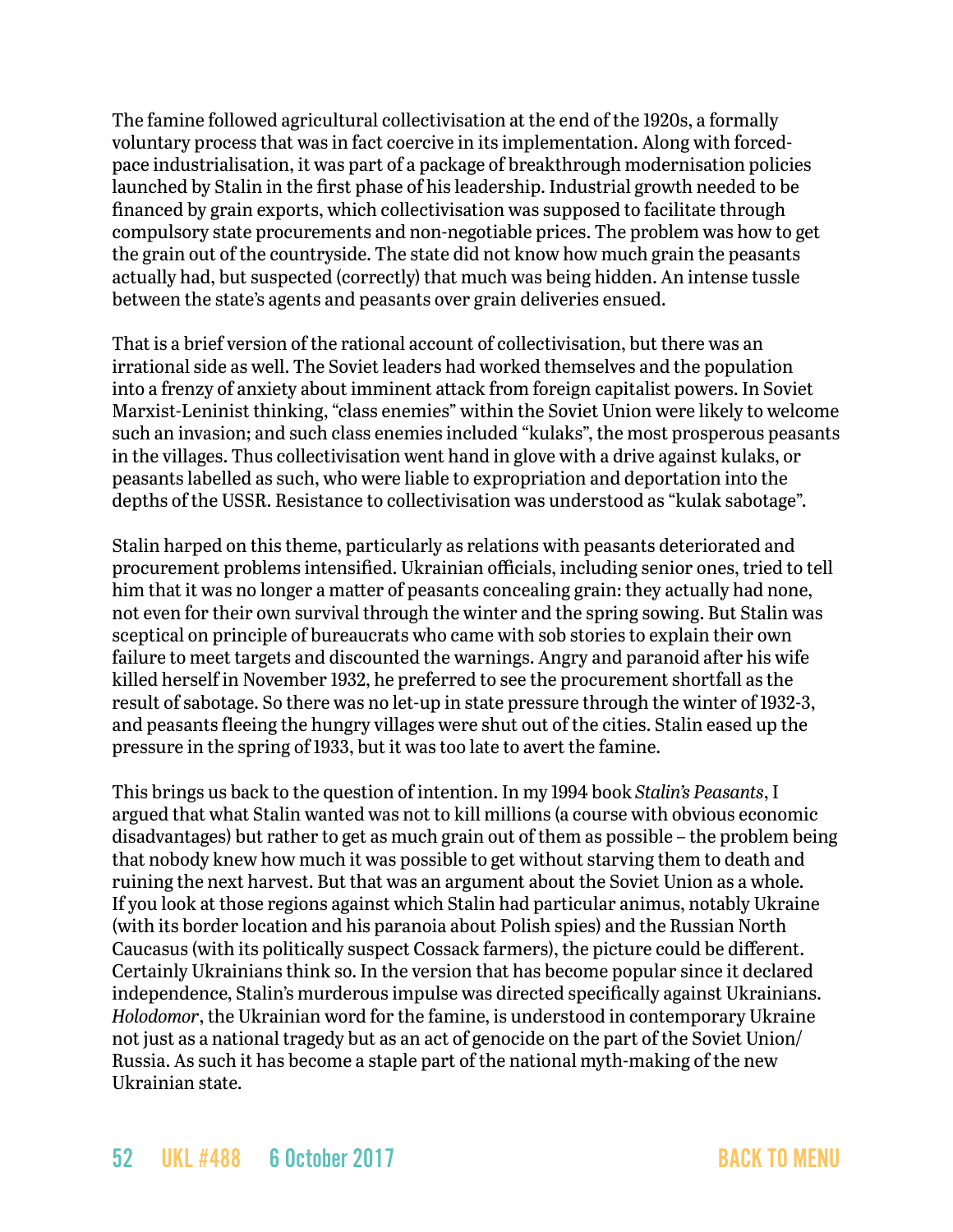The famine followed agricultural collectivisation at the end of the 1920s, a formally voluntary process that was in fact coercive in its implementation. Along with forcedpace industrialisation, it was part of a package of breakthrough modernisation policies launched by Stalin in the first phase of his leadership. Industrial growth needed to be financed by grain exports, which collectivisation was supposed to facilitate through compulsory state procurements and non-negotiable prices. The problem was how to get the grain out of the countryside. The state did not know how much grain the peasants actually had, but suspected (correctly) that much was being hidden. An intense tussle between the state's agents and peasants over grain deliveries ensued.

That is a brief version of the rational account of collectivisation, but there was an irrational side as well. The Soviet leaders had worked themselves and the population into a frenzy of anxiety about imminent attack from foreign capitalist powers. In Soviet Marxist-Leninist thinking, "class enemies" within the Soviet Union were likely to welcome such an invasion; and such class enemies included "kulaks", the most prosperous peasants in the villages. Thus collectivisation went hand in glove with a drive against kulaks, or peasants labelled as such, who were liable to expropriation and deportation into the depths of the USSR. Resistance to collectivisation was understood as "kulak sabotage".

Stalin harped on this theme, particularly as relations with peasants deteriorated and procurement problems intensified. Ukrainian officials, including senior ones, tried to tell him that it was no longer a matter of peasants concealing grain: they actually had none, not even for their own survival through the winter and the spring sowing. But Stalin was sceptical on principle of bureaucrats who came with sob stories to explain their own failure to meet targets and discounted the warnings. Angry and paranoid after his wife killed herself in November 1932, he preferred to see the procurement shortfall as the result of sabotage. So there was no let-up in state pressure through the winter of 1932-3, and peasants fleeing the hungry villages were shut out of the cities. Stalin eased up the pressure in the spring of 1933, but it was too late to avert the famine.

This brings us back to the question of intention. In my 1994 book *Stalin's Peasants*, I argued that what Stalin wanted was not to kill millions (a course with obvious economic disadvantages) but rather to get as much grain out of them as possible – the problem being that nobody knew how much it was possible to get without starving them to death and ruining the next harvest. But that was an argument about the Soviet Union as a whole. If you look at those regions against which Stalin had particular animus, notably Ukraine (with its border location and his paranoia about Polish spies) and the Russian North Caucasus (with its politically suspect Cossack farmers), the picture could be different. Certainly Ukrainians think so. In the version that has become popular since it declared independence, Stalin's murderous impulse was directed specifically against Ukrainians. *Holodomor*, the Ukrainian word for the famine, is understood in contemporary [Ukraine](https://www.theguardian.com/world/ukraine) not just as a national tragedy but as an act of genocide on the part of the Soviet Union/ Russia. As such it has become a staple part of the national myth-making of the new Ukrainian state.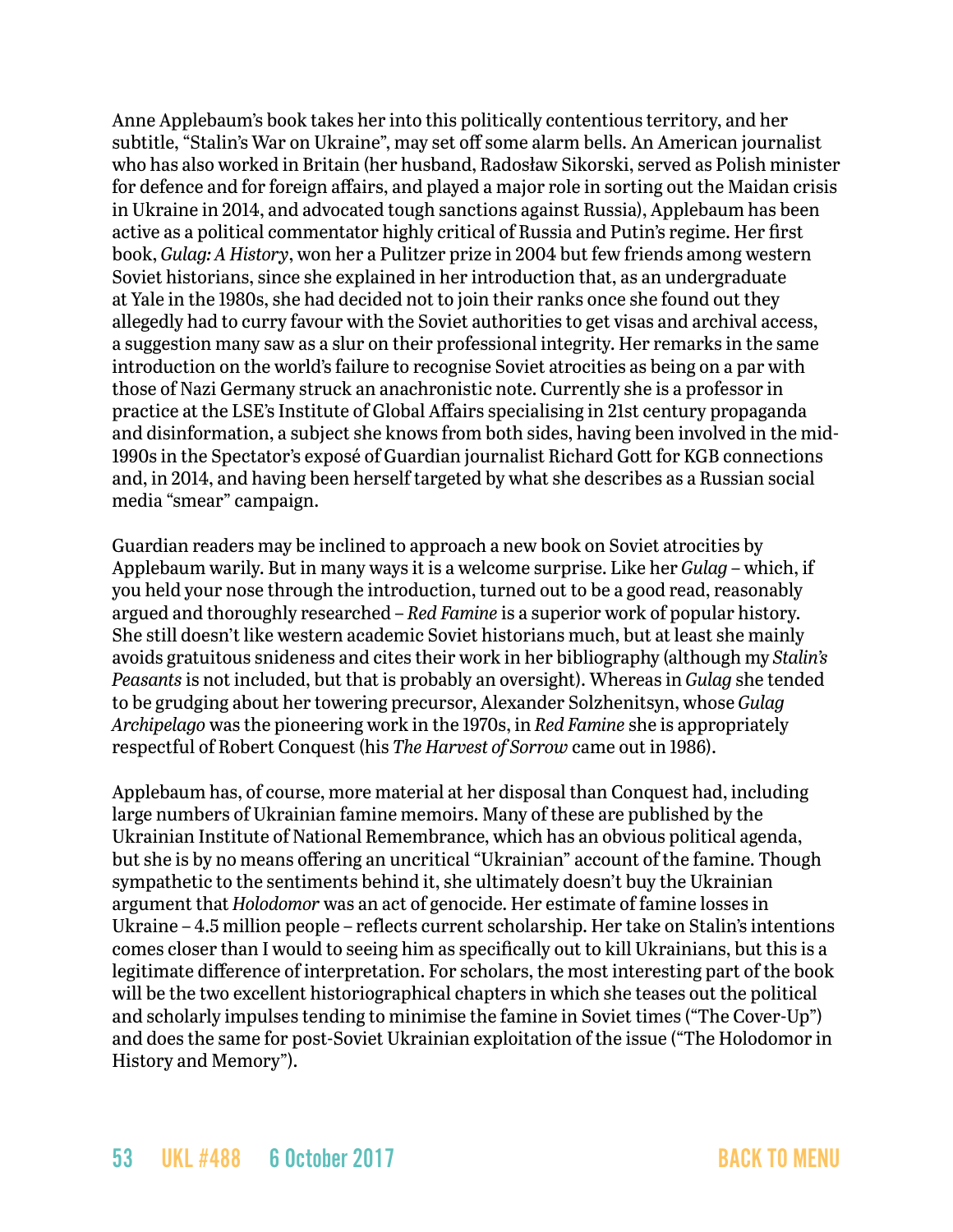Anne Applebaum's book takes her into this politically contentious territory, and her subtitle, "Stalin's War on Ukraine", may set off some alarm bells. An American journalist who has also worked in Britain (her husband, Radosław Sikorski, served as Polish minister for defence and for foreign affairs, and played a major role in sorting out the Maidan crisis in Ukraine in 2014, and advocated tough sanctions against Russia), Applebaum has been active as a political commentator highly critical of Russia and Putin's regime. Her first book, *Gulag: A History*, won her a Pulitzer prize in 2004 but few friends among western Soviet historians, since she explained in her introduction that, as an undergraduate at Yale in the 1980s, she had decided not to join their ranks once she found out they allegedly had to curry favour with the Soviet authorities to get visas and archival access, a suggestion many saw as a slur on their professional integrity. Her remarks in the same introduction on the world's failure to recognise Soviet atrocities as being on a par with those of Nazi Germany struck an anachronistic note. Currently she is a professor in practice at the LSE's Institute of Global Affairs specialising in 21st century propaganda and disinformation, a subject she knows from both sides, having been involved in the mid-1990s in the Spectator's exposé of Guardian journalist Richard Gott for KGB connections and, in 2014, and having been herself targeted by what she describes as a Russian social media "smear" campaign.

Guardian readers may be inclined to approach a new book on Soviet atrocities by Applebaum warily. But in many ways it is a welcome surprise. Like her *Gulag* – which, if you held your nose through the introduction, turned out to be a good read, reasonably argued and thoroughly researched – *Red Famine* is a superior work of popular history. She still doesn't like western academic Soviet historians much, but at least she mainly avoids gratuitous snideness and cites their work in her bibliography (although my *Stalin's Peasants* is not included, but that is probably an oversight). Whereas in *Gulag* she tended to be grudging about her towering precursor, Alexander Solzhenitsyn, whose *Gulag Archipelago* was the pioneering work in the 1970s, in *Red Famine* she is appropriately respectful of Robert Conquest (his *The Harvest of Sorrow* came out in 1986).

Applebaum has, of course, more material at her disposal than Conquest had, including large numbers of Ukrainian famine memoirs. Many of these are published by the Ukrainian Institute of National Remembrance, which has an obvious political agenda, but she is by no means offering an uncritical "Ukrainian" account of the famine. Though sympathetic to the sentiments behind it, she ultimately doesn't buy the Ukrainian argument that *Holodomor* was an act of genocide. Her estimate of famine losses in Ukraine – 4.5 million people – reflects current scholarship. Her take on Stalin's intentions comes closer than I would to seeing him as specifically out to kill Ukrainians, but this is a legitimate difference of interpretation. For scholars, the most interesting part of the book will be the two excellent historiographical chapters in which she teases out the political and scholarly impulses tending to minimise the famine in Soviet times ("The Cover-Up") and does the same for post-Soviet Ukrainian exploitation of the issue ("The Holodomor in [History](https://www.theguardian.com/books/history) and Memory").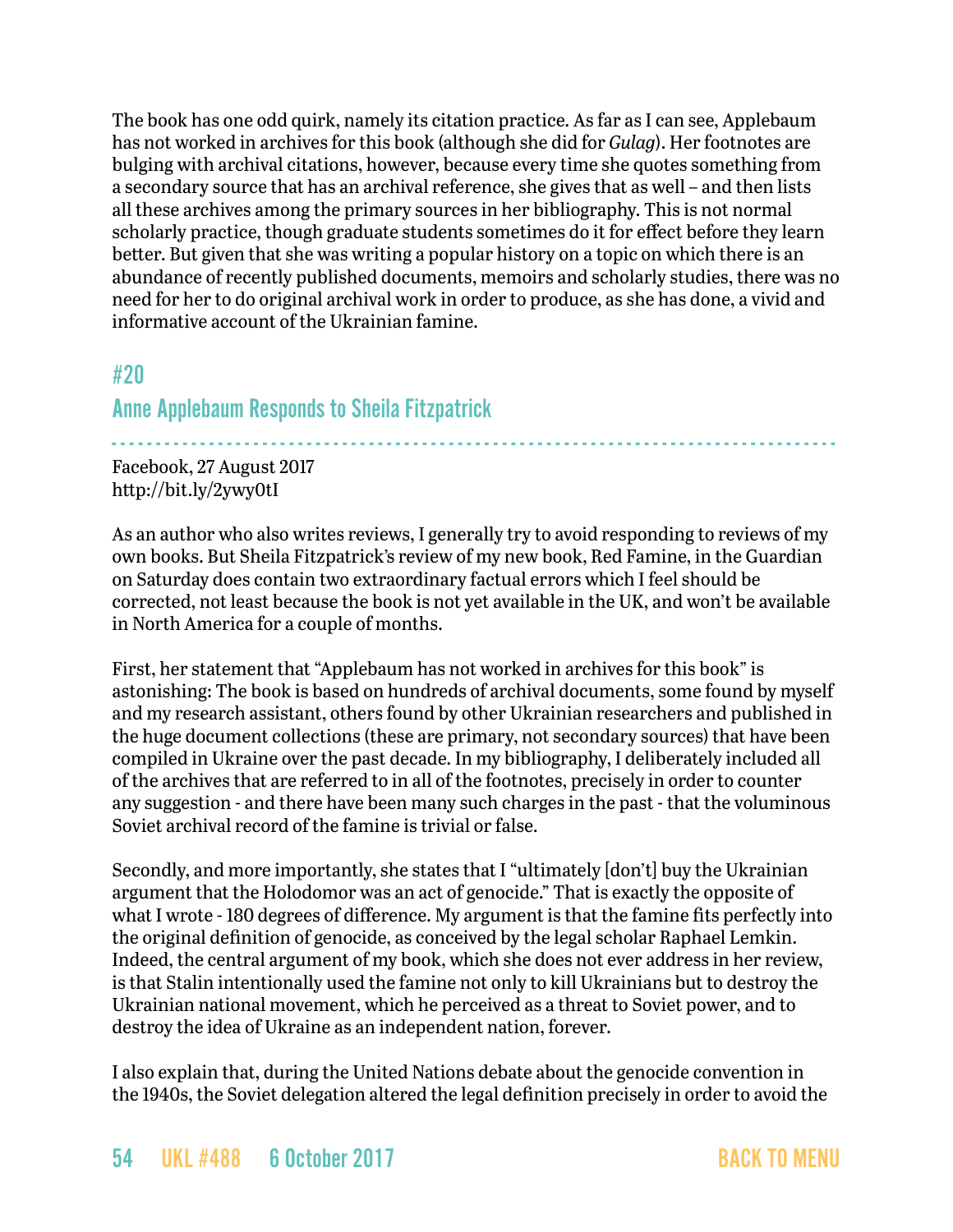The book has one odd quirk, namely its citation practice. As far as I can see, Applebaum has not worked in archives for this book (although she did for *Gulag*). Her footnotes are bulging with archival citations, however, because every time she quotes something from a secondary source that has an archival reference, she gives that as well – and then lists all these archives among the primary sources in her bibliography. This is not normal scholarly practice, though graduate students sometimes do it for effect before they learn better. But given that she was writing a popular history on a topic on which there is an abundance of recently published documents, memoirs and scholarly studies, there was no need for her to do original archival work in order to produce, as she has done, a vivid and informative account of the Ukrainian famine.

## <span id="page-53-0"></span>#20

## Anne Applebaum Responds to Sheila Fitzpatrick

- - - - - - - - - - - - - - - - - - - - - - - - - - - - - - - - - - - - - - - - - - - - - - - - - - - - - - - - - - - - - - - - - - - - - - - - - - - - - - - - - - Facebook, 27 August 2017 <http://bit.ly/2ywy0tI>

As an author who also writes reviews, I generally try to avoid responding to reviews of my own books. But Sheila Fitzpatrick's review of my new book, Red Famine, in the Guardian on Saturday does contain two extraordinary factual errors which I feel should be corrected, not least because the book is not yet available in the UK, and won't be available in North America for a couple of months.

First, her statement that "Applebaum has not worked in archives for this book" is astonishing: The book is based on hundreds of archival documents, some found by myself and my research assistant, others found by other Ukrainian researchers and published in the huge document collections (these are primary, not secondary sources) that have been compiled in Ukraine over the past decade. In my bibliography, I deliberately included all of the archives that are referred to in all of the footnotes, precisely in order to counter any suggestion - and there have been many such charges in the past - that the voluminous Soviet archival record of the famine is trivial or false.

Secondly, and more importantly, she states that I "ultimately [don't] buy the Ukrainian argument that the Holodomor was an act of genocide." That is exactly the opposite of what I wrote - 180 degrees of difference. My argument is that the famine fits perfectly into the original definition of genocide, as conceived by the legal scholar Raphael Lemkin. Indeed, the central argument of my book, which she does not ever address in her review, is that Stalin intentionally used the famine not only to kill Ukrainians but to destroy the Ukrainian national movement, which he perceived as a threat to Soviet power, and to destroy the idea of Ukraine as an independent nation, forever.

I also explain that, during the United Nations debate about the genocide convention in the 1940s, the Soviet delegation altered the legal definition precisely in order to avoid the